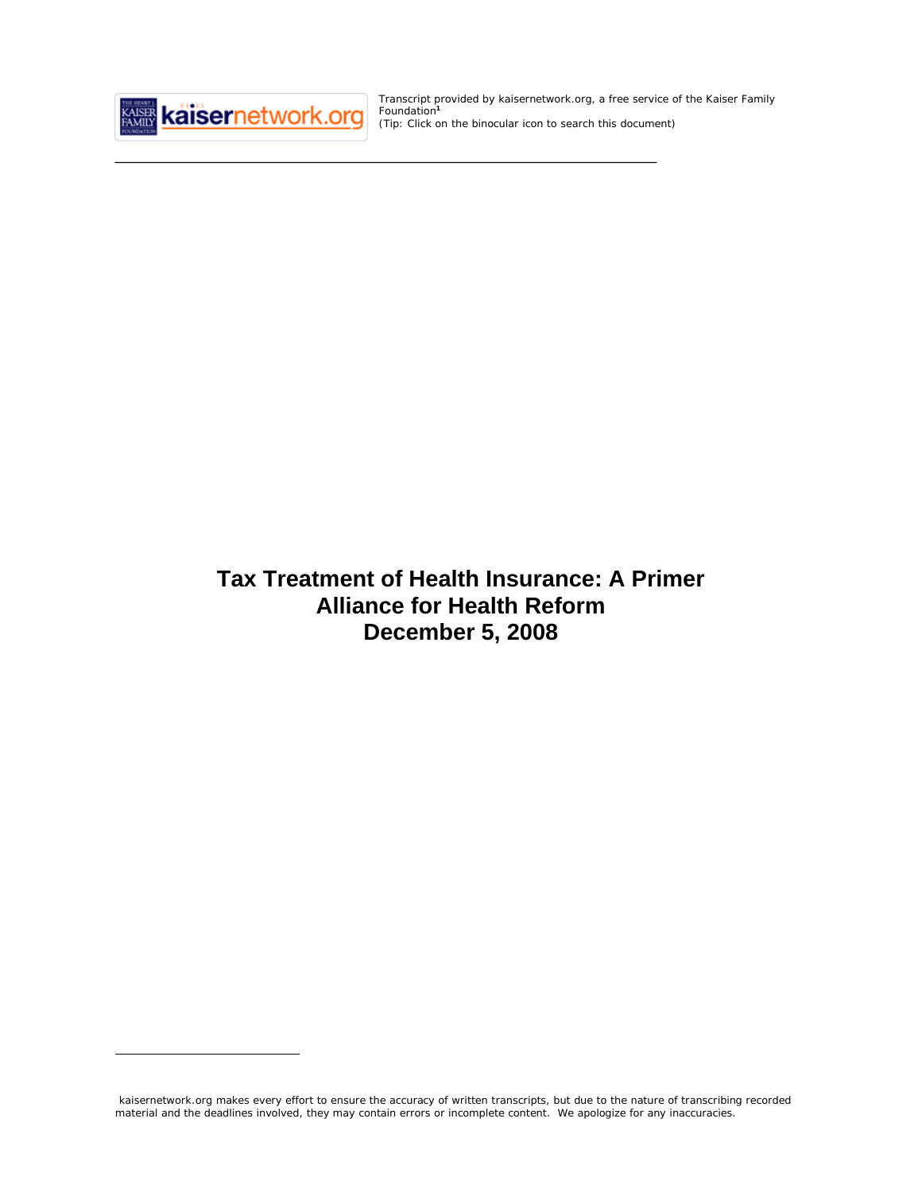

 $\overline{a}$ 

Transcript provided by kaisernetwork.org, a free service of the Kaiser Family Foundation**<sup>1</sup>** *(Tip: Click on the binocular icon to search this document)*

# **Tax Treatment of Health Insurance: A Primer Alliance for Health Reform December 5, 2008**

kaisernetwork.org makes every effort to ensure the accuracy of written transcripts, but due to the nature of transcribing recorded material and the deadlines involved, they may contain errors or incomplete content. We apologize for any inaccuracies.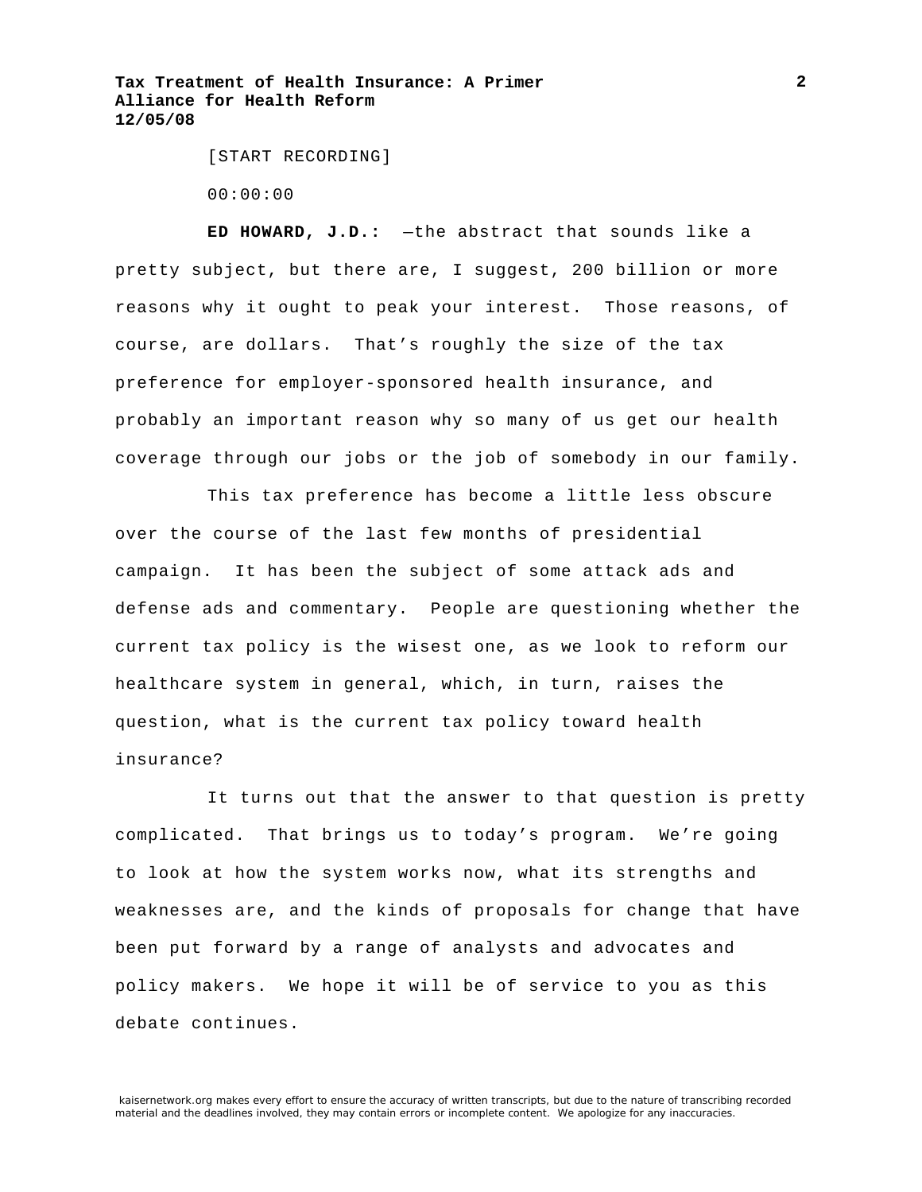[START RECORDING]

00:00:00

**ED HOWARD, J.D.:** —the abstract that sounds like a pretty subject, but there are, I suggest, 200 billion or more reasons why it ought to peak your interest. Those reasons, of course, are dollars. That's roughly the size of the tax preference for employer-sponsored health insurance, and probably an important reason why so many of us get our health coverage through our jobs or the job of somebody in our family.

This tax preference has become a little less obscure over the course of the last few months of presidential campaign. It has been the subject of some attack ads and defense ads and commentary. People are questioning whether the current tax policy is the wisest one, as we look to reform our healthcare system in general, which, in turn, raises the question, what is the current tax policy toward health insurance?

It turns out that the answer to that question is pretty complicated. That brings us to today's program. We're going to look at how the system works now, what its strengths and weaknesses are, and the kinds of proposals for change that have been put forward by a range of analysts and advocates and policy makers. We hope it will be of service to you as this debate continues.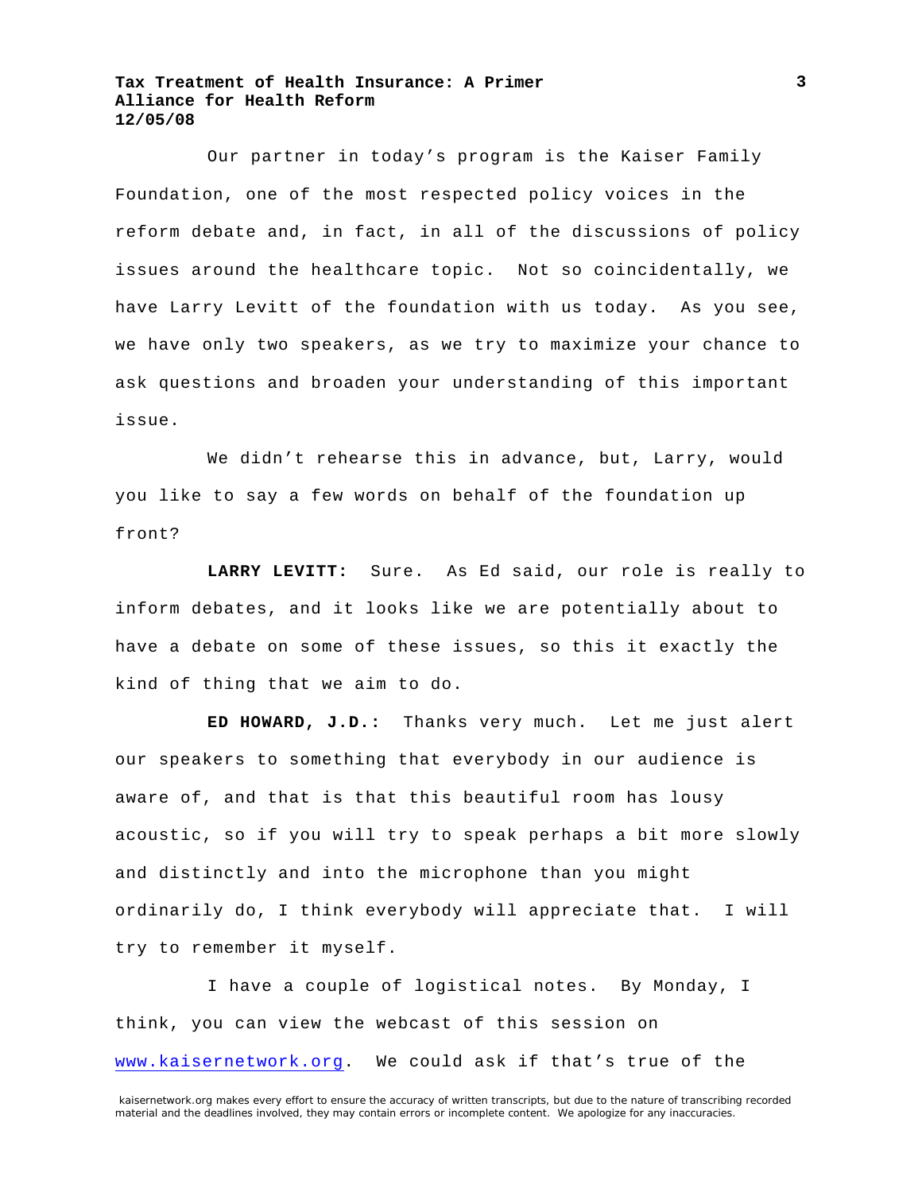Our partner in today's program is the Kaiser Family Foundation, one of the most respected policy voices in the reform debate and, in fact, in all of the discussions of policy issues around the healthcare topic. Not so coincidentally, we have Larry Levitt of the foundation with us today. As you see, we have only two speakers, as we try to maximize your chance to ask questions and broaden your understanding of this important issue.

We didn't rehearse this in advance, but, Larry, would you like to say a few words on behalf of the foundation up front?

**LARRY LEVITT:** Sure. As Ed said, our role is really to inform debates, and it looks like we are potentially about to have a debate on some of these issues, so this it exactly the kind of thing that we aim to do.

**ED HOWARD, J.D.:** Thanks very much. Let me just alert our speakers to something that everybody in our audience is aware of, and that is that this beautiful room has lousy acoustic, so if you will try to speak perhaps a bit more slowly and distinctly and into the microphone than you might ordinarily do, I think everybody will appreciate that. I will try to remember it myself.

I have a couple of logistical notes. By Monday, I think, you can view the webcast of this session on www.kaisernetwork.org. We could ask if that's true of the

kaisernetwork.org makes every effort to ensure the accuracy of written transcripts, but due to the nature of transcribing recorded material and the deadlines involved, they may contain errors or incomplete content. We apologize for any inaccuracies.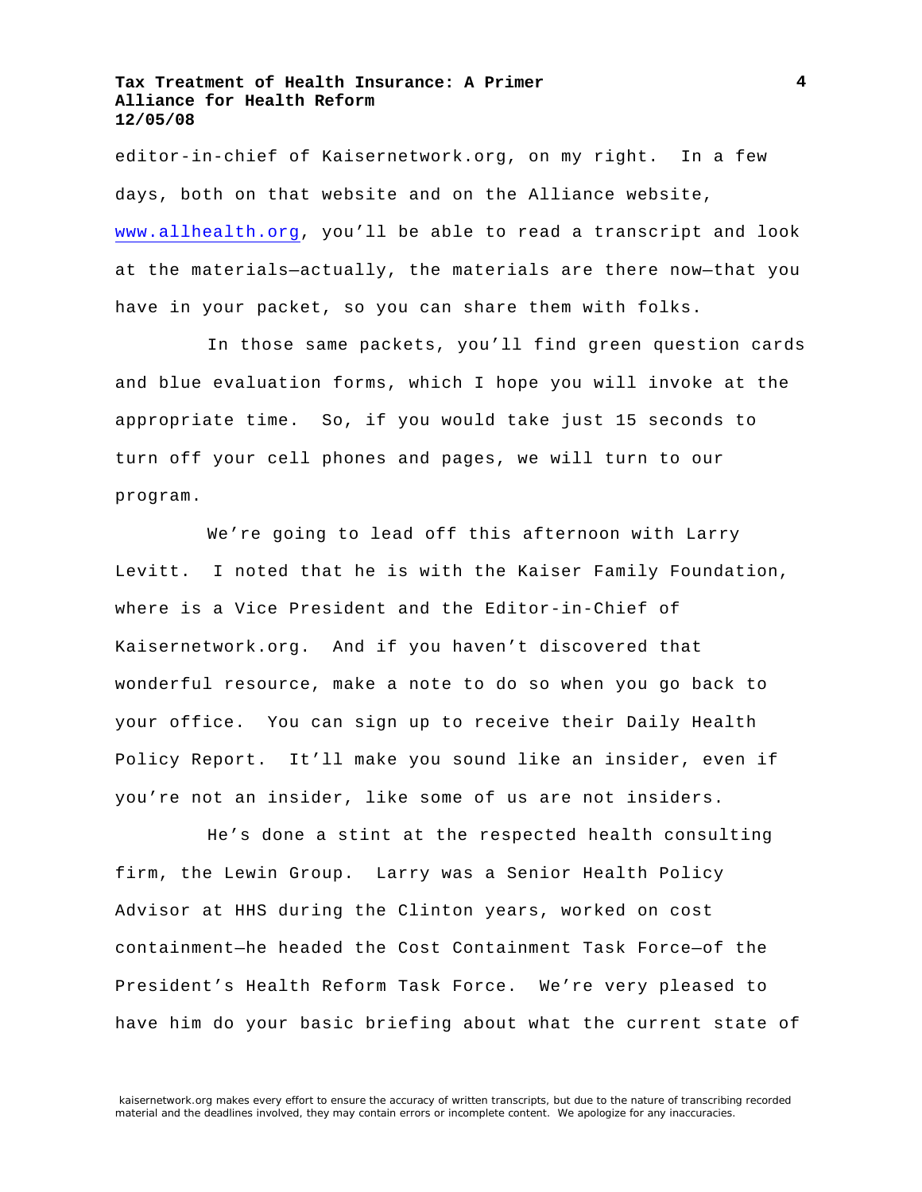editor-in-chief of Kaisernetwork.org, on my right. In a few days, both on that website and on the Alliance website, www.allhealth.org, you'll be able to read a transcript and look at the materials—actually, the materials are there now—that you have in your packet, so you can share them with folks.

In those same packets, you'll find green question cards and blue evaluation forms, which I hope you will invoke at the appropriate time. So, if you would take just 15 seconds to turn off your cell phones and pages, we will turn to our program.

We're going to lead off this afternoon with Larry Levitt. I noted that he is with the Kaiser Family Foundation, where is a Vice President and the Editor-in-Chief of Kaisernetwork.org. And if you haven't discovered that wonderful resource, make a note to do so when you go back to your office. You can sign up to receive their Daily Health Policy Report. It'll make you sound like an insider, even if you're not an insider, like some of us are not insiders.

He's done a stint at the respected health consulting firm, the Lewin Group. Larry was a Senior Health Policy Advisor at HHS during the Clinton years, worked on cost containment—he headed the Cost Containment Task Force—of the President's Health Reform Task Force. We're very pleased to have him do your basic briefing about what the current state of

**4**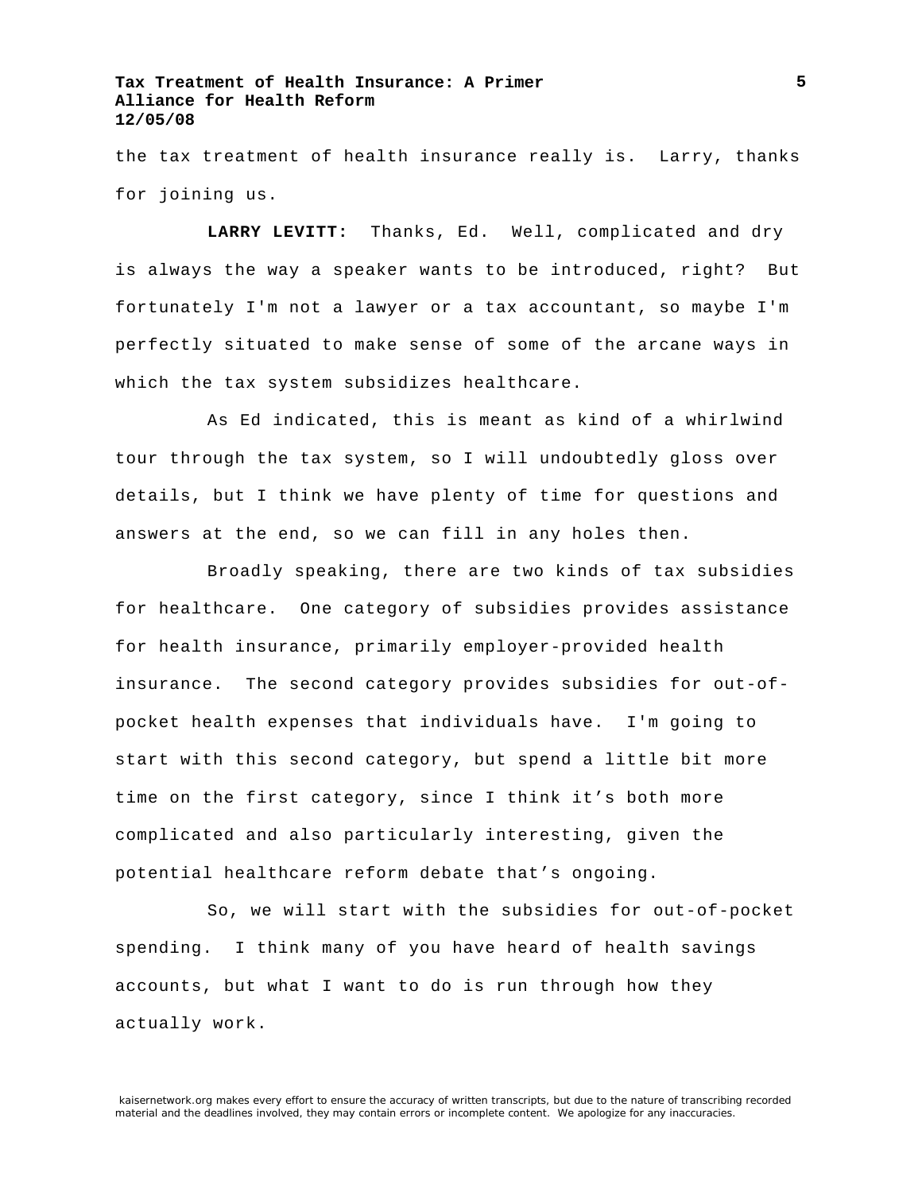the tax treatment of health insurance really is. Larry, thanks for joining us.

**LARRY LEVITT:** Thanks, Ed. Well, complicated and dry is always the way a speaker wants to be introduced, right? But fortunately I'm not a lawyer or a tax accountant, so maybe I'm perfectly situated to make sense of some of the arcane ways in which the tax system subsidizes healthcare.

As Ed indicated, this is meant as kind of a whirlwind tour through the tax system, so I will undoubtedly gloss over details, but I think we have plenty of time for questions and answers at the end, so we can fill in any holes then.

Broadly speaking, there are two kinds of tax subsidies for healthcare. One category of subsidies provides assistance for health insurance, primarily employer-provided health insurance. The second category provides subsidies for out-ofpocket health expenses that individuals have. I'm going to start with this second category, but spend a little bit more time on the first category, since I think it's both more complicated and also particularly interesting, given the potential healthcare reform debate that's ongoing.

So, we will start with the subsidies for out-of-pocket spending. I think many of you have heard of health savings accounts, but what I want to do is run through how they actually work.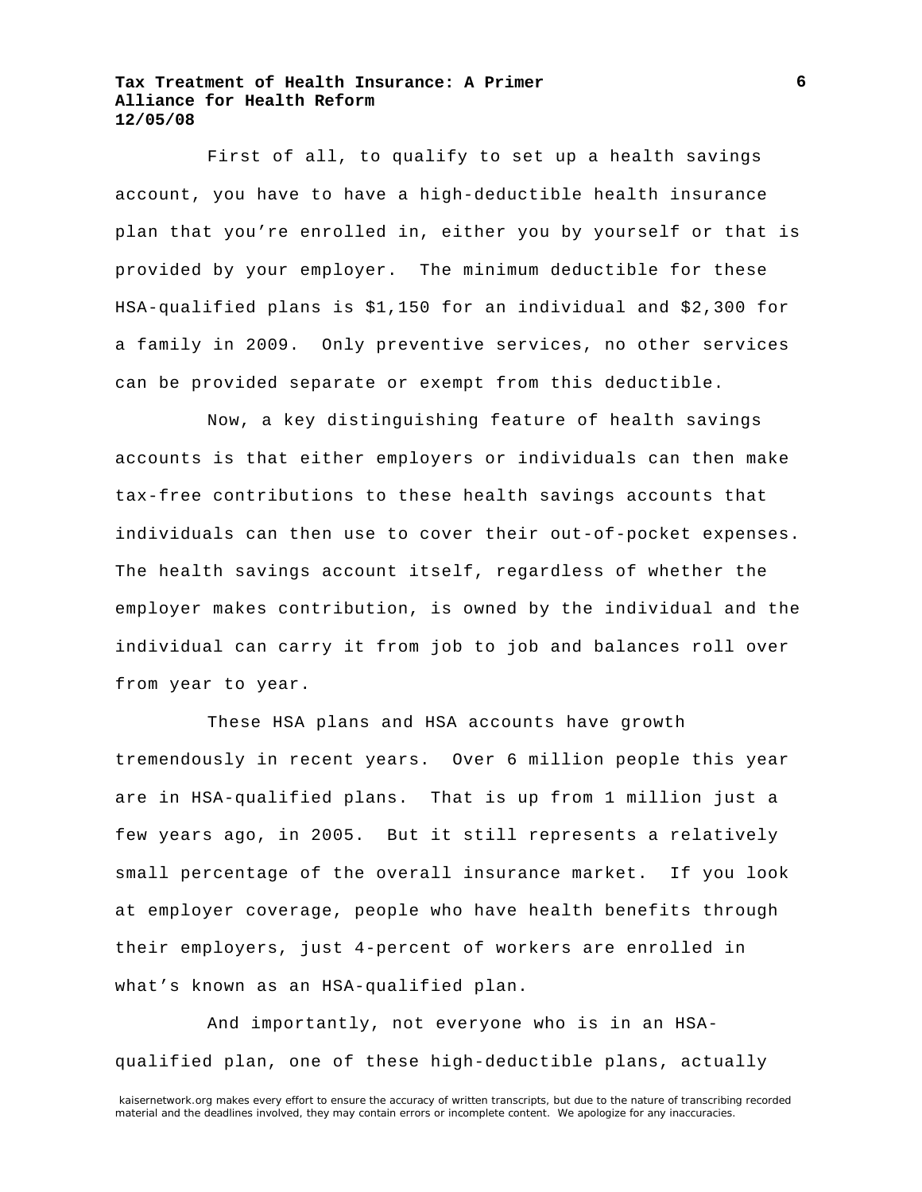First of all, to qualify to set up a health savings account, you have to have a high-deductible health insurance plan that you're enrolled in, either you by yourself or that is provided by your employer. The minimum deductible for these HSA-qualified plans is \$1,150 for an individual and \$2,300 for a family in 2009. Only preventive services, no other services can be provided separate or exempt from this deductible.

Now, a key distinguishing feature of health savings accounts is that either employers or individuals can then make tax-free contributions to these health savings accounts that individuals can then use to cover their out-of-pocket expenses. The health savings account itself, regardless of whether the employer makes contribution, is owned by the individual and the individual can carry it from job to job and balances roll over from year to year.

These HSA plans and HSA accounts have growth tremendously in recent years. Over 6 million people this year are in HSA-qualified plans. That is up from 1 million just a few years ago, in 2005. But it still represents a relatively small percentage of the overall insurance market. If you look at employer coverage, people who have health benefits through their employers, just 4-percent of workers are enrolled in what's known as an HSA-qualified plan.

And importantly, not everyone who is in an HSAqualified plan, one of these high-deductible plans, actually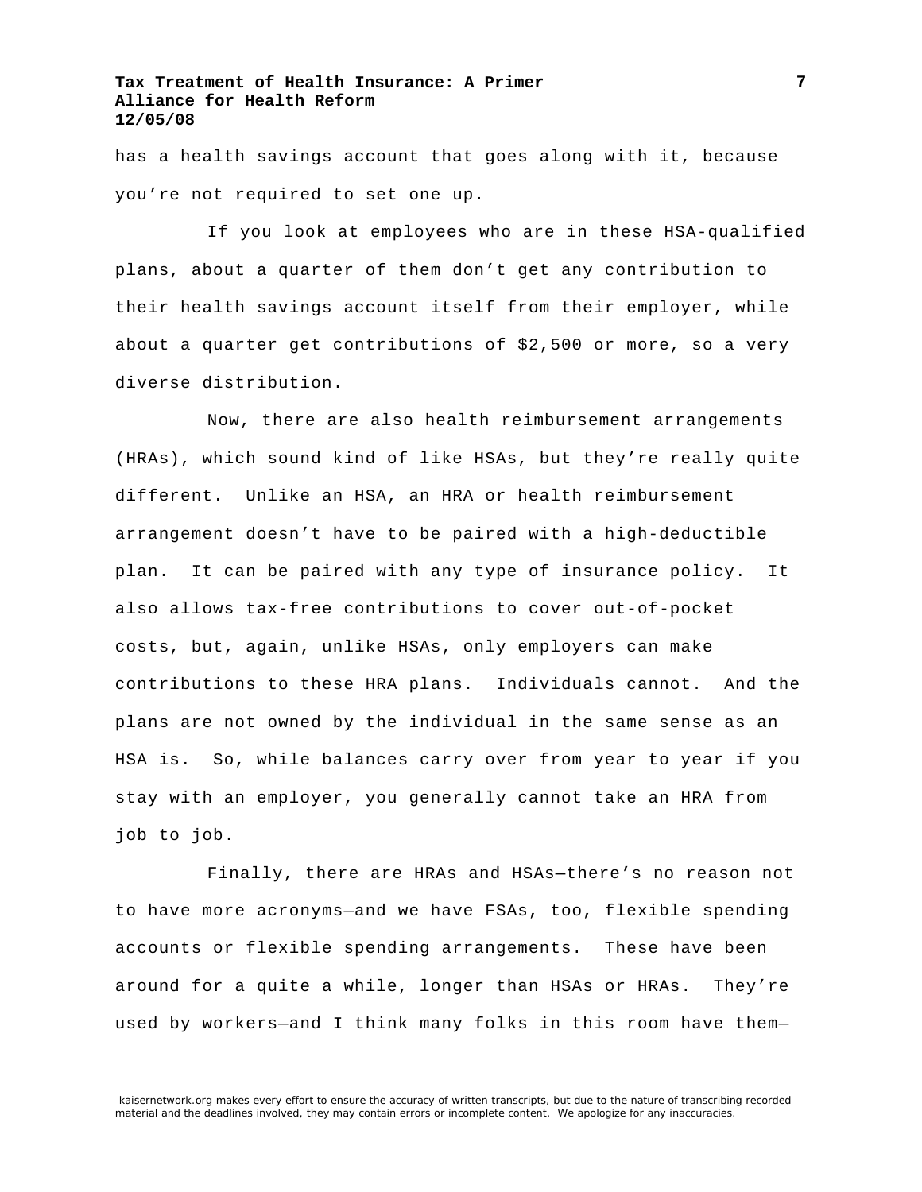has a health savings account that goes along with it, because you're not required to set one up.

If you look at employees who are in these HSA-qualified plans, about a quarter of them don't get any contribution to their health savings account itself from their employer, while about a quarter get contributions of \$2,500 or more, so a very diverse distribution.

Now, there are also health reimbursement arrangements (HRAs), which sound kind of like HSAs, but they're really quite different. Unlike an HSA, an HRA or health reimbursement arrangement doesn't have to be paired with a high-deductible plan. It can be paired with any type of insurance policy. It also allows tax-free contributions to cover out-of-pocket costs, but, again, unlike HSAs, only employers can make contributions to these HRA plans. Individuals cannot. And the plans are not owned by the individual in the same sense as an HSA is. So, while balances carry over from year to year if you stay with an employer, you generally cannot take an HRA from job to job.

Finally, there are HRAs and HSAs—there's no reason not to have more acronyms—and we have FSAs, too, flexible spending accounts or flexible spending arrangements. These have been around for a quite a while, longer than HSAs or HRAs. They're used by workers—and I think many folks in this room have them—

**7**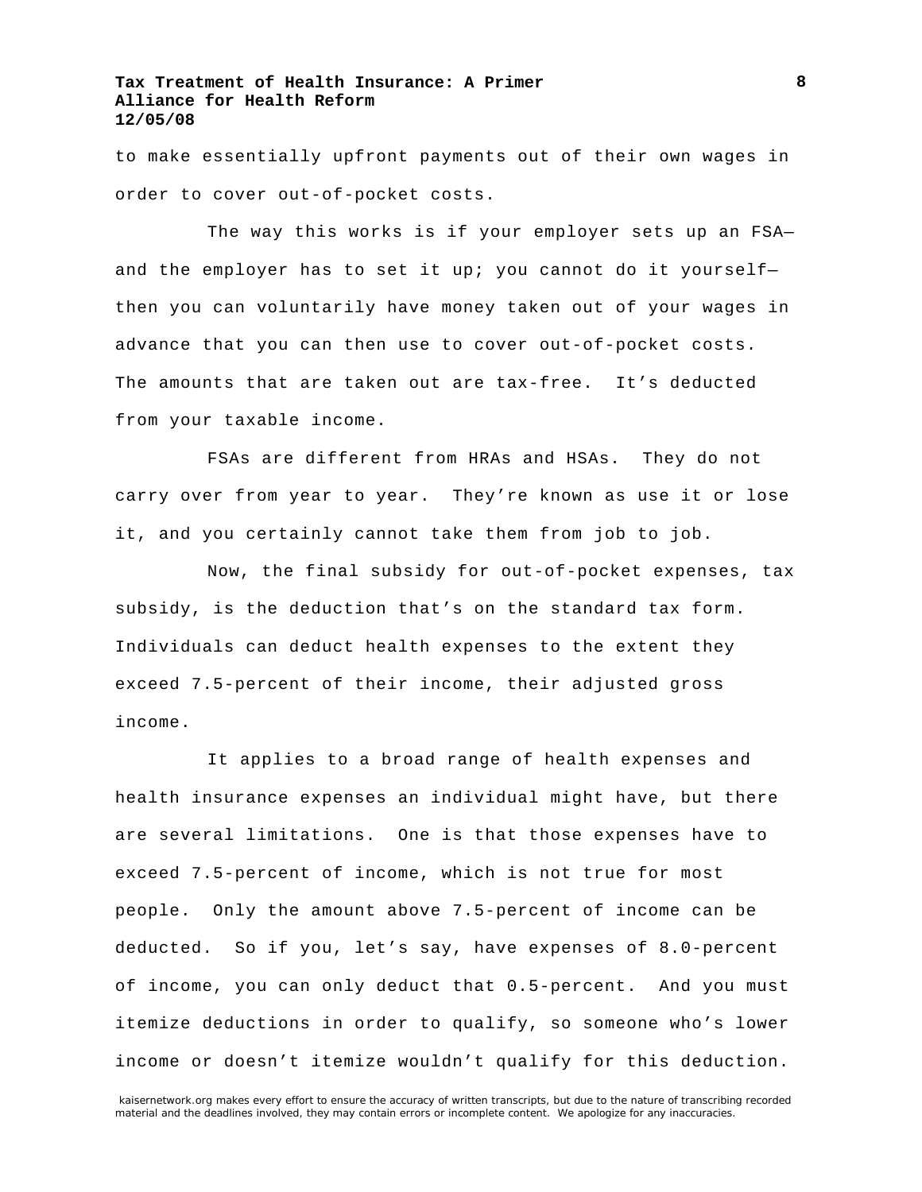to make essentially upfront payments out of their own wages in order to cover out-of-pocket costs.

The way this works is if your employer sets up an FSA and the employer has to set it up; you cannot do it yourselfthen you can voluntarily have money taken out of your wages in advance that you can then use to cover out-of-pocket costs. The amounts that are taken out are tax-free. It's deducted from your taxable income.

FSAs are different from HRAs and HSAs. They do not carry over from year to year. They're known as use it or lose it, and you certainly cannot take them from job to job.

Now, the final subsidy for out-of-pocket expenses, tax subsidy, is the deduction that's on the standard tax form. Individuals can deduct health expenses to the extent they exceed 7.5-percent of their income, their adjusted gross income.

It applies to a broad range of health expenses and health insurance expenses an individual might have, but there are several limitations. One is that those expenses have to exceed 7.5-percent of income, which is not true for most people. Only the amount above 7.5-percent of income can be deducted. So if you, let's say, have expenses of 8.0-percent of income, you can only deduct that 0.5-percent. And you must itemize deductions in order to qualify, so someone who's lower income or doesn't itemize wouldn't qualify for this deduction.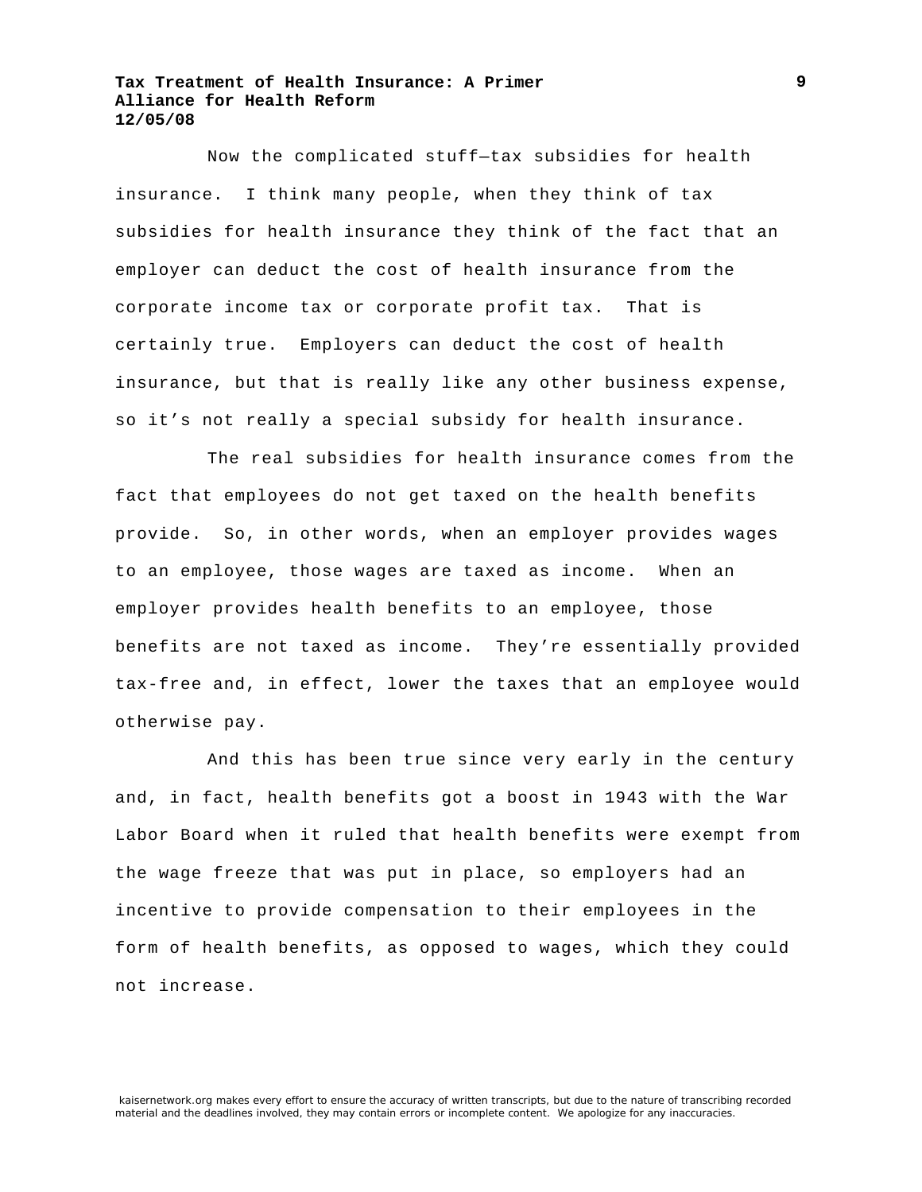Now the complicated stuff—tax subsidies for health insurance. I think many people, when they think of tax subsidies for health insurance they think of the fact that an employer can deduct the cost of health insurance from the corporate income tax or corporate profit tax. That is certainly true. Employers can deduct the cost of health insurance, but that is really like any other business expense, so it's not really a special subsidy for health insurance.

The real subsidies for health insurance comes from the fact that employees do not get taxed on the health benefits provide. So, in other words, when an employer provides wages to an employee, those wages are taxed as income. When an employer provides health benefits to an employee, those benefits are not taxed as income. They're essentially provided tax-free and, in effect, lower the taxes that an employee would otherwise pay.

And this has been true since very early in the century and, in fact, health benefits got a boost in 1943 with the War Labor Board when it ruled that health benefits were exempt from the wage freeze that was put in place, so employers had an incentive to provide compensation to their employees in the form of health benefits, as opposed to wages, which they could not increase.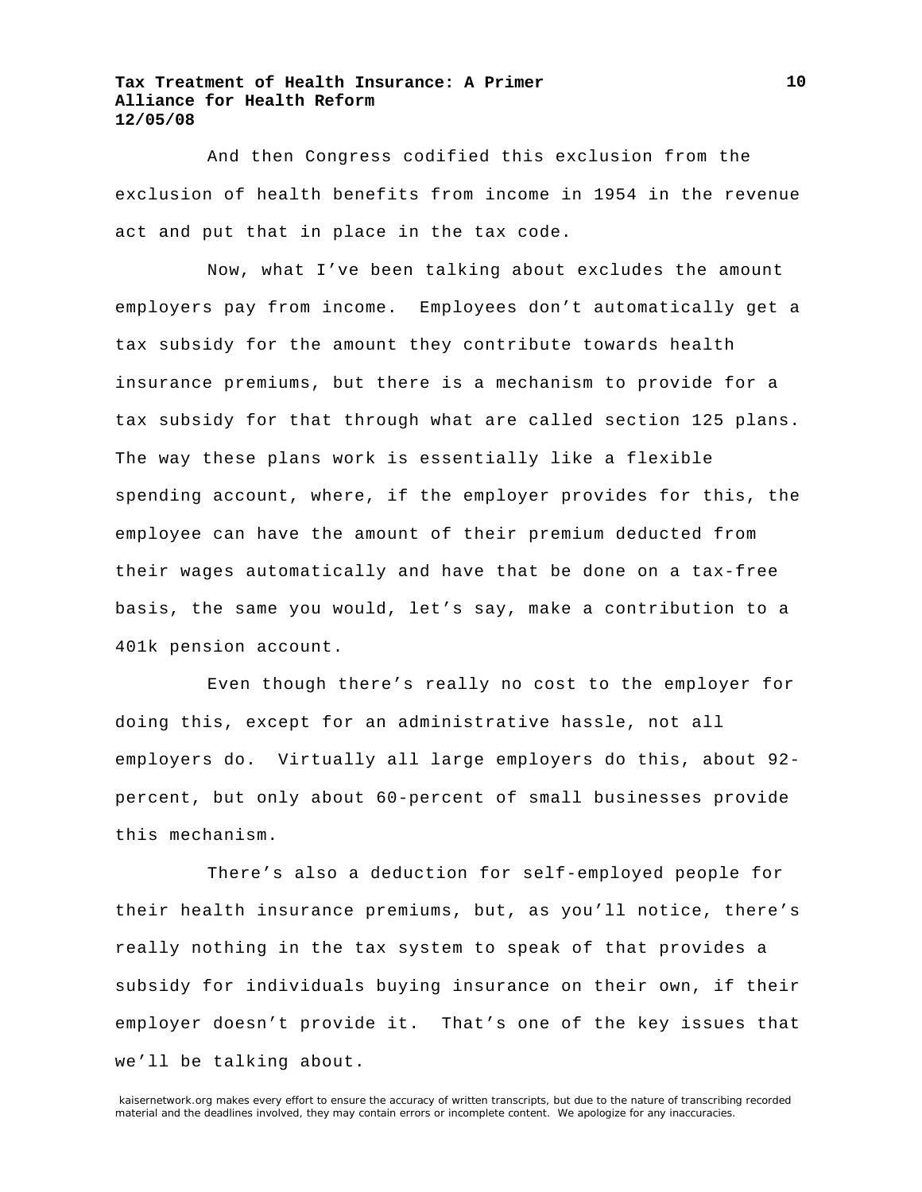And then Congress codified this exclusion from the exclusion of health benefits from income in 1954 in the revenue act and put that in place in the tax code.

Now, what I've been talking about excludes the amount employers pay from income. Employees don't automatically get a tax subsidy for the amount they contribute towards health insurance premiums, but there is a mechanism to provide for a tax subsidy for that through what are called section 125 plans. The way these plans work is essentially like a flexible spending account, where, if the employer provides for this, the employee can have the amount of their premium deducted from their wages automatically and have that be done on a tax-free basis, the same you would, let's say, make a contribution to a 401k pension account.

Even though there's really no cost to the employer for doing this, except for an administrative hassle, not all employers do. Virtually all large employers do this, about 92 percent, but only about 60-percent of small businesses provide this mechanism.

There's also a deduction for self-employed people for their health insurance premiums, but, as you'll notice, there's really nothing in the tax system to speak of that provides a subsidy for individuals buying insurance on their own, if their employer doesn't provide it. That's one of the key issues that we'll be talking about.

kaisernetwork.org makes every effort to ensure the accuracy of written transcripts, but due to the nature of transcribing recorded material and the deadlines involved, they may contain errors or incomplete content. We apologize for any inaccuracies.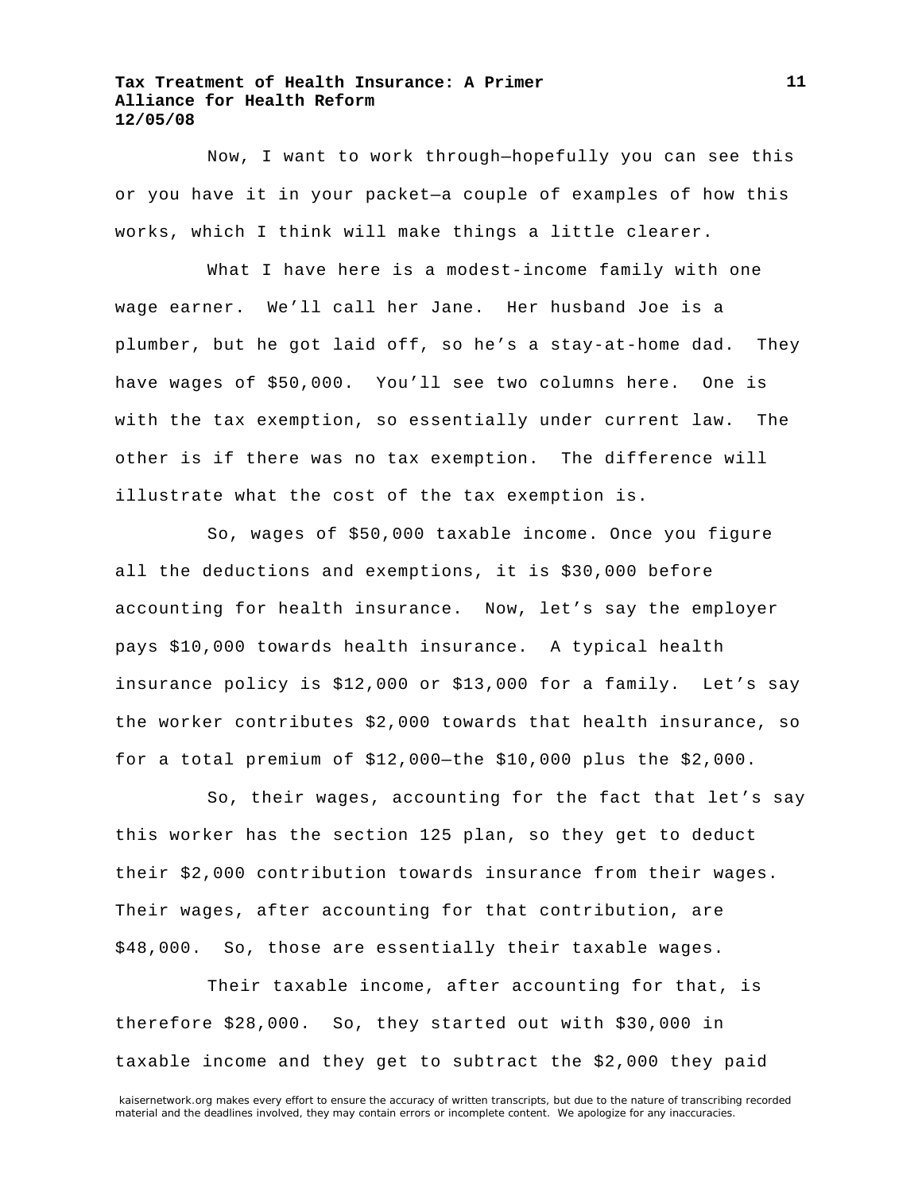Now, I want to work through—hopefully you can see this or you have it in your packet—a couple of examples of how this works, which I think will make things a little clearer.

What I have here is a modest-income family with one wage earner. We'll call her Jane. Her husband Joe is a plumber, but he got laid off, so he's a stay-at-home dad. They have wages of \$50,000. You'll see two columns here. One is with the tax exemption, so essentially under current law. The other is if there was no tax exemption. The difference will illustrate what the cost of the tax exemption is.

So, wages of \$50,000 taxable income. Once you figure all the deductions and exemptions, it is \$30,000 before accounting for health insurance. Now, let's say the employer pays \$10,000 towards health insurance. A typical health insurance policy is \$12,000 or \$13,000 for a family. Let's say the worker contributes \$2,000 towards that health insurance, so for a total premium of \$12,000—the \$10,000 plus the \$2,000.

So, their wages, accounting for the fact that let's say this worker has the section 125 plan, so they get to deduct their \$2,000 contribution towards insurance from their wages. Their wages, after accounting for that contribution, are \$48,000. So, those are essentially their taxable wages.

Their taxable income, after accounting for that, is therefore \$28,000. So, they started out with \$30,000 in taxable income and they get to subtract the \$2,000 they paid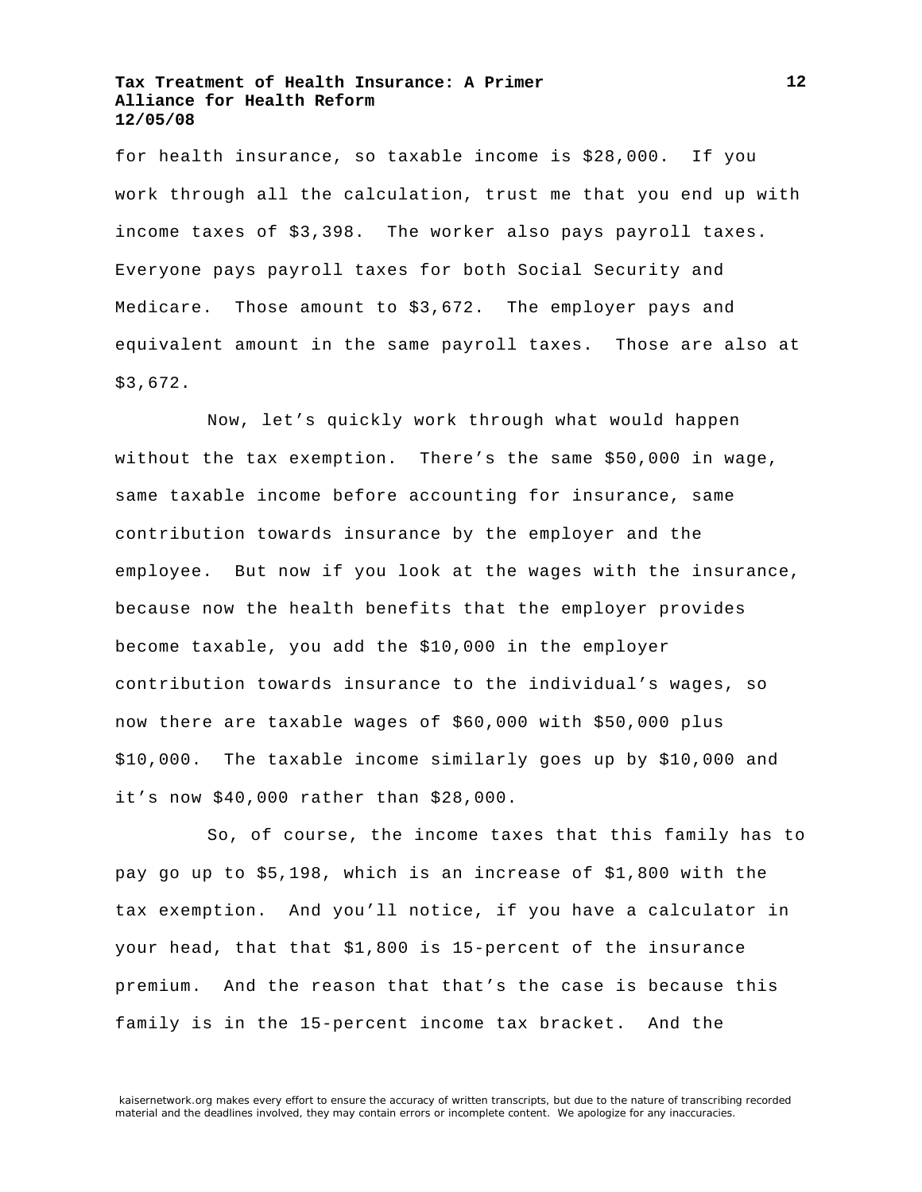for health insurance, so taxable income is \$28,000. If you work through all the calculation, trust me that you end up with income taxes of \$3,398. The worker also pays payroll taxes. Everyone pays payroll taxes for both Social Security and Medicare. Those amount to \$3,672. The employer pays and equivalent amount in the same payroll taxes. Those are also at \$3,672.

Now, let's quickly work through what would happen without the tax exemption. There's the same \$50,000 in wage, same taxable income before accounting for insurance, same contribution towards insurance by the employer and the employee. But now if you look at the wages with the insurance, because now the health benefits that the employer provides become taxable, you add the \$10,000 in the employer contribution towards insurance to the individual's wages, so now there are taxable wages of \$60,000 with \$50,000 plus \$10,000. The taxable income similarly goes up by \$10,000 and it's now \$40,000 rather than \$28,000.

So, of course, the income taxes that this family has to pay go up to \$5,198, which is an increase of \$1,800 with the tax exemption. And you'll notice, if you have a calculator in your head, that that \$1,800 is 15-percent of the insurance premium. And the reason that that's the case is because this family is in the 15-percent income tax bracket. And the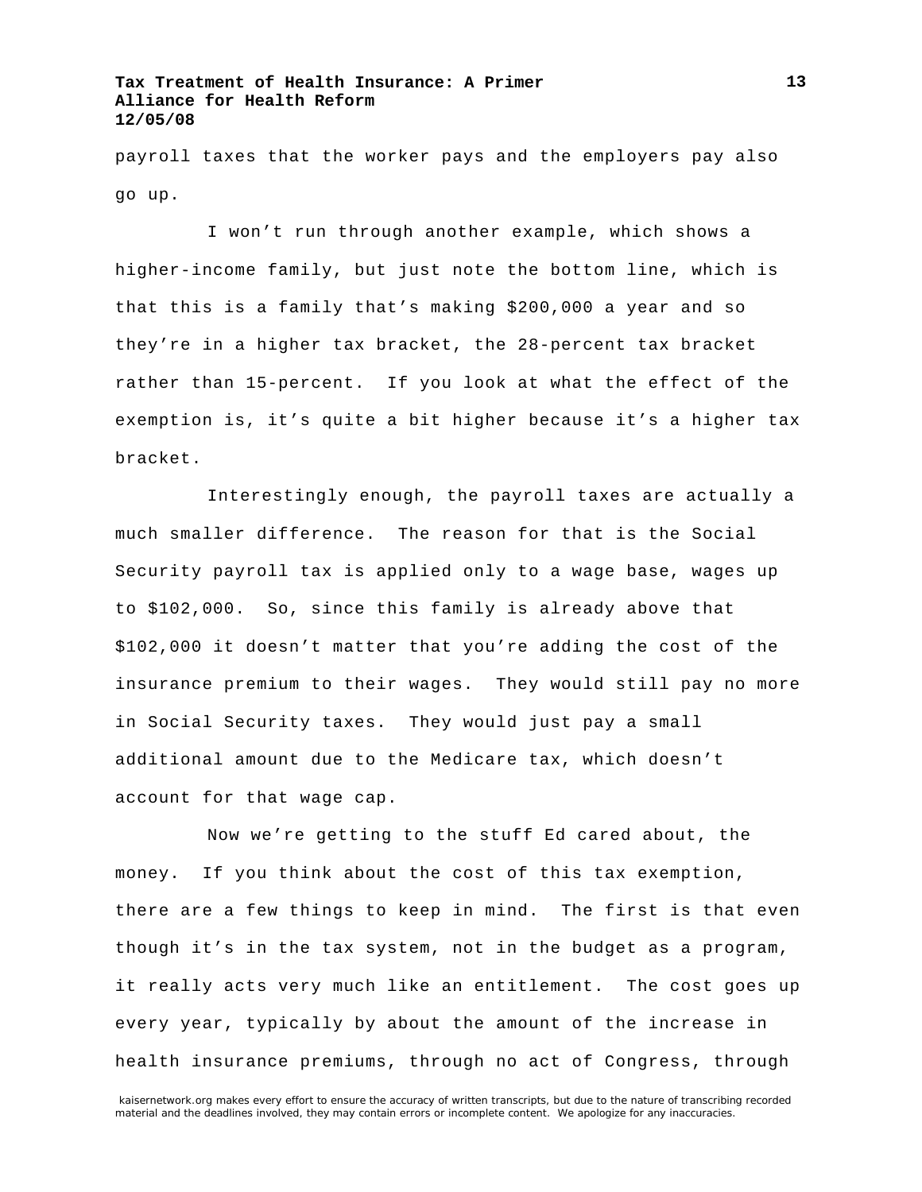payroll taxes that the worker pays and the employers pay also go up.

I won't run through another example, which shows a higher-income family, but just note the bottom line, which is that this is a family that's making \$200,000 a year and so they're in a higher tax bracket, the 28-percent tax bracket rather than 15-percent. If you look at what the effect of the exemption is, it's quite a bit higher because it's a higher tax bracket.

Interestingly enough, the payroll taxes are actually a much smaller difference. The reason for that is the Social Security payroll tax is applied only to a wage base, wages up to \$102,000. So, since this family is already above that \$102,000 it doesn't matter that you're adding the cost of the insurance premium to their wages. They would still pay no more in Social Security taxes. They would just pay a small additional amount due to the Medicare tax, which doesn't account for that wage cap.

Now we're getting to the stuff Ed cared about, the money. If you think about the cost of this tax exemption, there are a few things to keep in mind. The first is that even though it's in the tax system, not in the budget as a program, it really acts very much like an entitlement. The cost goes up every year, typically by about the amount of the increase in health insurance premiums, through no act of Congress, through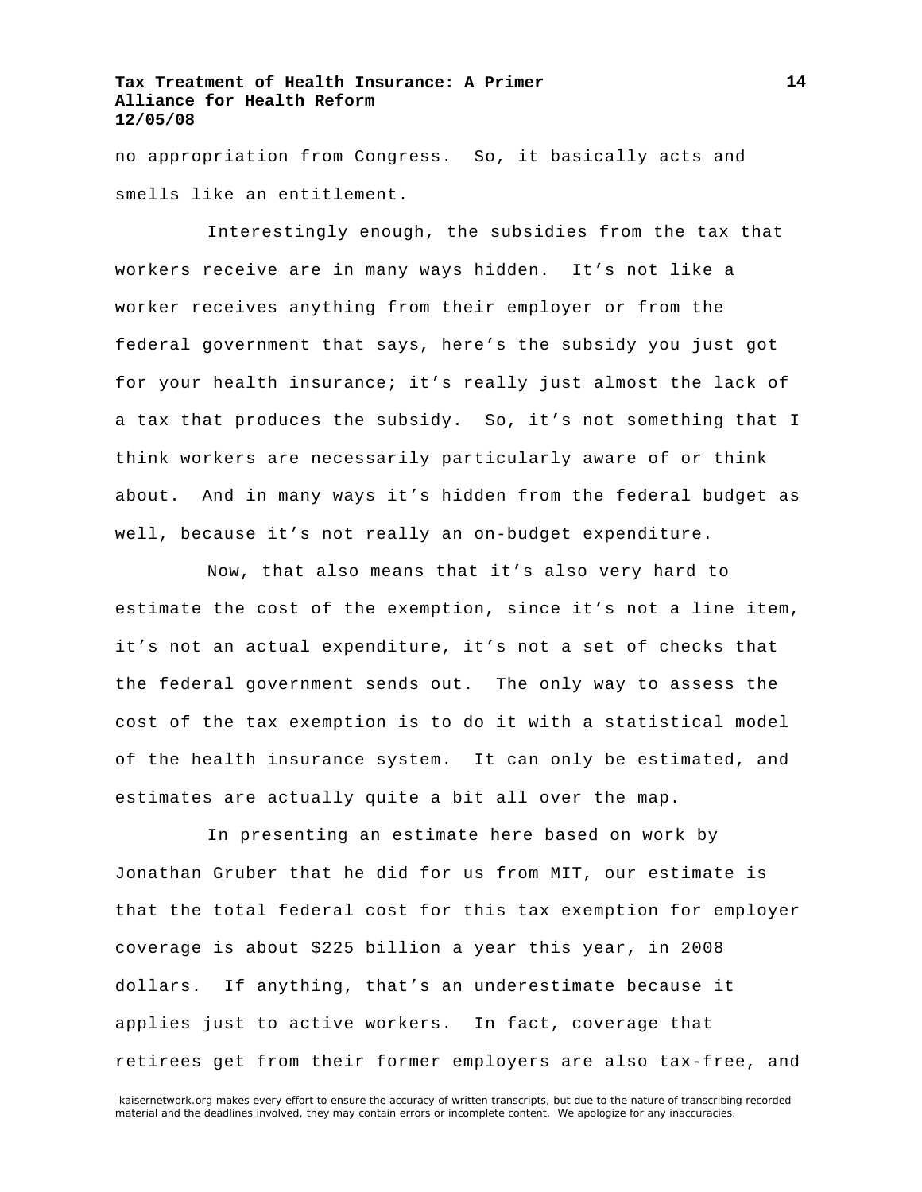no appropriation from Congress. So, it basically acts and smells like an entitlement.

Interestingly enough, the subsidies from the tax that workers receive are in many ways hidden. It's not like a worker receives anything from their employer or from the federal government that says, here's the subsidy you just got for your health insurance; it's really just almost the lack of a tax that produces the subsidy. So, it's not something that I think workers are necessarily particularly aware of or think about. And in many ways it's hidden from the federal budget as well, because it's not really an on-budget expenditure.

Now, that also means that it's also very hard to estimate the cost of the exemption, since it's not a line item, it's not an actual expenditure, it's not a set of checks that the federal government sends out. The only way to assess the cost of the tax exemption is to do it with a statistical model of the health insurance system. It can only be estimated, and estimates are actually quite a bit all over the map.

In presenting an estimate here based on work by Jonathan Gruber that he did for us from MIT, our estimate is that the total federal cost for this tax exemption for employer coverage is about \$225 billion a year this year, in 2008 dollars. If anything, that's an underestimate because it applies just to active workers. In fact, coverage that retirees get from their former employers are also tax-free, and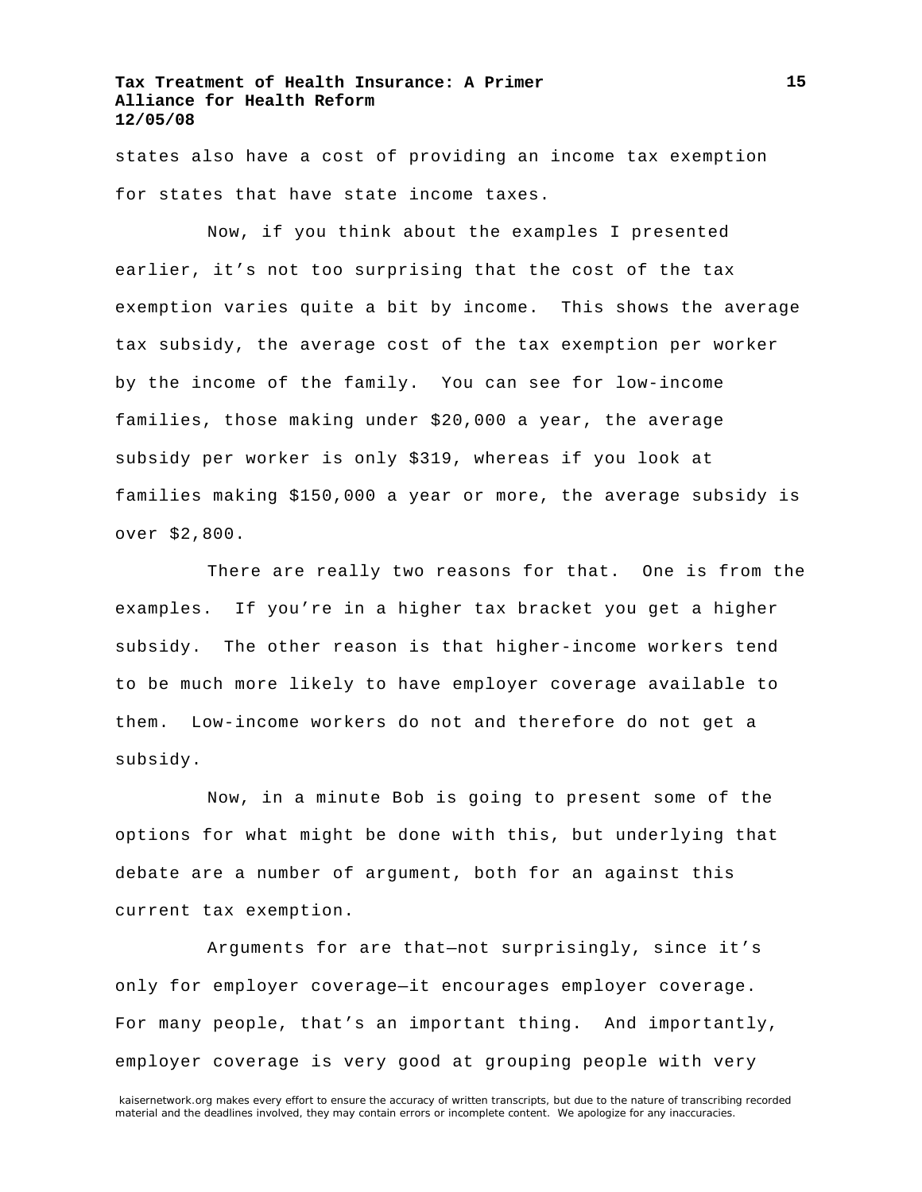states also have a cost of providing an income tax exemption for states that have state income taxes.

Now, if you think about the examples I presented earlier, it's not too surprising that the cost of the tax exemption varies quite a bit by income. This shows the average tax subsidy, the average cost of the tax exemption per worker by the income of the family. You can see for low-income families, those making under \$20,000 a year, the average subsidy per worker is only \$319, whereas if you look at families making \$150,000 a year or more, the average subsidy is over \$2,800.

There are really two reasons for that. One is from the examples. If you're in a higher tax bracket you get a higher subsidy. The other reason is that higher-income workers tend to be much more likely to have employer coverage available to them. Low-income workers do not and therefore do not get a subsidy.

Now, in a minute Bob is going to present some of the options for what might be done with this, but underlying that debate are a number of argument, both for an against this current tax exemption.

Arguments for are that—not surprisingly, since it's only for employer coverage—it encourages employer coverage. For many people, that's an important thing. And importantly, employer coverage is very good at grouping people with very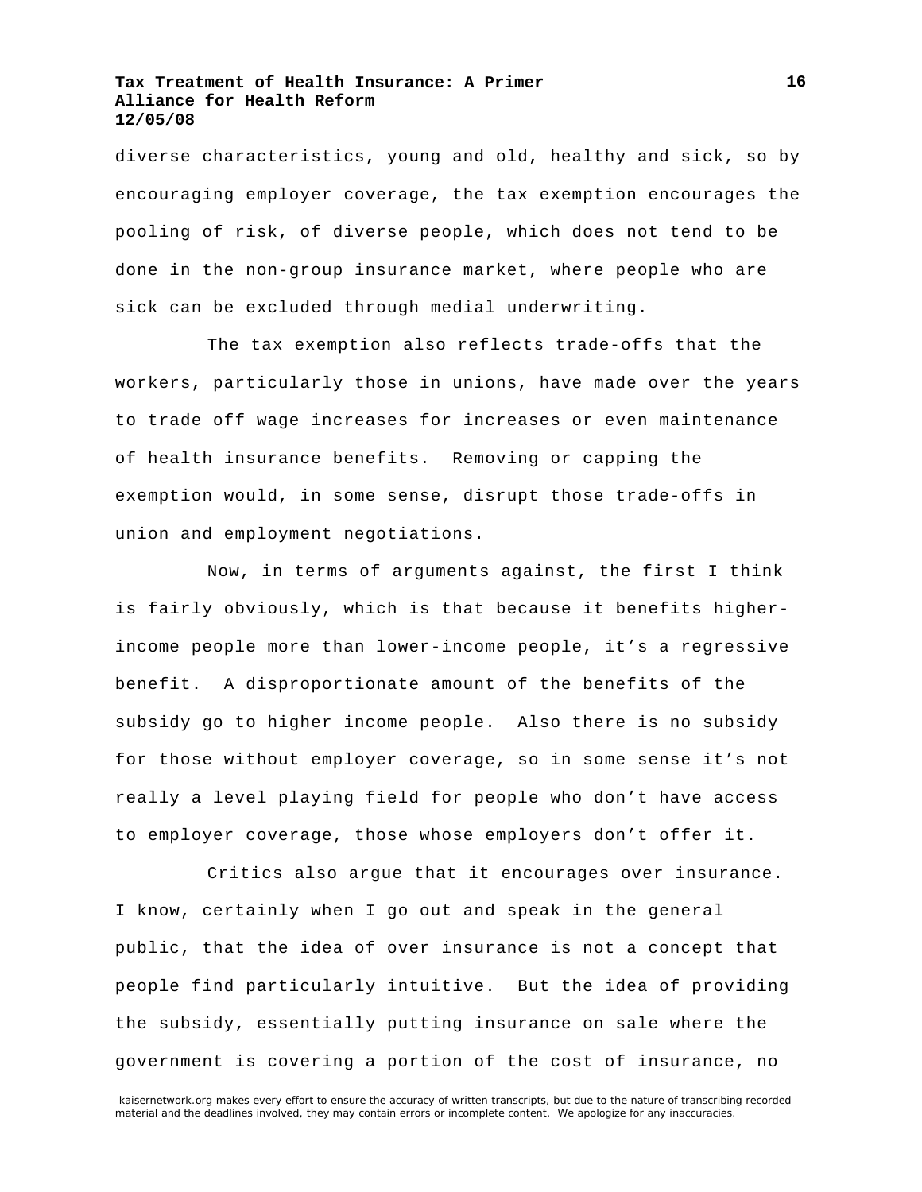diverse characteristics, young and old, healthy and sick, so by encouraging employer coverage, the tax exemption encourages the pooling of risk, of diverse people, which does not tend to be done in the non-group insurance market, where people who are sick can be excluded through medial underwriting.

The tax exemption also reflects trade-offs that the workers, particularly those in unions, have made over the years to trade off wage increases for increases or even maintenance of health insurance benefits. Removing or capping the exemption would, in some sense, disrupt those trade-offs in union and employment negotiations.

Now, in terms of arguments against, the first I think is fairly obviously, which is that because it benefits higherincome people more than lower-income people, it's a regressive benefit. A disproportionate amount of the benefits of the subsidy go to higher income people. Also there is no subsidy for those without employer coverage, so in some sense it's not really a level playing field for people who don't have access to employer coverage, those whose employers don't offer it.

Critics also argue that it encourages over insurance. I know, certainly when I go out and speak in the general public, that the idea of over insurance is not a concept that people find particularly intuitive. But the idea of providing the subsidy, essentially putting insurance on sale where the government is covering a portion of the cost of insurance, no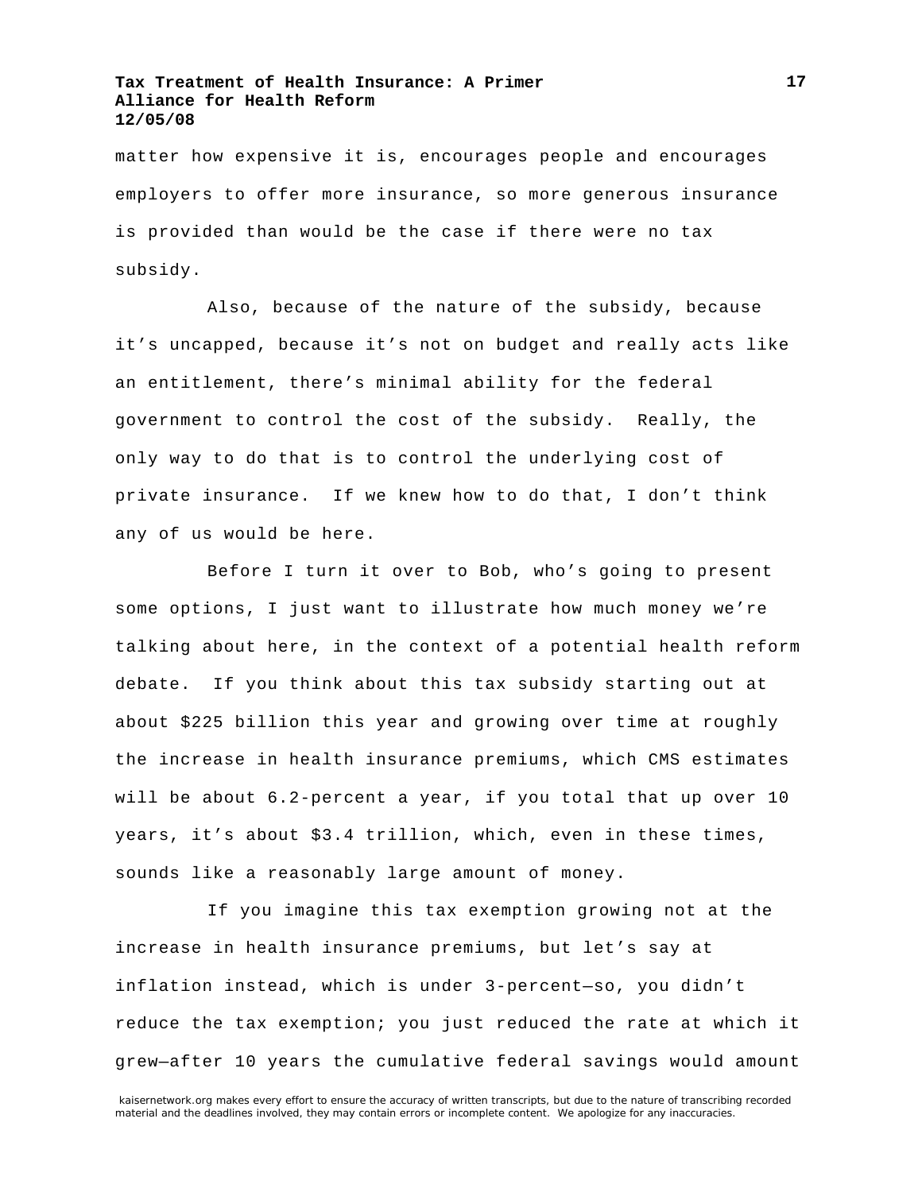matter how expensive it is, encourages people and encourages employers to offer more insurance, so more generous insurance is provided than would be the case if there were no tax subsidy.

Also, because of the nature of the subsidy, because it's uncapped, because it's not on budget and really acts like an entitlement, there's minimal ability for the federal government to control the cost of the subsidy. Really, the only way to do that is to control the underlying cost of private insurance. If we knew how to do that, I don't think any of us would be here.

Before I turn it over to Bob, who's going to present some options, I just want to illustrate how much money we're talking about here, in the context of a potential health reform debate. If you think about this tax subsidy starting out at about \$225 billion this year and growing over time at roughly the increase in health insurance premiums, which CMS estimates will be about 6.2-percent a year, if you total that up over 10 years, it's about \$3.4 trillion, which, even in these times, sounds like a reasonably large amount of money.

If you imagine this tax exemption growing not at the increase in health insurance premiums, but let's say at inflation instead, which is under 3-percent—so, you didn't reduce the tax exemption; you just reduced the rate at which it grew—after 10 years the cumulative federal savings would amount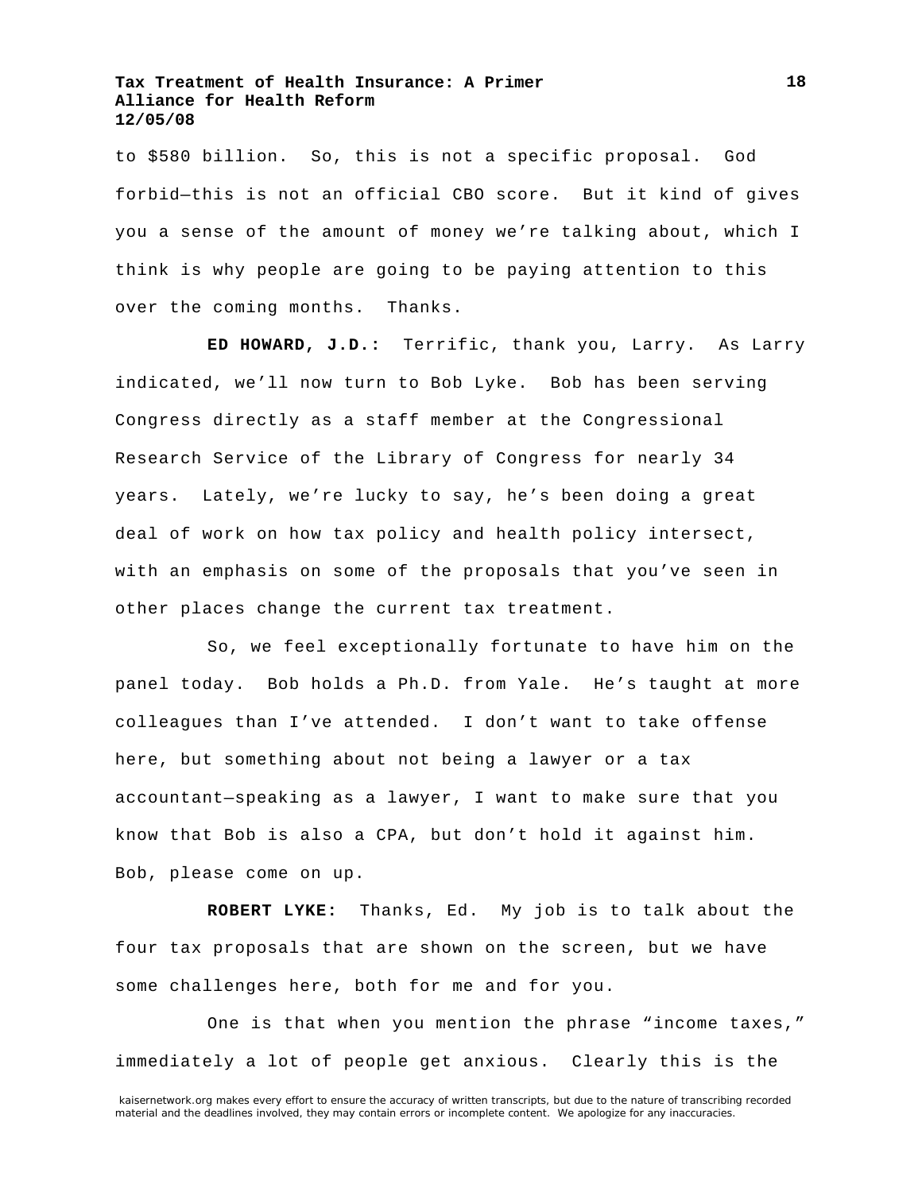to \$580 billion. So, this is not a specific proposal. God forbid—this is not an official CBO score. But it kind of gives you a sense of the amount of money we're talking about, which I think is why people are going to be paying attention to this over the coming months. Thanks.

**ED HOWARD, J.D.:** Terrific, thank you, Larry. As Larry indicated, we'll now turn to Bob Lyke. Bob has been serving Congress directly as a staff member at the Congressional Research Service of the Library of Congress for nearly 34 years. Lately, we're lucky to say, he's been doing a great deal of work on how tax policy and health policy intersect, with an emphasis on some of the proposals that you've seen in other places change the current tax treatment.

So, we feel exceptionally fortunate to have him on the panel today. Bob holds a Ph.D. from Yale. He's taught at more colleagues than I've attended. I don't want to take offense here, but something about not being a lawyer or a tax accountant—speaking as a lawyer, I want to make sure that you know that Bob is also a CPA, but don't hold it against him. Bob, please come on up.

**ROBERT LYKE:** Thanks, Ed. My job is to talk about the four tax proposals that are shown on the screen, but we have some challenges here, both for me and for you.

One is that when you mention the phrase "income taxes," immediately a lot of people get anxious. Clearly this is the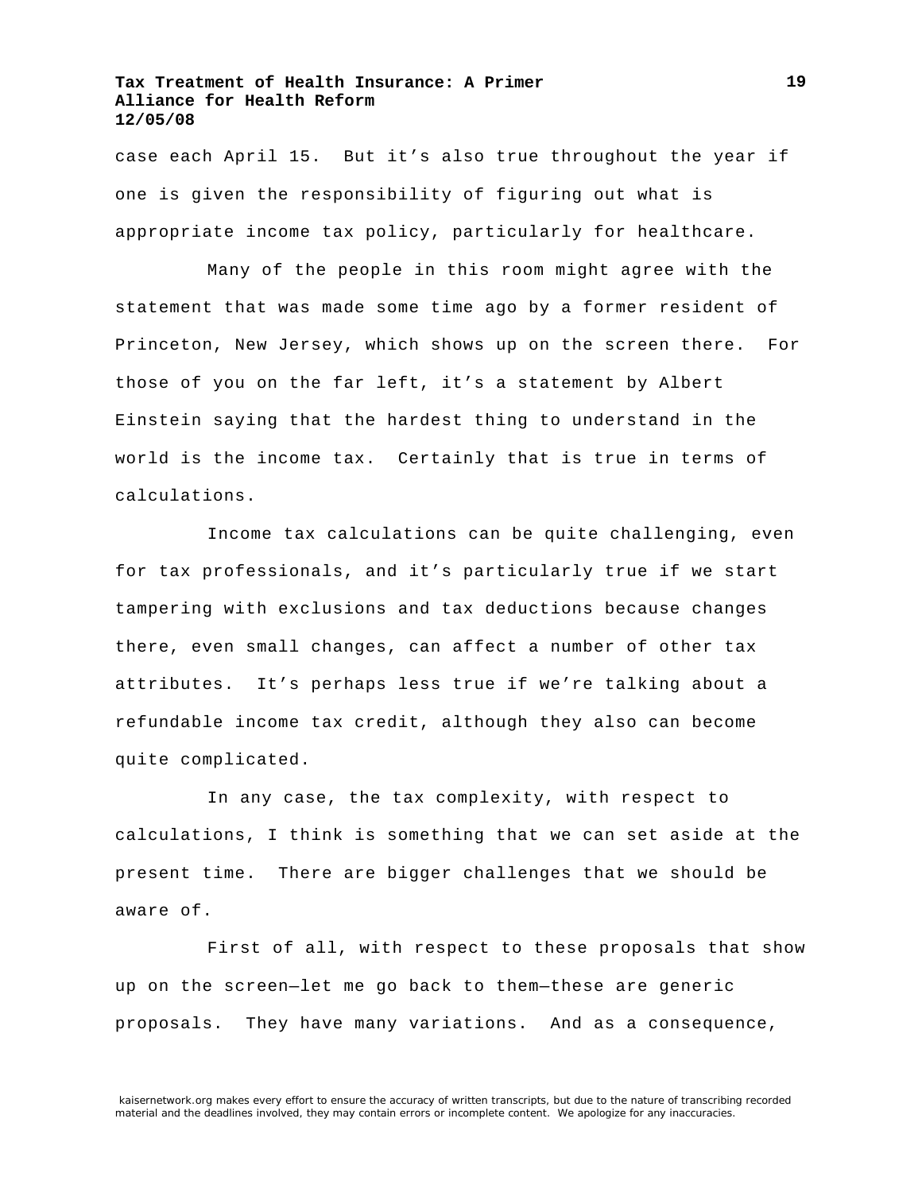case each April 15. But it's also true throughout the year if one is given the responsibility of figuring out what is appropriate income tax policy, particularly for healthcare.

Many of the people in this room might agree with the statement that was made some time ago by a former resident of Princeton, New Jersey, which shows up on the screen there. For those of you on the far left, it's a statement by Albert Einstein saying that the hardest thing to understand in the world is the income tax. Certainly that is true in terms of calculations.

Income tax calculations can be quite challenging, even for tax professionals, and it's particularly true if we start tampering with exclusions and tax deductions because changes there, even small changes, can affect a number of other tax attributes. It's perhaps less true if we're talking about a refundable income tax credit, although they also can become quite complicated.

In any case, the tax complexity, with respect to calculations, I think is something that we can set aside at the present time. There are bigger challenges that we should be aware of.

First of all, with respect to these proposals that show up on the screen—let me go back to them—these are generic proposals. They have many variations. And as a consequence,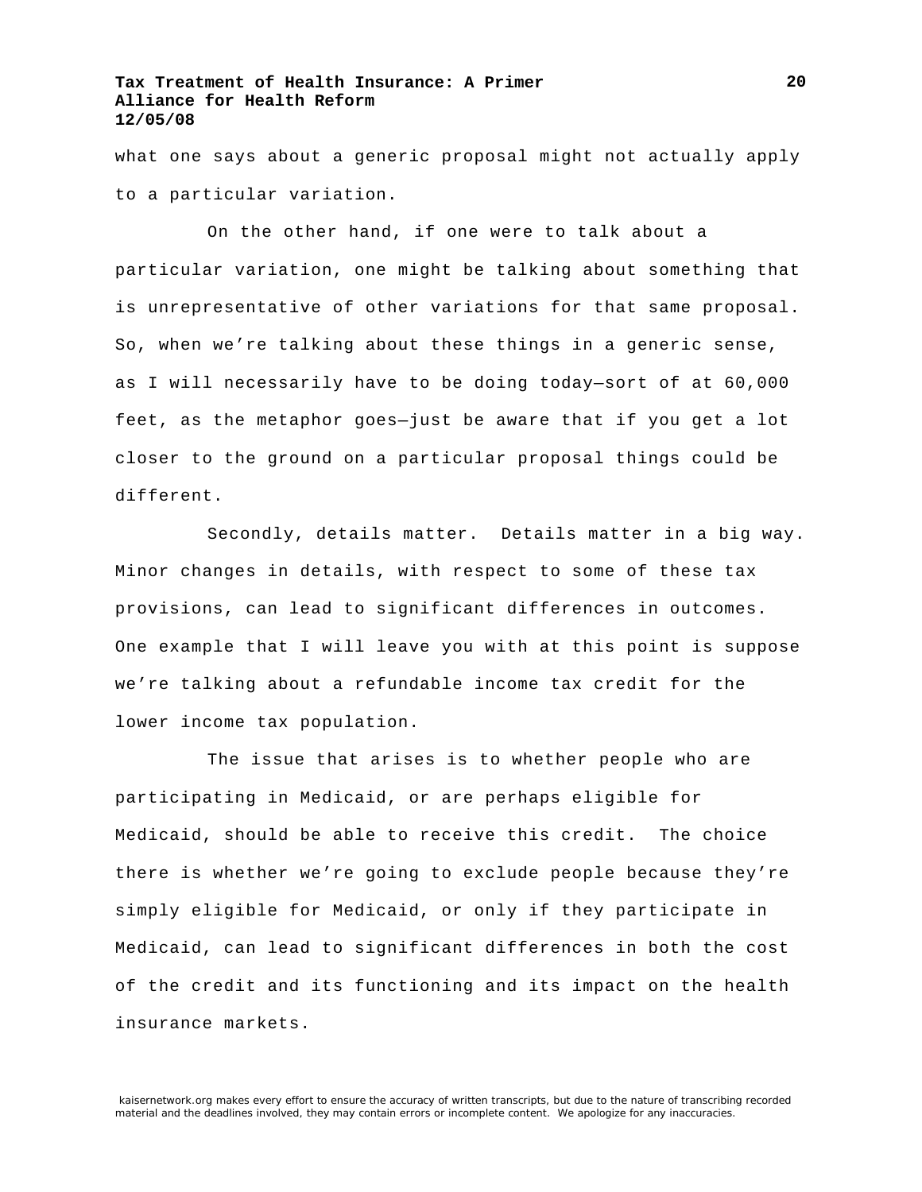what one says about a generic proposal might not actually apply to a particular variation.

On the other hand, if one were to talk about a particular variation, one might be talking about something that is unrepresentative of other variations for that same proposal. So, when we're talking about these things in a generic sense, as I will necessarily have to be doing today—sort of at 60,000 feet, as the metaphor goes—just be aware that if you get a lot closer to the ground on a particular proposal things could be different.

Secondly, details matter. Details matter in a big way. Minor changes in details, with respect to some of these tax provisions, can lead to significant differences in outcomes. One example that I will leave you with at this point is suppose we're talking about a refundable income tax credit for the lower income tax population.

The issue that arises is to whether people who are participating in Medicaid, or are perhaps eligible for Medicaid, should be able to receive this credit. The choice there is whether we're going to exclude people because they're simply eligible for Medicaid, or only if they participate in Medicaid, can lead to significant differences in both the cost of the credit and its functioning and its impact on the health insurance markets.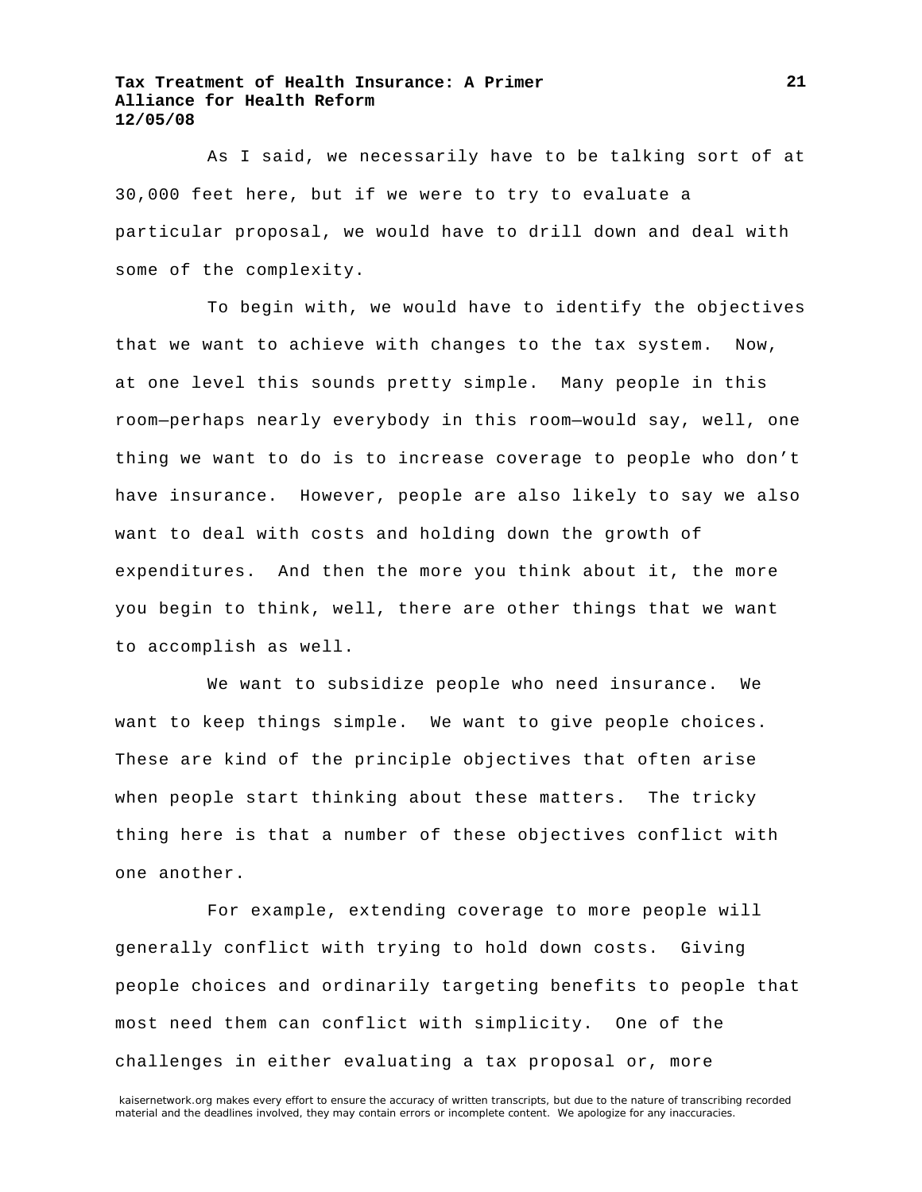As I said, we necessarily have to be talking sort of at 30,000 feet here, but if we were to try to evaluate a particular proposal, we would have to drill down and deal with some of the complexity.

To begin with, we would have to identify the objectives that we want to achieve with changes to the tax system. Now, at one level this sounds pretty simple. Many people in this room—perhaps nearly everybody in this room—would say, well, one thing we want to do is to increase coverage to people who don't have insurance. However, people are also likely to say we also want to deal with costs and holding down the growth of expenditures. And then the more you think about it, the more you begin to think, well, there are other things that we want to accomplish as well.

We want to subsidize people who need insurance. We want to keep things simple. We want to give people choices. These are kind of the principle objectives that often arise when people start thinking about these matters. The tricky thing here is that a number of these objectives conflict with one another.

For example, extending coverage to more people will generally conflict with trying to hold down costs. Giving people choices and ordinarily targeting benefits to people that most need them can conflict with simplicity. One of the challenges in either evaluating a tax proposal or, more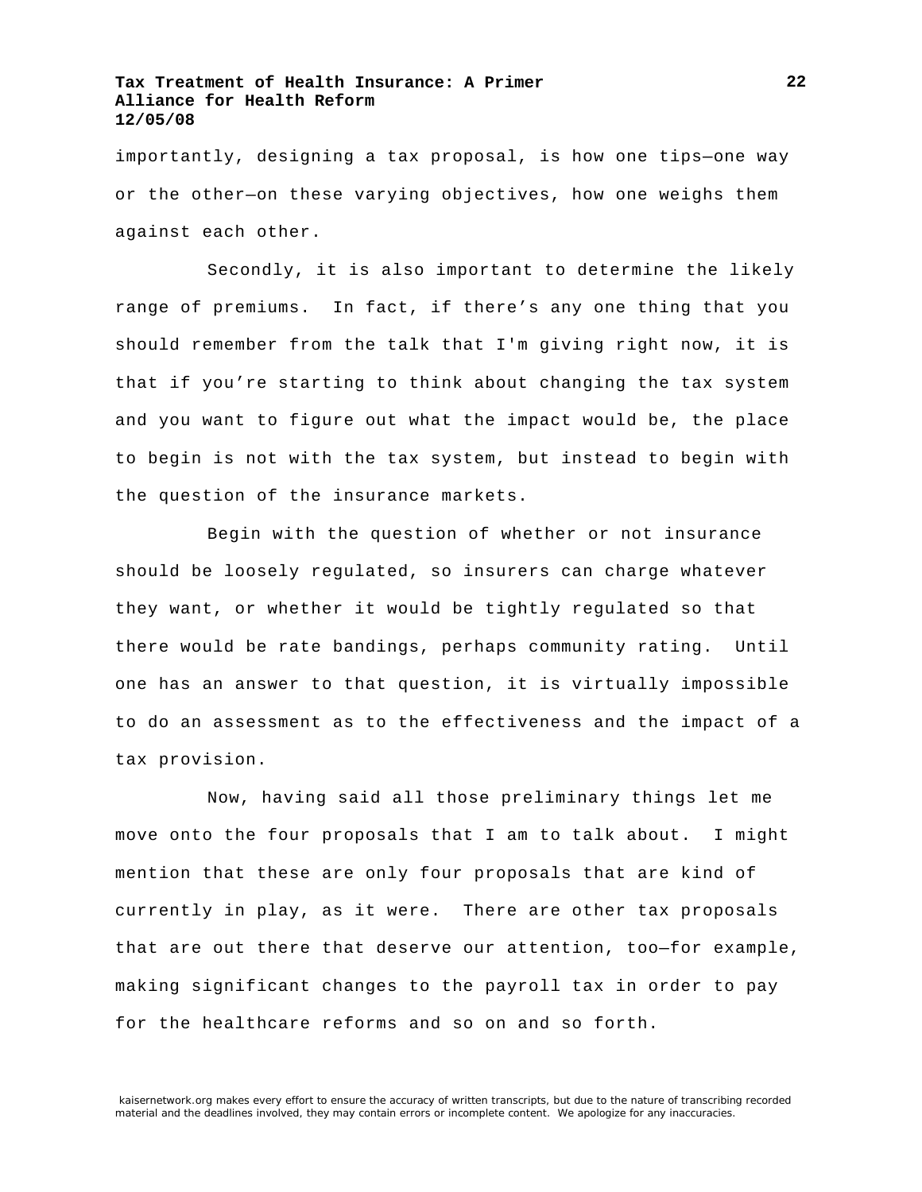importantly, designing a tax proposal, is how one tips—one way or the other—on these varying objectives, how one weighs them against each other.

Secondly, it is also important to determine the likely range of premiums. In fact, if there's any one thing that you should remember from the talk that I'm giving right now, it is that if you're starting to think about changing the tax system and you want to figure out what the impact would be, the place to begin is not with the tax system, but instead to begin with the question of the insurance markets.

Begin with the question of whether or not insurance should be loosely regulated, so insurers can charge whatever they want, or whether it would be tightly regulated so that there would be rate bandings, perhaps community rating. Until one has an answer to that question, it is virtually impossible to do an assessment as to the effectiveness and the impact of a tax provision.

Now, having said all those preliminary things let me move onto the four proposals that I am to talk about. I might mention that these are only four proposals that are kind of currently in play, as it were. There are other tax proposals that are out there that deserve our attention, too—for example, making significant changes to the payroll tax in order to pay for the healthcare reforms and so on and so forth.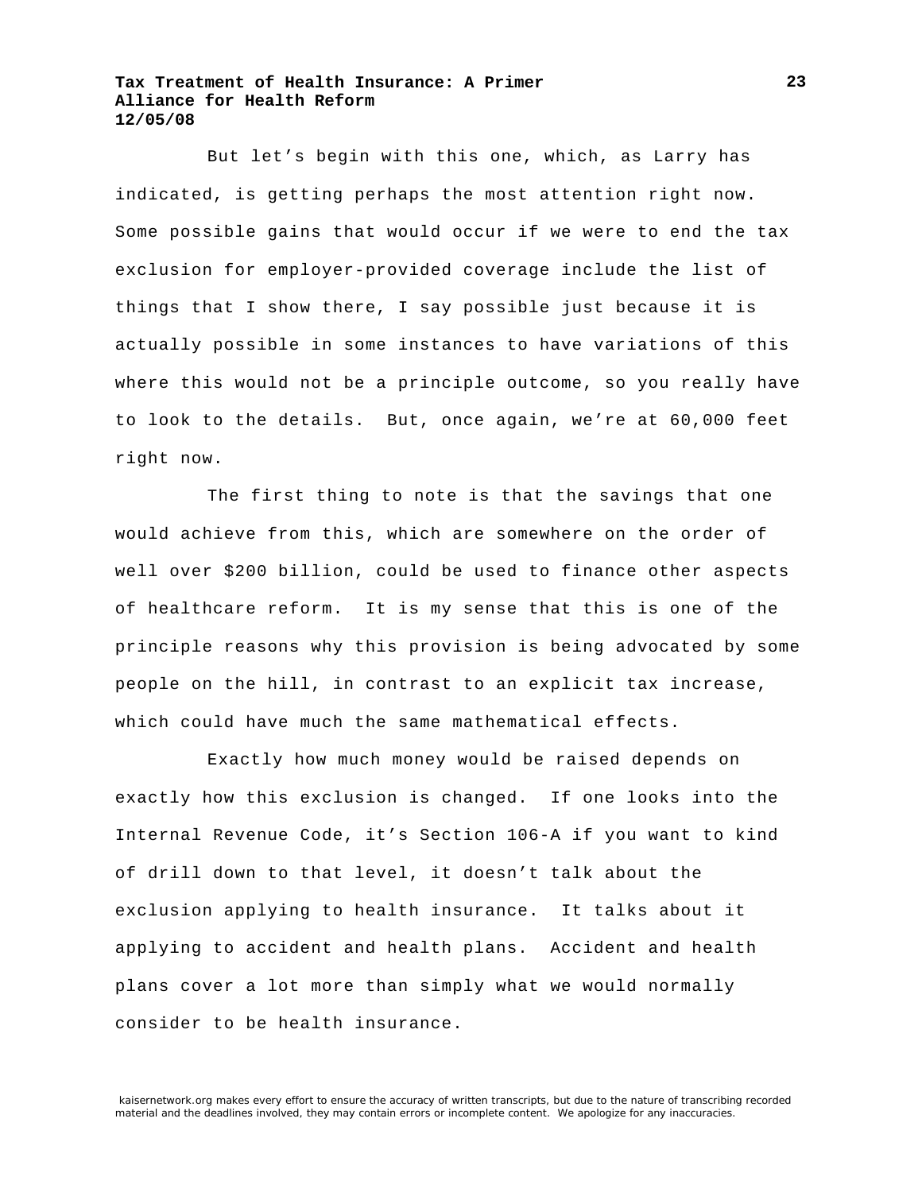But let's begin with this one, which, as Larry has indicated, is getting perhaps the most attention right now. Some possible gains that would occur if we were to end the tax exclusion for employer-provided coverage include the list of things that I show there, I say possible just because it is actually possible in some instances to have variations of this where this would not be a principle outcome, so you really have to look to the details. But, once again, we're at 60,000 feet right now.

The first thing to note is that the savings that one would achieve from this, which are somewhere on the order of well over \$200 billion, could be used to finance other aspects of healthcare reform. It is my sense that this is one of the principle reasons why this provision is being advocated by some people on the hill, in contrast to an explicit tax increase, which could have much the same mathematical effects.

Exactly how much money would be raised depends on exactly how this exclusion is changed. If one looks into the Internal Revenue Code, it's Section 106-A if you want to kind of drill down to that level, it doesn't talk about the exclusion applying to health insurance. It talks about it applying to accident and health plans. Accident and health plans cover a lot more than simply what we would normally consider to be health insurance.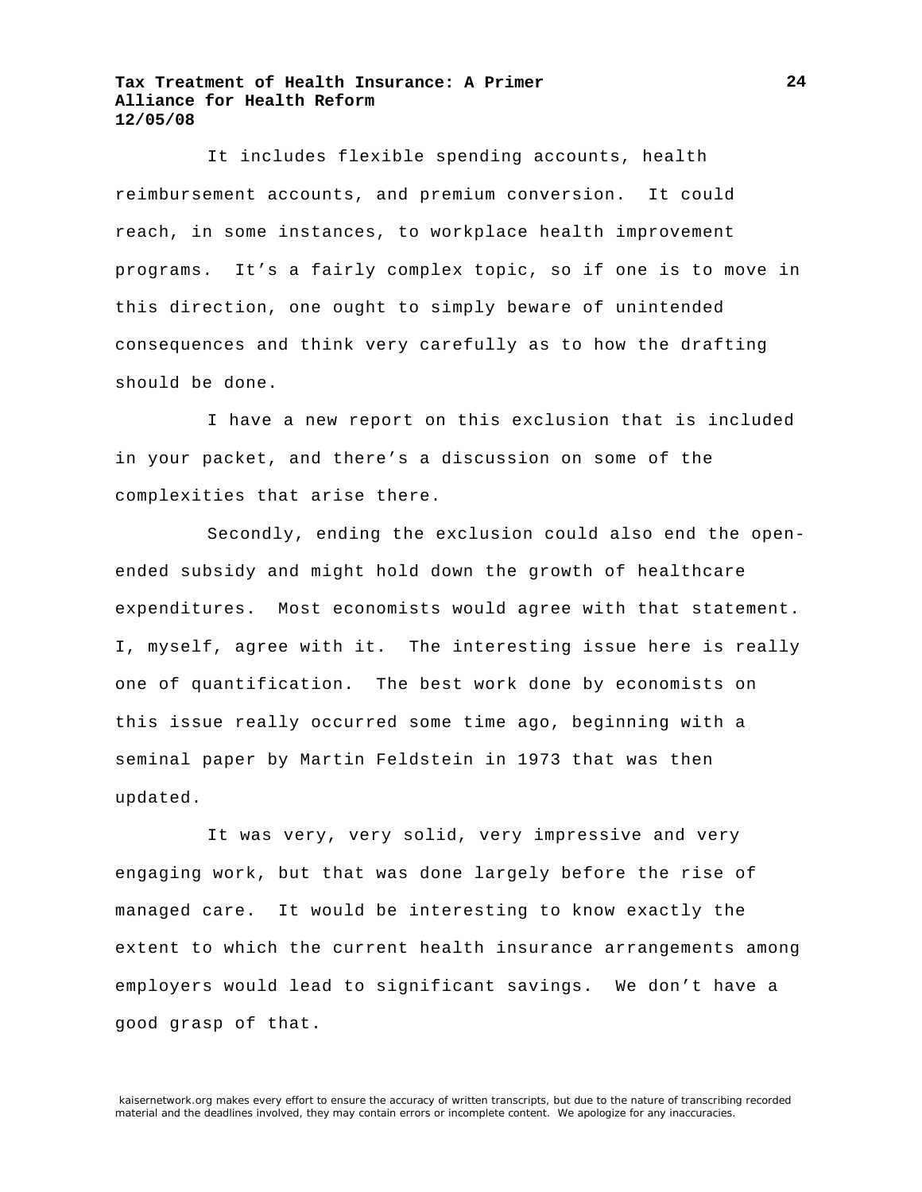It includes flexible spending accounts, health reimbursement accounts, and premium conversion. It could reach, in some instances, to workplace health improvement programs. It's a fairly complex topic, so if one is to move in this direction, one ought to simply beware of unintended consequences and think very carefully as to how the drafting should be done.

I have a new report on this exclusion that is included in your packet, and there's a discussion on some of the complexities that arise there.

Secondly, ending the exclusion could also end the openended subsidy and might hold down the growth of healthcare expenditures. Most economists would agree with that statement. I, myself, agree with it. The interesting issue here is really one of quantification. The best work done by economists on this issue really occurred some time ago, beginning with a seminal paper by Martin Feldstein in 1973 that was then updated.

It was very, very solid, very impressive and very engaging work, but that was done largely before the rise of managed care. It would be interesting to know exactly the extent to which the current health insurance arrangements among employers would lead to significant savings. We don't have a good grasp of that.

**24**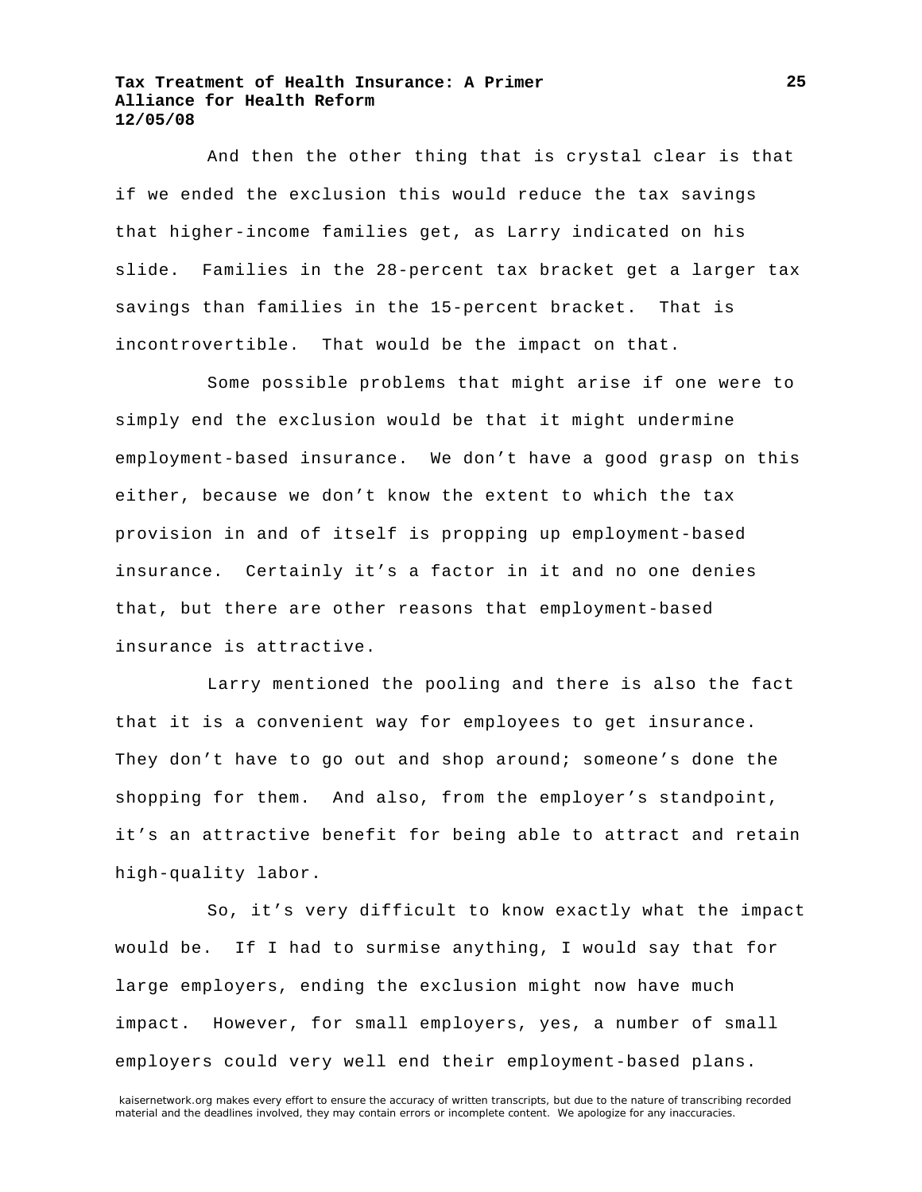And then the other thing that is crystal clear is that if we ended the exclusion this would reduce the tax savings that higher-income families get, as Larry indicated on his slide. Families in the 28-percent tax bracket get a larger tax savings than families in the 15-percent bracket. That is incontrovertible. That would be the impact on that.

Some possible problems that might arise if one were to simply end the exclusion would be that it might undermine employment-based insurance. We don't have a good grasp on this either, because we don't know the extent to which the tax provision in and of itself is propping up employment-based insurance. Certainly it's a factor in it and no one denies that, but there are other reasons that employment-based insurance is attractive.

Larry mentioned the pooling and there is also the fact that it is a convenient way for employees to get insurance. They don't have to go out and shop around; someone's done the shopping for them. And also, from the employer's standpoint, it's an attractive benefit for being able to attract and retain high-quality labor.

So, it's very difficult to know exactly what the impact would be. If I had to surmise anything, I would say that for large employers, ending the exclusion might now have much impact. However, for small employers, yes, a number of small employers could very well end their employment-based plans.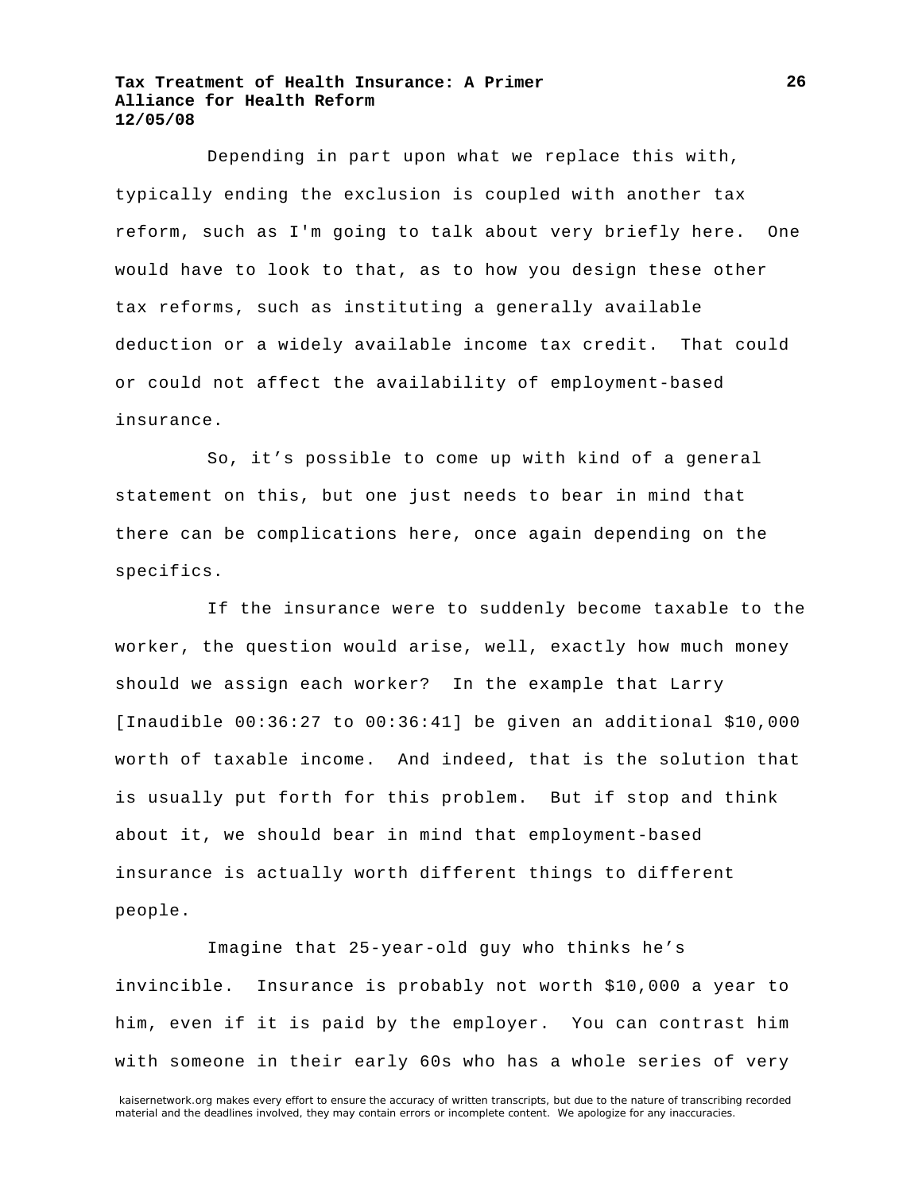Depending in part upon what we replace this with, typically ending the exclusion is coupled with another tax reform, such as I'm going to talk about very briefly here. One would have to look to that, as to how you design these other tax reforms, such as instituting a generally available deduction or a widely available income tax credit. That could or could not affect the availability of employment-based insurance.

So, it's possible to come up with kind of a general statement on this, but one just needs to bear in mind that there can be complications here, once again depending on the specifics.

If the insurance were to suddenly become taxable to the worker, the question would arise, well, exactly how much money should we assign each worker? In the example that Larry [Inaudible 00:36:27 to 00:36:41] be given an additional \$10,000 worth of taxable income. And indeed, that is the solution that is usually put forth for this problem. But if stop and think about it, we should bear in mind that employment-based insurance is actually worth different things to different people.

Imagine that 25-year-old guy who thinks he's invincible. Insurance is probably not worth \$10,000 a year to him, even if it is paid by the employer. You can contrast him with someone in their early 60s who has a whole series of very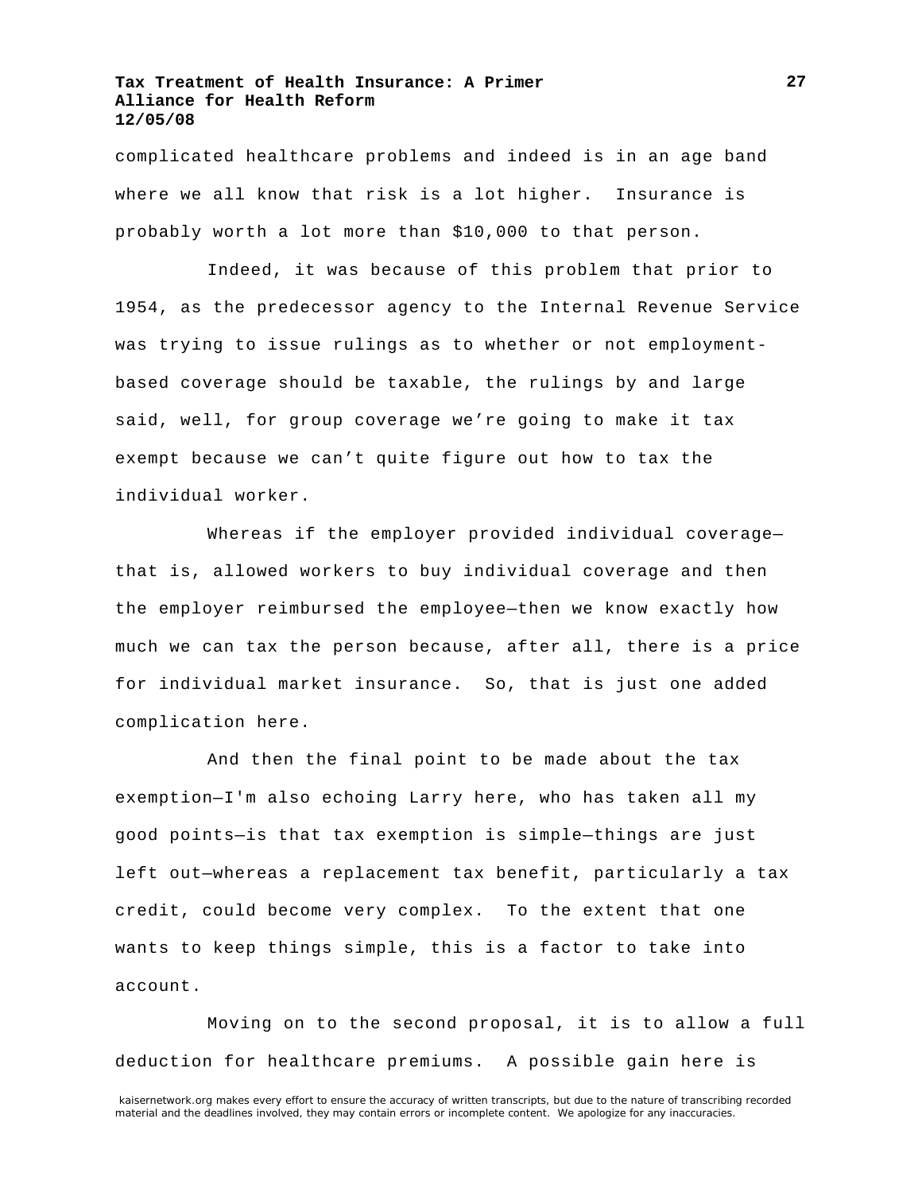complicated healthcare problems and indeed is in an age band where we all know that risk is a lot higher. Insurance is probably worth a lot more than \$10,000 to that person.

Indeed, it was because of this problem that prior to 1954, as the predecessor agency to the Internal Revenue Service was trying to issue rulings as to whether or not employmentbased coverage should be taxable, the rulings by and large said, well, for group coverage we're going to make it tax exempt because we can't quite figure out how to tax the individual worker.

Whereas if the employer provided individual coverage that is, allowed workers to buy individual coverage and then the employer reimbursed the employee—then we know exactly how much we can tax the person because, after all, there is a price for individual market insurance. So, that is just one added complication here.

And then the final point to be made about the tax exemption—I'm also echoing Larry here, who has taken all my good points—is that tax exemption is simple—things are just left out—whereas a replacement tax benefit, particularly a tax credit, could become very complex. To the extent that one wants to keep things simple, this is a factor to take into account.

Moving on to the second proposal, it is to allow a full deduction for healthcare premiums. A possible gain here is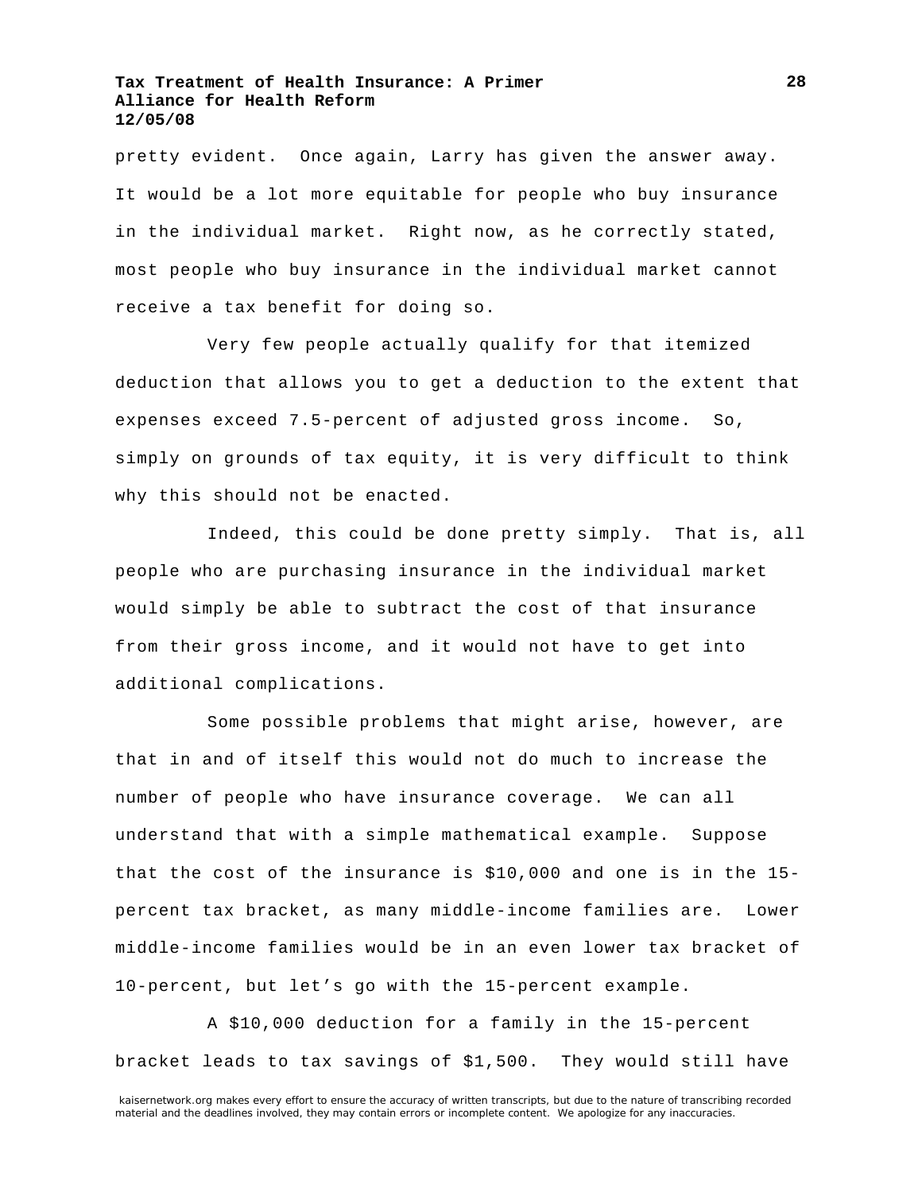pretty evident. Once again, Larry has given the answer away. It would be a lot more equitable for people who buy insurance in the individual market. Right now, as he correctly stated, most people who buy insurance in the individual market cannot receive a tax benefit for doing so.

Very few people actually qualify for that itemized deduction that allows you to get a deduction to the extent that expenses exceed 7.5-percent of adjusted gross income. So, simply on grounds of tax equity, it is very difficult to think why this should not be enacted.

Indeed, this could be done pretty simply. That is, all people who are purchasing insurance in the individual market would simply be able to subtract the cost of that insurance from their gross income, and it would not have to get into additional complications.

Some possible problems that might arise, however, are that in and of itself this would not do much to increase the number of people who have insurance coverage. We can all understand that with a simple mathematical example. Suppose that the cost of the insurance is \$10,000 and one is in the 15 percent tax bracket, as many middle-income families are. Lower middle-income families would be in an even lower tax bracket of 10-percent, but let's go with the 15-percent example.

A \$10,000 deduction for a family in the 15-percent bracket leads to tax savings of \$1,500. They would still have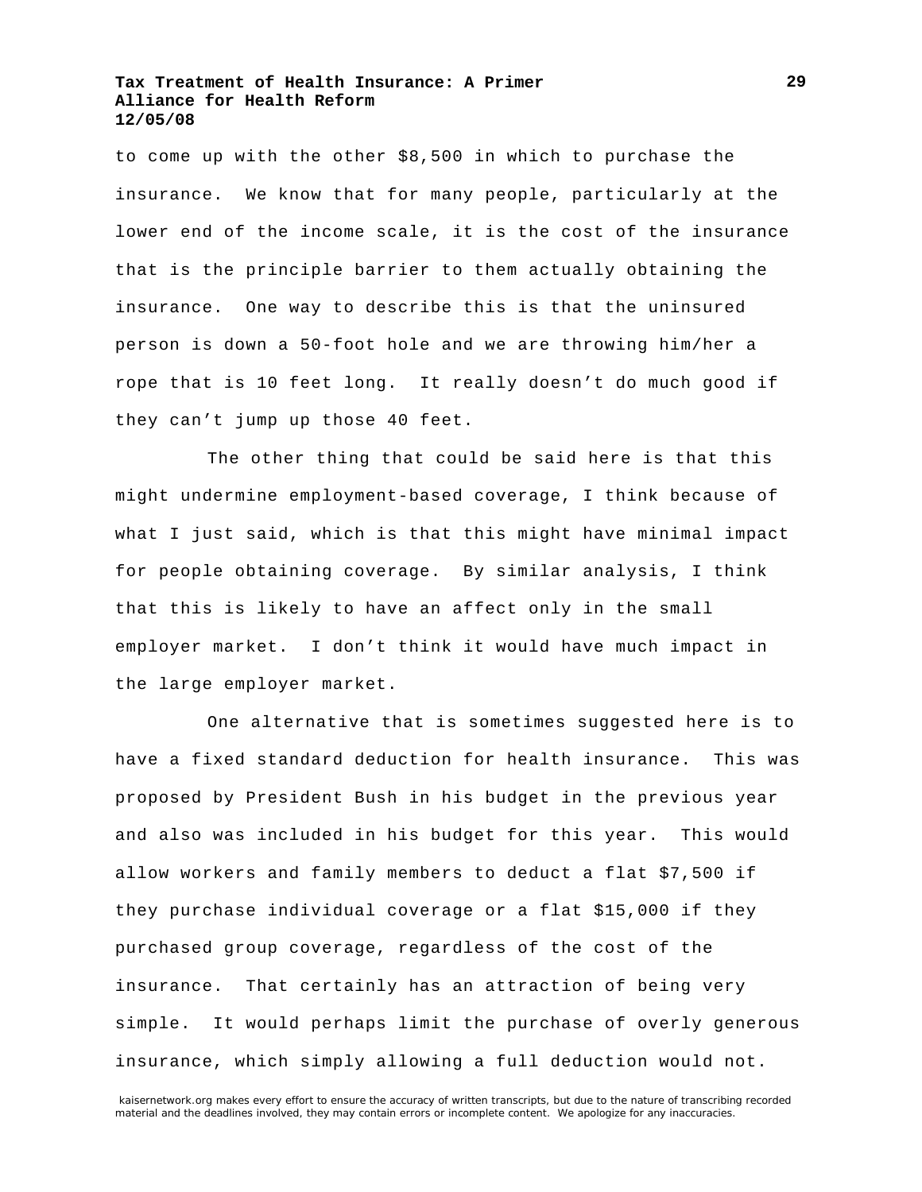to come up with the other \$8,500 in which to purchase the insurance. We know that for many people, particularly at the lower end of the income scale, it is the cost of the insurance that is the principle barrier to them actually obtaining the insurance. One way to describe this is that the uninsured person is down a 50-foot hole and we are throwing him/her a rope that is 10 feet long. It really doesn't do much good if they can't jump up those 40 feet.

The other thing that could be said here is that this might undermine employment-based coverage, I think because of what I just said, which is that this might have minimal impact for people obtaining coverage. By similar analysis, I think that this is likely to have an affect only in the small employer market. I don't think it would have much impact in the large employer market.

One alternative that is sometimes suggested here is to have a fixed standard deduction for health insurance. This was proposed by President Bush in his budget in the previous year and also was included in his budget for this year. This would allow workers and family members to deduct a flat \$7,500 if they purchase individual coverage or a flat \$15,000 if they purchased group coverage, regardless of the cost of the insurance. That certainly has an attraction of being very simple. It would perhaps limit the purchase of overly generous insurance, which simply allowing a full deduction would not.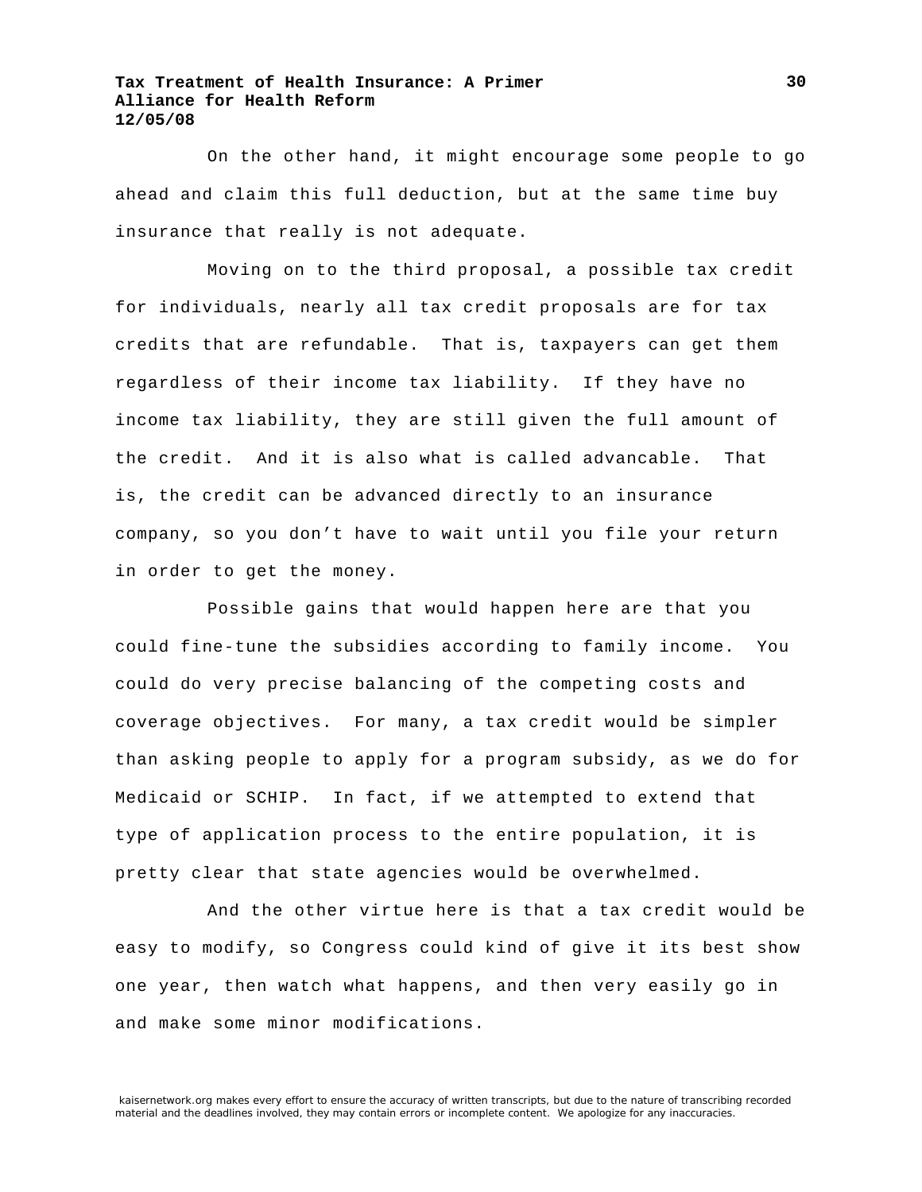On the other hand, it might encourage some people to go ahead and claim this full deduction, but at the same time buy insurance that really is not adequate.

Moving on to the third proposal, a possible tax credit for individuals, nearly all tax credit proposals are for tax credits that are refundable. That is, taxpayers can get them regardless of their income tax liability. If they have no income tax liability, they are still given the full amount of the credit. And it is also what is called advancable. That is, the credit can be advanced directly to an insurance company, so you don't have to wait until you file your return in order to get the money.

Possible gains that would happen here are that you could fine-tune the subsidies according to family income. You could do very precise balancing of the competing costs and coverage objectives. For many, a tax credit would be simpler than asking people to apply for a program subsidy, as we do for Medicaid or SCHIP. In fact, if we attempted to extend that type of application process to the entire population, it is pretty clear that state agencies would be overwhelmed.

And the other virtue here is that a tax credit would be easy to modify, so Congress could kind of give it its best show one year, then watch what happens, and then very easily go in and make some minor modifications.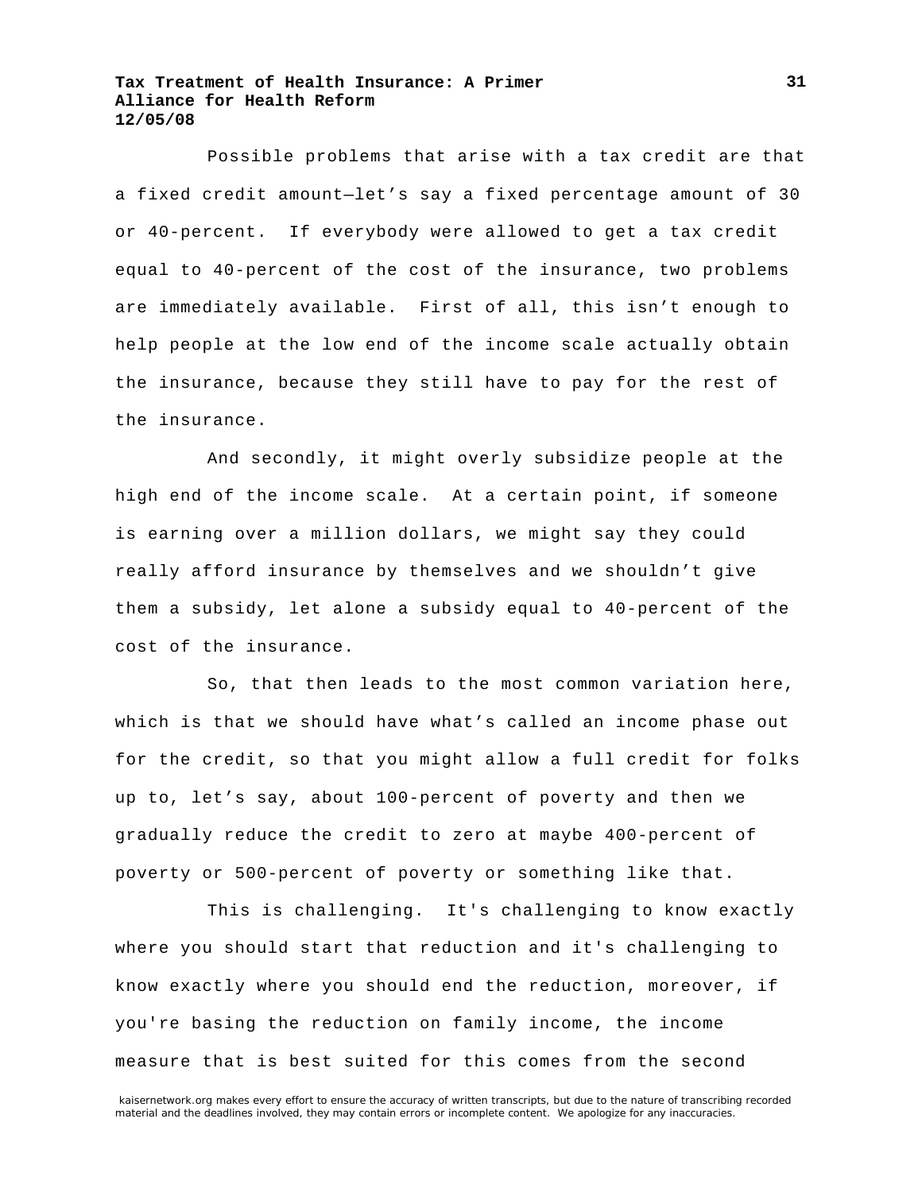Possible problems that arise with a tax credit are that a fixed credit amount—let's say a fixed percentage amount of 30 or 40-percent. If everybody were allowed to get a tax credit equal to 40-percent of the cost of the insurance, two problems are immediately available. First of all, this isn't enough to help people at the low end of the income scale actually obtain the insurance, because they still have to pay for the rest of the insurance.

And secondly, it might overly subsidize people at the high end of the income scale. At a certain point, if someone is earning over a million dollars, we might say they could really afford insurance by themselves and we shouldn't give them a subsidy, let alone a subsidy equal to 40-percent of the cost of the insurance.

So, that then leads to the most common variation here, which is that we should have what's called an income phase out for the credit, so that you might allow a full credit for folks up to, let's say, about 100-percent of poverty and then we gradually reduce the credit to zero at maybe 400-percent of poverty or 500-percent of poverty or something like that.

This is challenging. It's challenging to know exactly where you should start that reduction and it's challenging to know exactly where you should end the reduction, moreover, if you're basing the reduction on family income, the income measure that is best suited for this comes from the second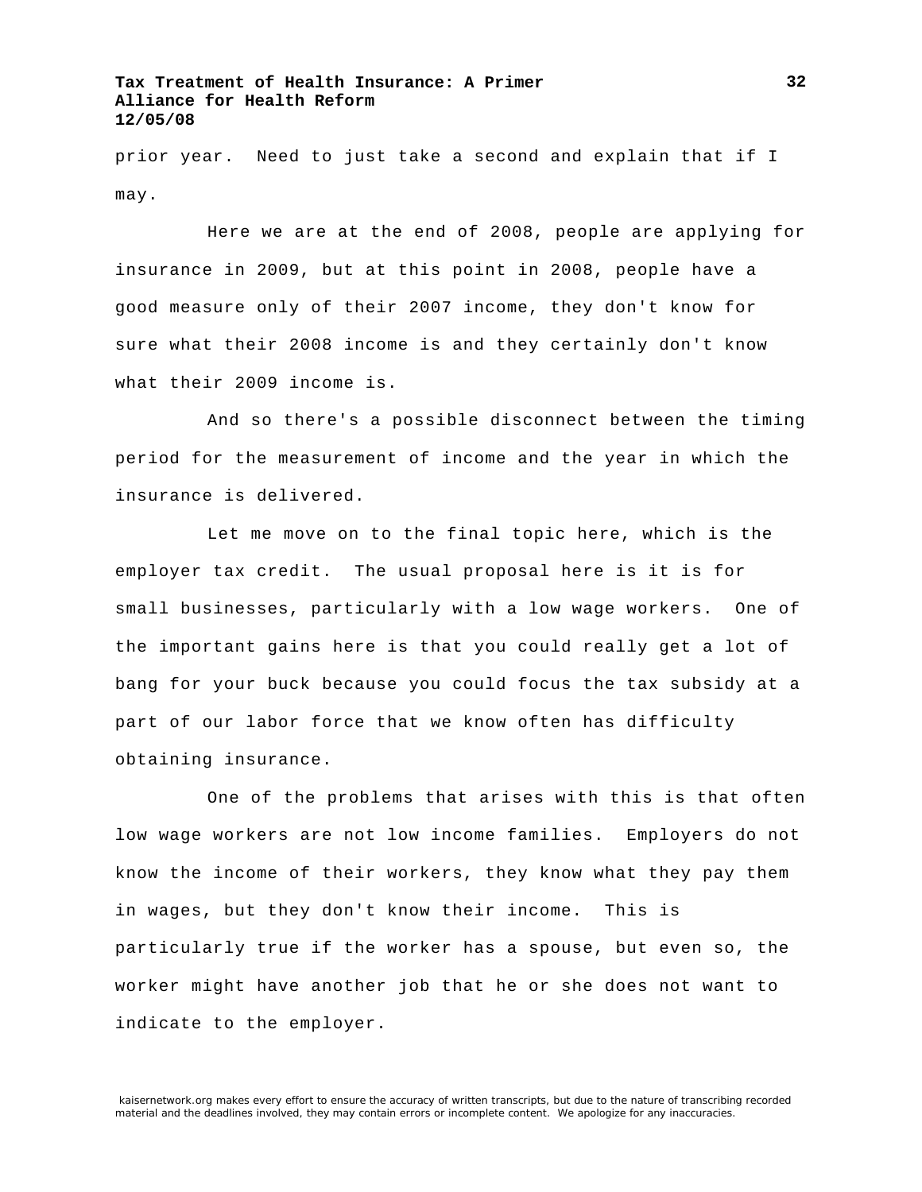prior year. Need to just take a second and explain that if I may.

Here we are at the end of 2008, people are applying for insurance in 2009, but at this point in 2008, people have a good measure only of their 2007 income, they don't know for sure what their 2008 income is and they certainly don't know what their 2009 income is.

And so there's a possible disconnect between the timing period for the measurement of income and the year in which the insurance is delivered.

Let me move on to the final topic here, which is the employer tax credit. The usual proposal here is it is for small businesses, particularly with a low wage workers. One of the important gains here is that you could really get a lot of bang for your buck because you could focus the tax subsidy at a part of our labor force that we know often has difficulty obtaining insurance.

One of the problems that arises with this is that often low wage workers are not low income families. Employers do not know the income of their workers, they know what they pay them in wages, but they don't know their income. This is particularly true if the worker has a spouse, but even so, the worker might have another job that he or she does not want to indicate to the employer.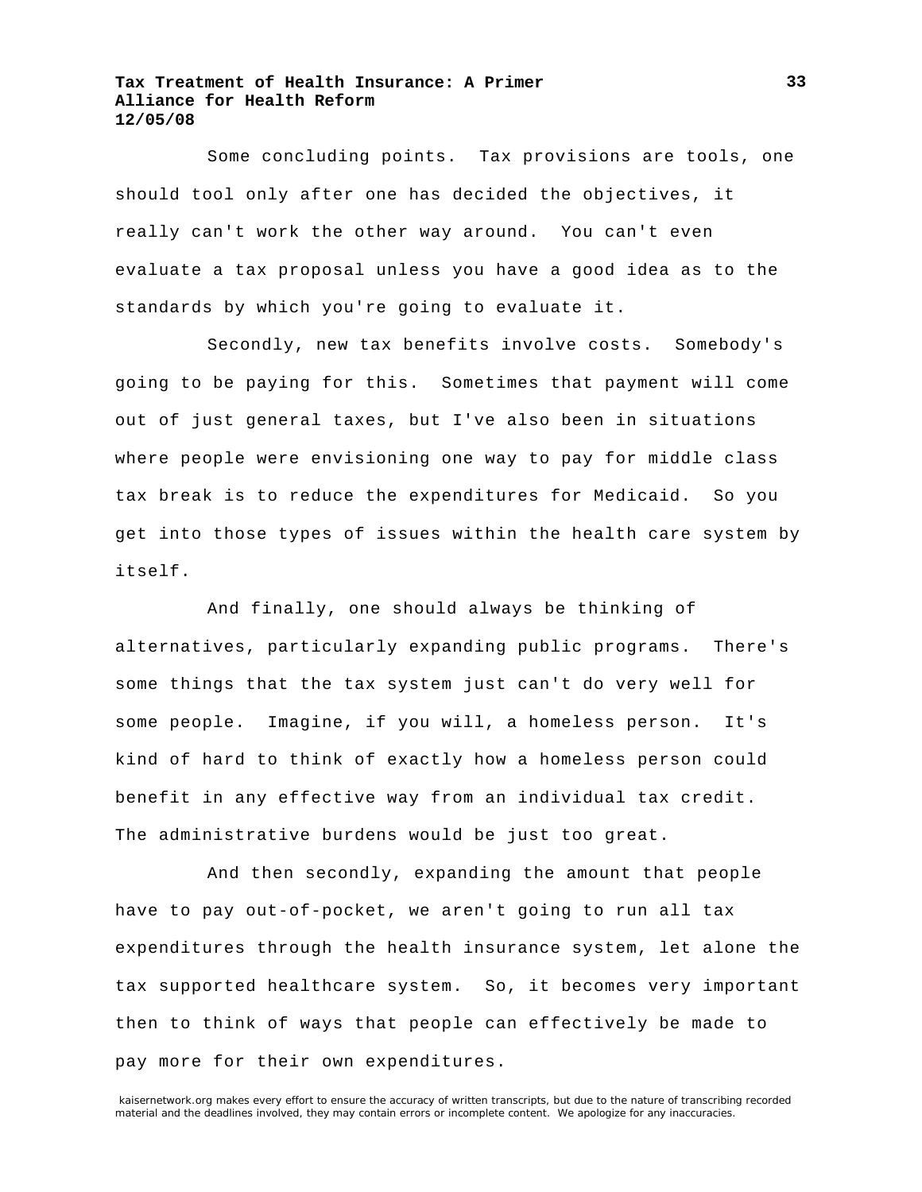Some concluding points. Tax provisions are tools, one should tool only after one has decided the objectives, it really can't work the other way around. You can't even evaluate a tax proposal unless you have a good idea as to the standards by which you're going to evaluate it.

Secondly, new tax benefits involve costs. Somebody's going to be paying for this. Sometimes that payment will come out of just general taxes, but I've also been in situations where people were envisioning one way to pay for middle class tax break is to reduce the expenditures for Medicaid. So you get into those types of issues within the health care system by itself.

And finally, one should always be thinking of alternatives, particularly expanding public programs. There's some things that the tax system just can't do very well for some people. Imagine, if you will, a homeless person. It's kind of hard to think of exactly how a homeless person could benefit in any effective way from an individual tax credit. The administrative burdens would be just too great.

And then secondly, expanding the amount that people have to pay out-of-pocket, we aren't going to run all tax expenditures through the health insurance system, let alone the tax supported healthcare system. So, it becomes very important then to think of ways that people can effectively be made to pay more for their own expenditures.

kaisernetwork.org makes every effort to ensure the accuracy of written transcripts, but due to the nature of transcribing recorded material and the deadlines involved, they may contain errors or incomplete content. We apologize for any inaccuracies.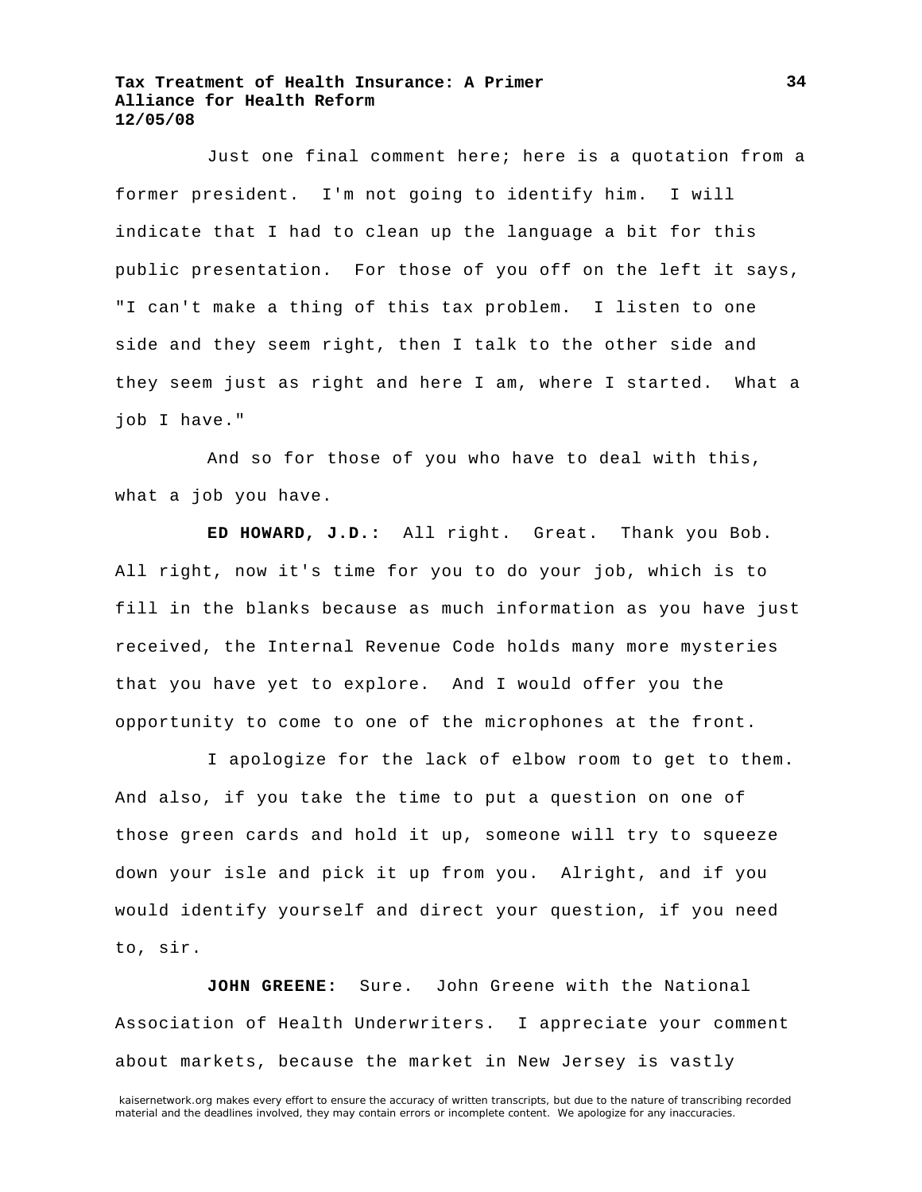Just one final comment here; here is a quotation from a former president. I'm not going to identify him. I will indicate that I had to clean up the language a bit for this public presentation. For those of you off on the left it says, "I can't make a thing of this tax problem. I listen to one side and they seem right, then I talk to the other side and they seem just as right and here I am, where I started. What a job I have."

And so for those of you who have to deal with this, what a job you have.

**ED HOWARD, J.D.:** All right. Great. Thank you Bob. All right, now it's time for you to do your job, which is to fill in the blanks because as much information as you have just received, the Internal Revenue Code holds many more mysteries that you have yet to explore. And I would offer you the opportunity to come to one of the microphones at the front.

I apologize for the lack of elbow room to get to them. And also, if you take the time to put a question on one of those green cards and hold it up, someone will try to squeeze down your isle and pick it up from you. Alright, and if you would identify yourself and direct your question, if you need to, sir.

**JOHN GREENE:** Sure. John Greene with the National Association of Health Underwriters. I appreciate your comment about markets, because the market in New Jersey is vastly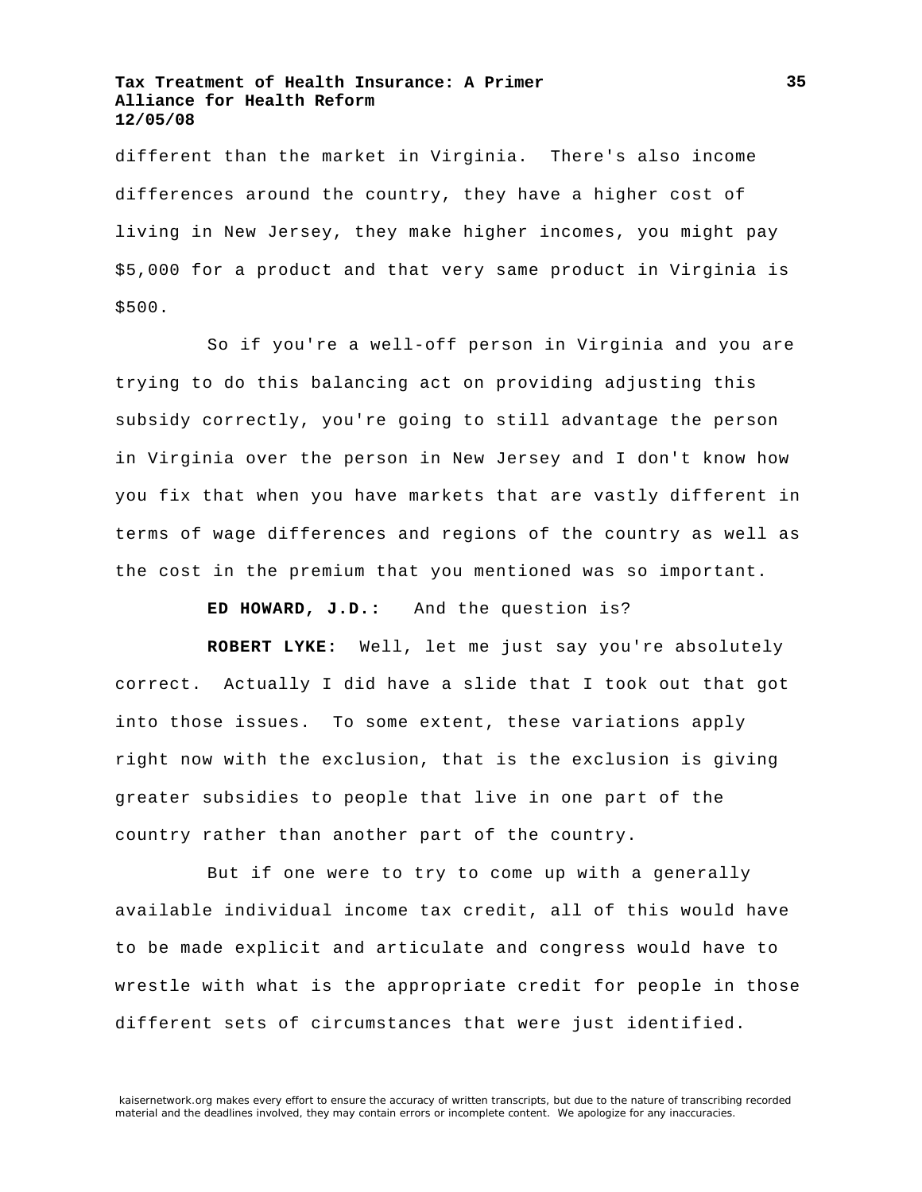different than the market in Virginia. There's also income differences around the country, they have a higher cost of living in New Jersey, they make higher incomes, you might pay \$5,000 for a product and that very same product in Virginia is \$500.

So if you're a well-off person in Virginia and you are trying to do this balancing act on providing adjusting this subsidy correctly, you're going to still advantage the person in Virginia over the person in New Jersey and I don't know how you fix that when you have markets that are vastly different in terms of wage differences and regions of the country as well as the cost in the premium that you mentioned was so important.

**ED HOWARD, J.D.:** And the question is?

**ROBERT LYKE:** Well, let me just say you're absolutely correct. Actually I did have a slide that I took out that got into those issues. To some extent, these variations apply right now with the exclusion, that is the exclusion is giving greater subsidies to people that live in one part of the country rather than another part of the country.

But if one were to try to come up with a generally available individual income tax credit, all of this would have to be made explicit and articulate and congress would have to wrestle with what is the appropriate credit for people in those different sets of circumstances that were just identified.

**35**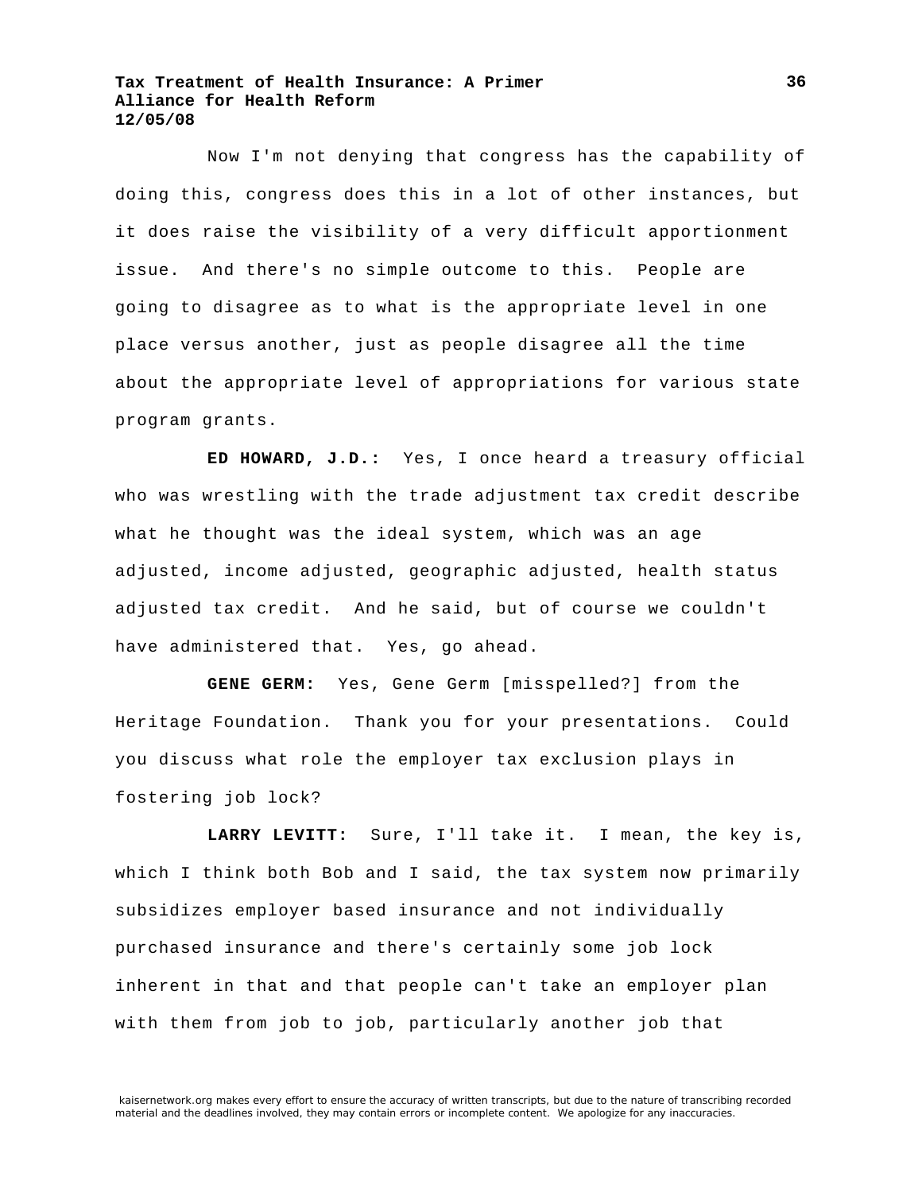Now I'm not denying that congress has the capability of doing this, congress does this in a lot of other instances, but it does raise the visibility of a very difficult apportionment issue. And there's no simple outcome to this. People are going to disagree as to what is the appropriate level in one place versus another, just as people disagree all the time about the appropriate level of appropriations for various state program grants.

**ED HOWARD, J.D.:** Yes, I once heard a treasury official who was wrestling with the trade adjustment tax credit describe what he thought was the ideal system, which was an age adjusted, income adjusted, geographic adjusted, health status adjusted tax credit. And he said, but of course we couldn't have administered that. Yes, go ahead.

**GENE GERM:** Yes, Gene Germ [misspelled?] from the Heritage Foundation. Thank you for your presentations. Could you discuss what role the employer tax exclusion plays in fostering job lock?

**LARRY LEVITT:** Sure, I'll take it. I mean, the key is, which I think both Bob and I said, the tax system now primarily subsidizes employer based insurance and not individually purchased insurance and there's certainly some job lock inherent in that and that people can't take an employer plan with them from job to job, particularly another job that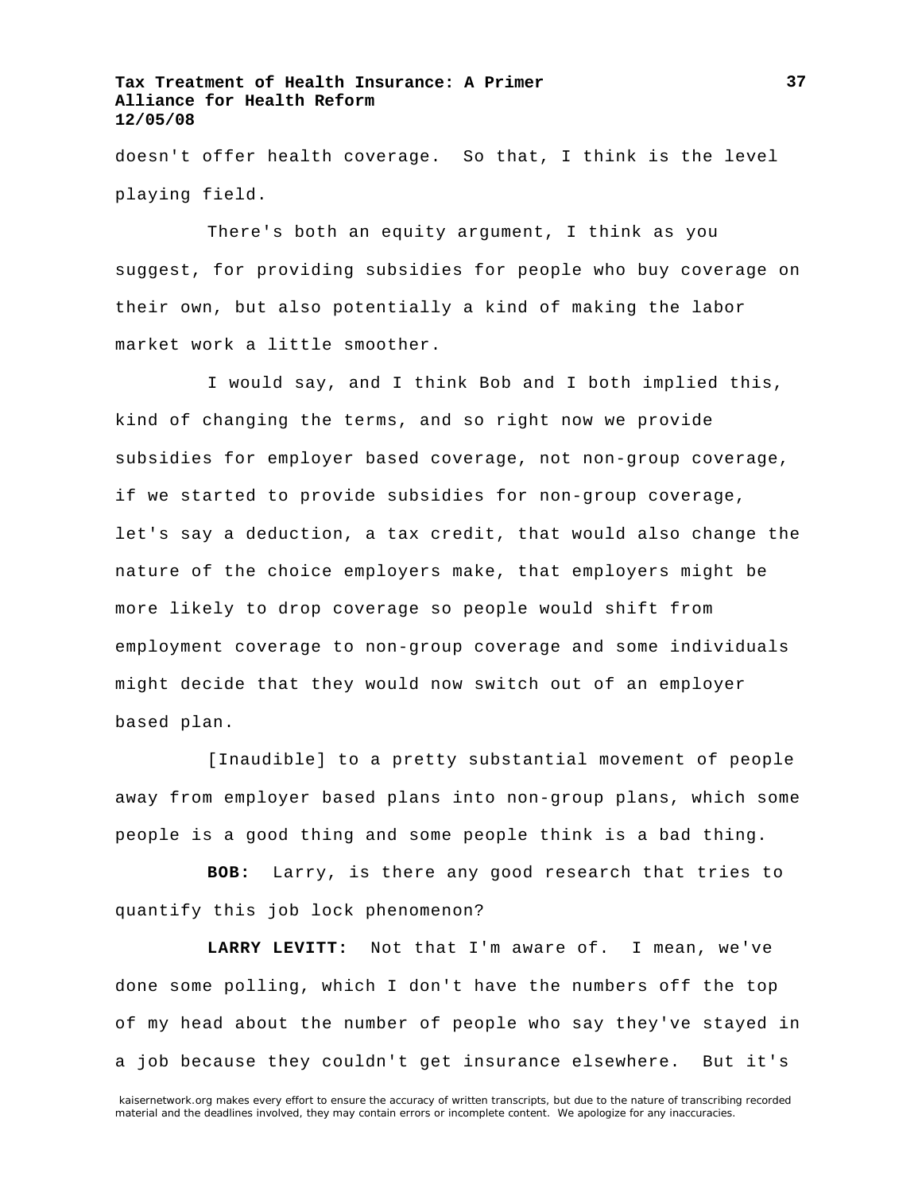doesn't offer health coverage. So that, I think is the level playing field.

There's both an equity argument, I think as you suggest, for providing subsidies for people who buy coverage on their own, but also potentially a kind of making the labor market work a little smoother.

I would say, and I think Bob and I both implied this, kind of changing the terms, and so right now we provide subsidies for employer based coverage, not non-group coverage, if we started to provide subsidies for non-group coverage, let's say a deduction, a tax credit, that would also change the nature of the choice employers make, that employers might be more likely to drop coverage so people would shift from employment coverage to non-group coverage and some individuals might decide that they would now switch out of an employer based plan.

[Inaudible] to a pretty substantial movement of people away from employer based plans into non-group plans, which some people is a good thing and some people think is a bad thing.

**BOB:** Larry, is there any good research that tries to quantify this job lock phenomenon?

**LARRY LEVITT:** Not that I'm aware of. I mean, we've done some polling, which I don't have the numbers off the top of my head about the number of people who say they've stayed in a job because they couldn't get insurance elsewhere. But it's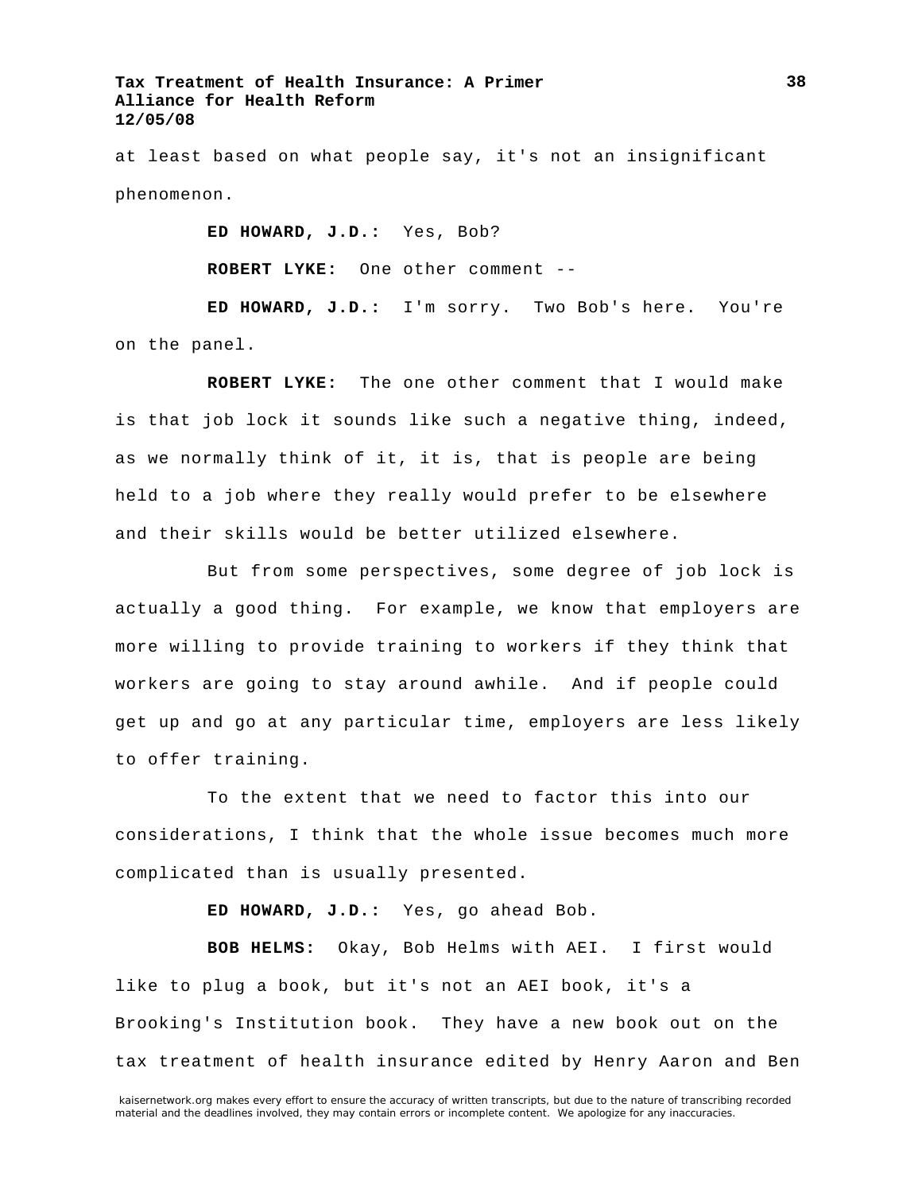at least based on what people say, it's not an insignificant phenomenon.

**ED HOWARD, J.D.:** Yes, Bob?

**ROBERT LYKE:** One other comment --

**ED HOWARD, J.D.:** I'm sorry. Two Bob's here. You're on the panel.

**ROBERT LYKE:** The one other comment that I would make is that job lock it sounds like such a negative thing, indeed, as we normally think of it, it is, that is people are being held to a job where they really would prefer to be elsewhere and their skills would be better utilized elsewhere.

But from some perspectives, some degree of job lock is actually a good thing. For example, we know that employers are more willing to provide training to workers if they think that workers are going to stay around awhile. And if people could get up and go at any particular time, employers are less likely to offer training.

To the extent that we need to factor this into our considerations, I think that the whole issue becomes much more complicated than is usually presented.

**ED HOWARD, J.D.:** Yes, go ahead Bob.

**BOB HELMS:** Okay, Bob Helms with AEI. I first would like to plug a book, but it's not an AEI book, it's a Brooking's Institution book. They have a new book out on the tax treatment of health insurance edited by Henry Aaron and Ben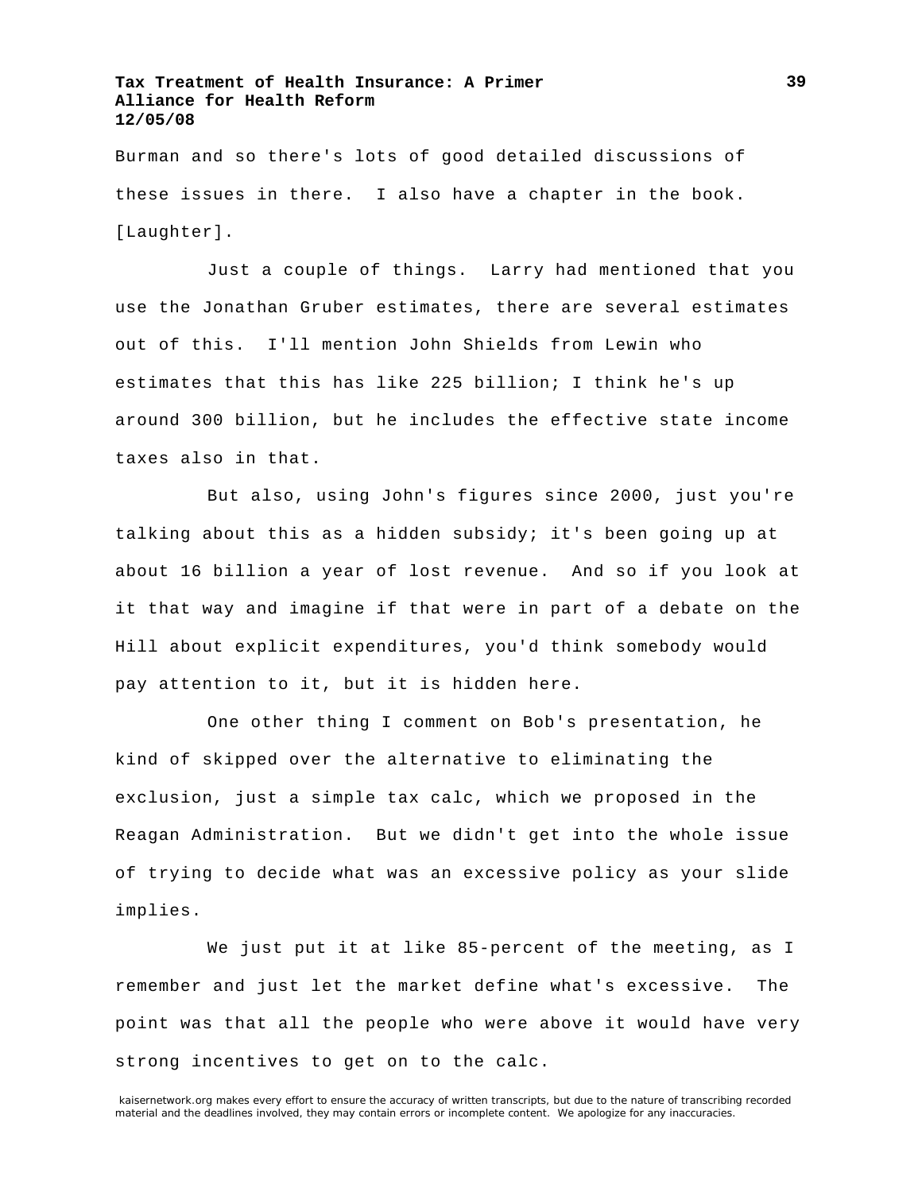Burman and so there's lots of good detailed discussions of these issues in there. I also have a chapter in the book. [Laughter].

Just a couple of things. Larry had mentioned that you use the Jonathan Gruber estimates, there are several estimates out of this. I'll mention John Shields from Lewin who estimates that this has like 225 billion; I think he's up around 300 billion, but he includes the effective state income taxes also in that.

But also, using John's figures since 2000, just you're talking about this as a hidden subsidy; it's been going up at about 16 billion a year of lost revenue. And so if you look at it that way and imagine if that were in part of a debate on the Hill about explicit expenditures, you'd think somebody would pay attention to it, but it is hidden here.

One other thing I comment on Bob's presentation, he kind of skipped over the alternative to eliminating the exclusion, just a simple tax calc, which we proposed in the Reagan Administration. But we didn't get into the whole issue of trying to decide what was an excessive policy as your slide implies.

We just put it at like 85-percent of the meeting, as I remember and just let the market define what's excessive. The point was that all the people who were above it would have very strong incentives to get on to the calc.

kaisernetwork.org makes every effort to ensure the accuracy of written transcripts, but due to the nature of transcribing recorded material and the deadlines involved, they may contain errors or incomplete content. We apologize for any inaccuracies.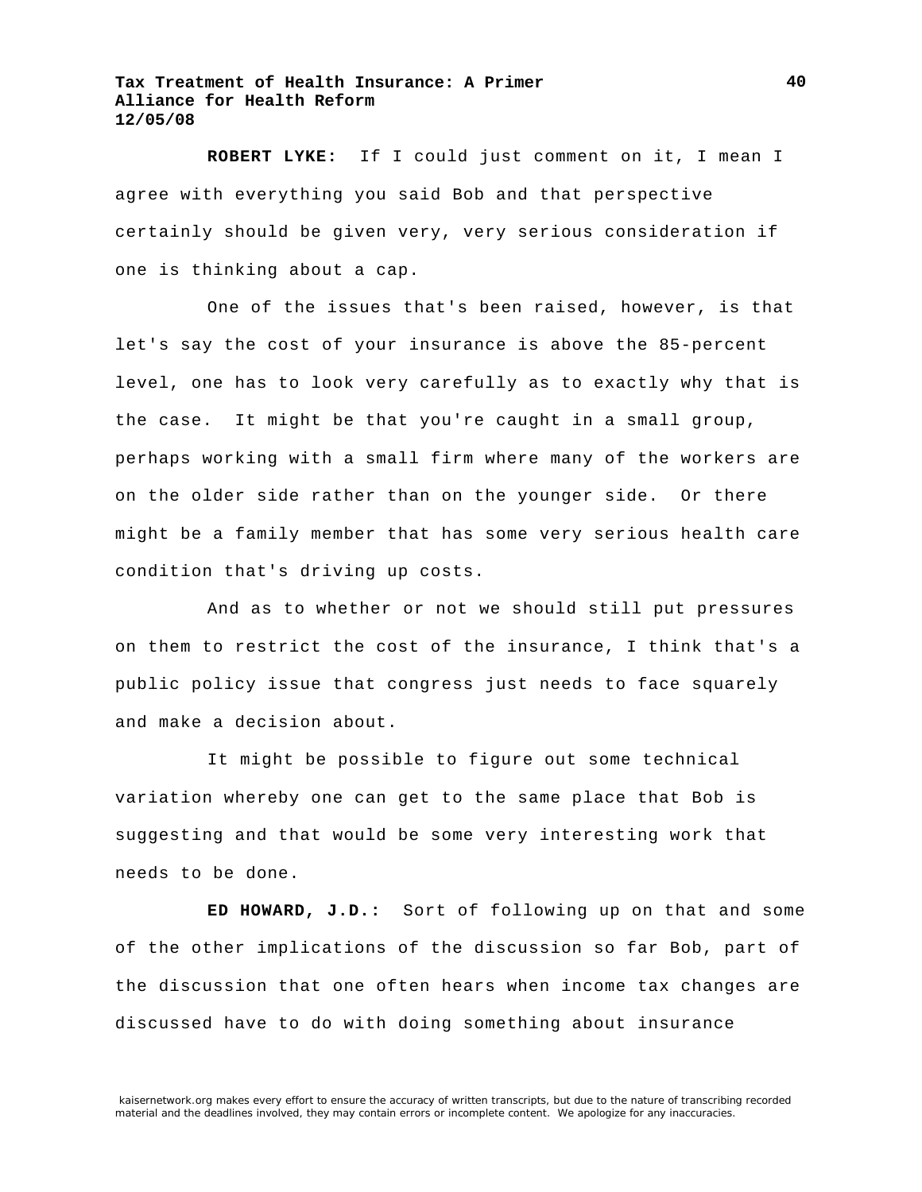**ROBERT LYKE:** If I could just comment on it, I mean I agree with everything you said Bob and that perspective certainly should be given very, very serious consideration if one is thinking about a cap.

One of the issues that's been raised, however, is that let's say the cost of your insurance is above the 85-percent level, one has to look very carefully as to exactly why that is the case. It might be that you're caught in a small group, perhaps working with a small firm where many of the workers are on the older side rather than on the younger side. Or there might be a family member that has some very serious health care condition that's driving up costs.

And as to whether or not we should still put pressures on them to restrict the cost of the insurance, I think that's a public policy issue that congress just needs to face squarely and make a decision about.

It might be possible to figure out some technical variation whereby one can get to the same place that Bob is suggesting and that would be some very interesting work that needs to be done.

**ED HOWARD, J.D.:** Sort of following up on that and some of the other implications of the discussion so far Bob, part of the discussion that one often hears when income tax changes are discussed have to do with doing something about insurance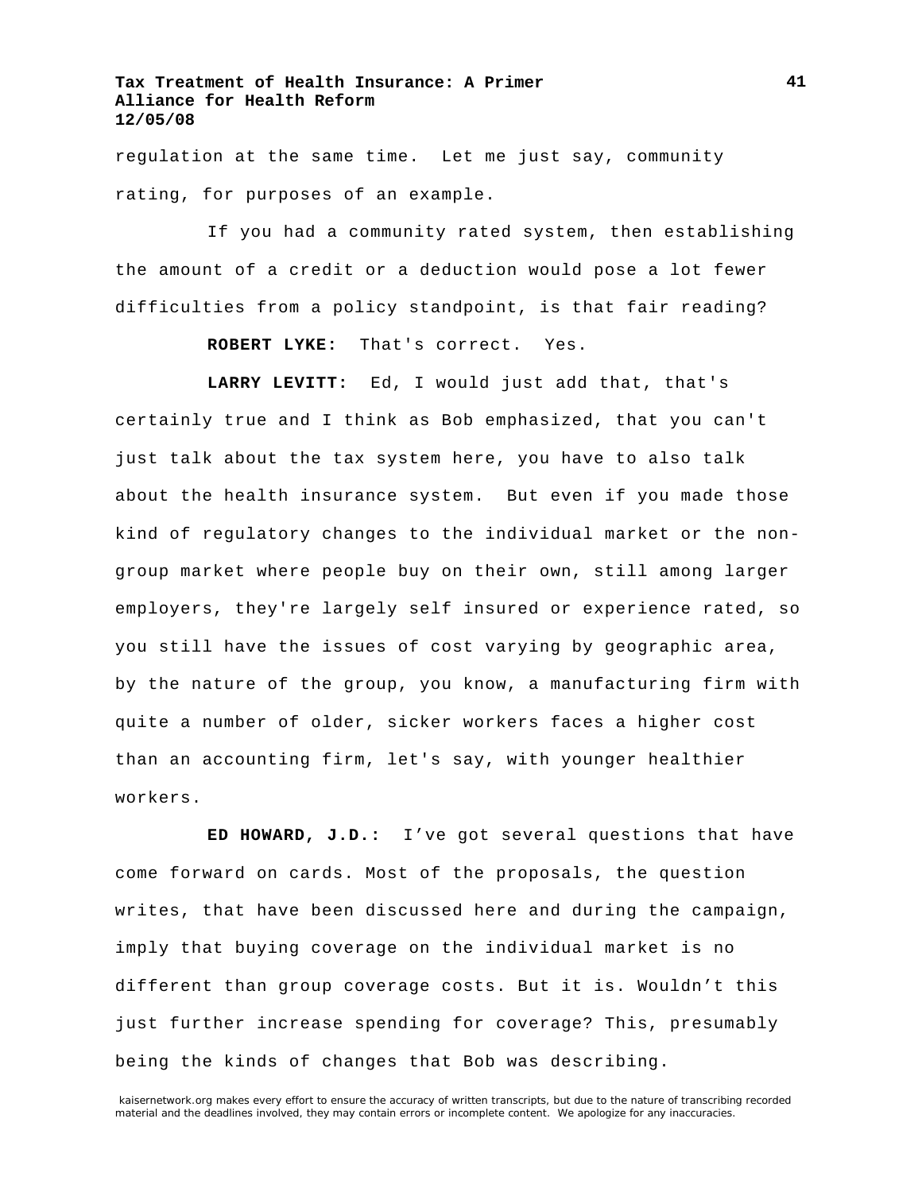regulation at the same time. Let me just say, community rating, for purposes of an example.

If you had a community rated system, then establishing the amount of a credit or a deduction would pose a lot fewer difficulties from a policy standpoint, is that fair reading?

**ROBERT LYKE:** That's correct. Yes.

**LARRY LEVITT:** Ed, I would just add that, that's certainly true and I think as Bob emphasized, that you can't just talk about the tax system here, you have to also talk about the health insurance system. But even if you made those kind of regulatory changes to the individual market or the nongroup market where people buy on their own, still among larger employers, they're largely self insured or experience rated, so you still have the issues of cost varying by geographic area, by the nature of the group, you know, a manufacturing firm with quite a number of older, sicker workers faces a higher cost than an accounting firm, let's say, with younger healthier workers.

**ED HOWARD, J.D.:** I've got several questions that have come forward on cards. Most of the proposals, the question writes, that have been discussed here and during the campaign, imply that buying coverage on the individual market is no different than group coverage costs. But it is. Wouldn't this just further increase spending for coverage? This, presumably being the kinds of changes that Bob was describing.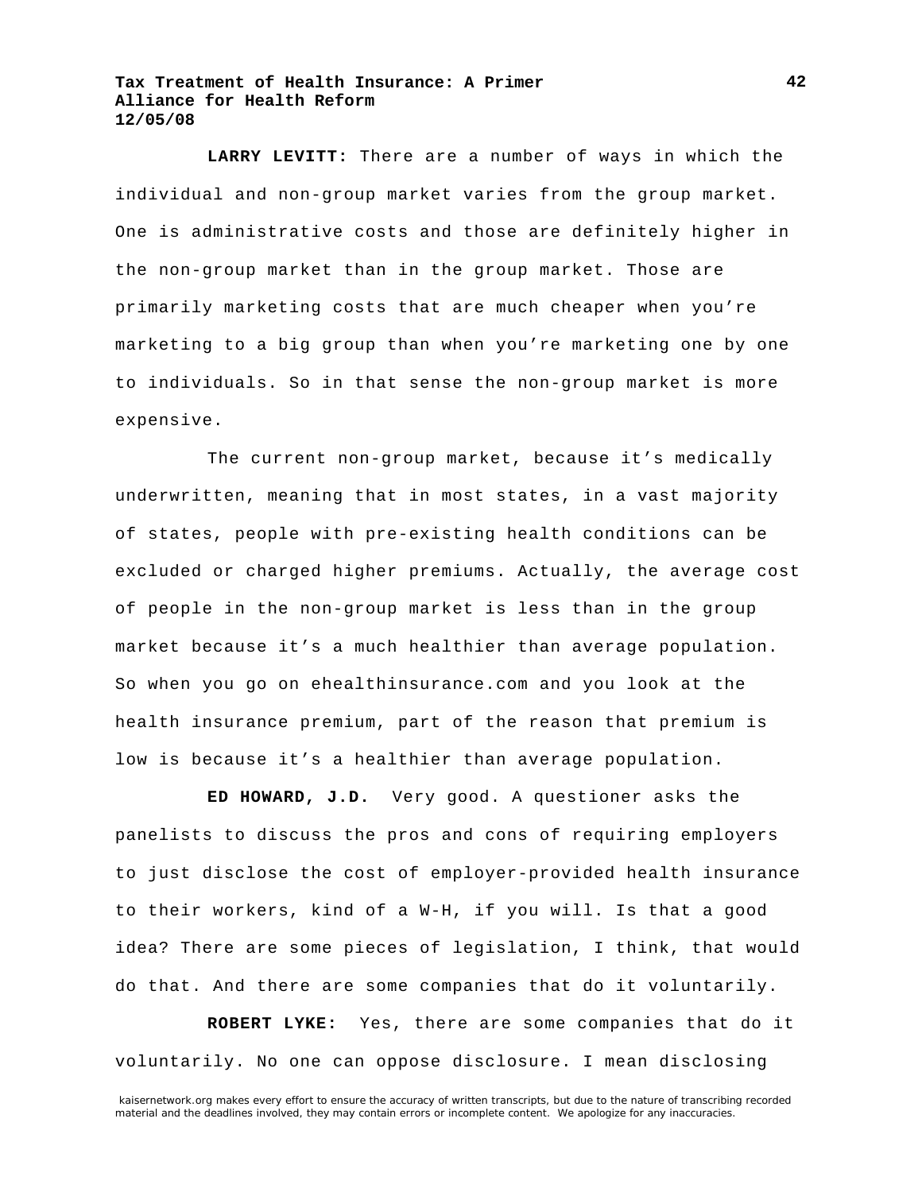**LARRY LEVITT:** There are a number of ways in which the individual and non-group market varies from the group market. One is administrative costs and those are definitely higher in the non-group market than in the group market. Those are primarily marketing costs that are much cheaper when you're marketing to a big group than when you're marketing one by one to individuals. So in that sense the non-group market is more expensive.

The current non-group market, because it's medically underwritten, meaning that in most states, in a vast majority of states, people with pre-existing health conditions can be excluded or charged higher premiums. Actually, the average cost of people in the non-group market is less than in the group market because it's a much healthier than average population. So when you go on ehealthinsurance.com and you look at the health insurance premium, part of the reason that premium is low is because it's a healthier than average population.

**ED HOWARD, J.D.** Very good. A questioner asks the panelists to discuss the pros and cons of requiring employers to just disclose the cost of employer-provided health insurance to their workers, kind of a W-H, if you will. Is that a good idea? There are some pieces of legislation, I think, that would do that. And there are some companies that do it voluntarily.

**ROBERT LYKE:** Yes, there are some companies that do it voluntarily. No one can oppose disclosure. I mean disclosing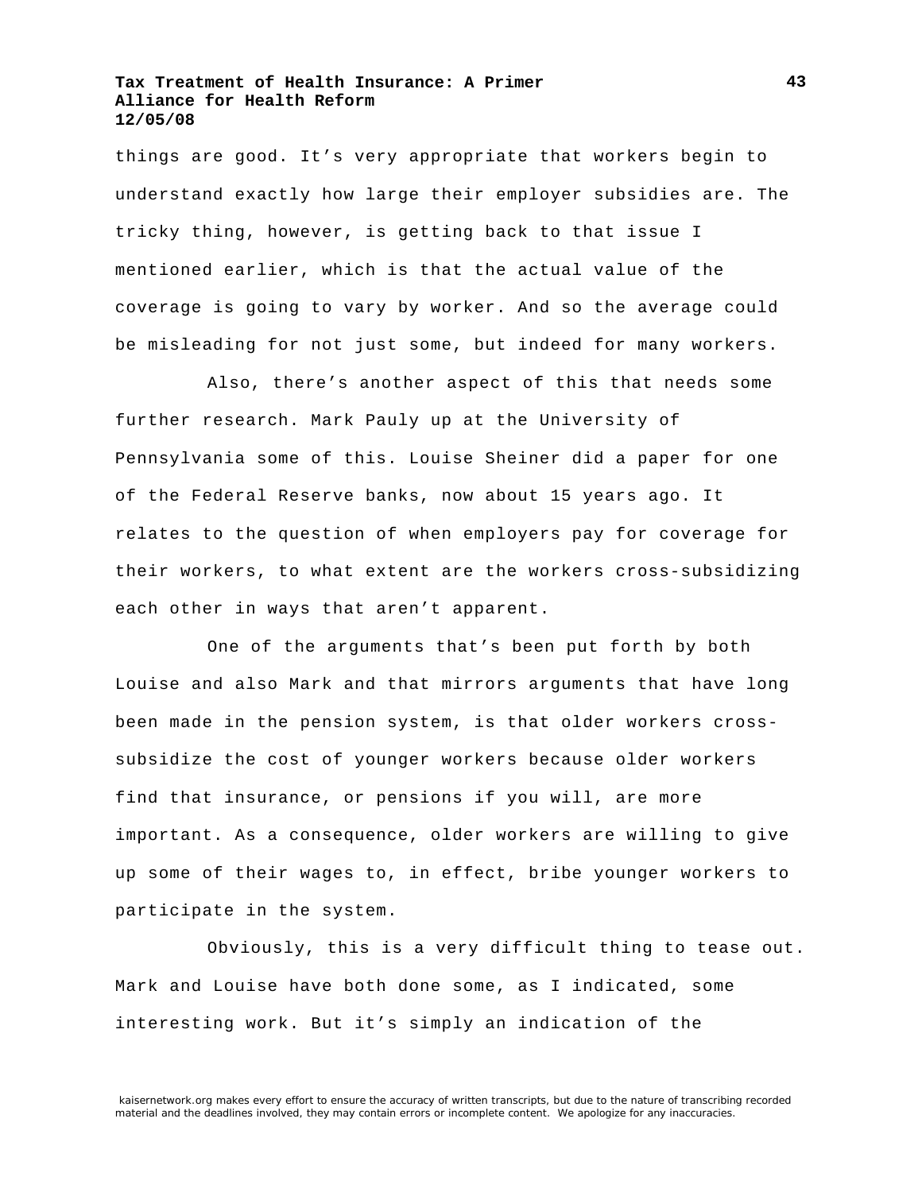things are good. It's very appropriate that workers begin to understand exactly how large their employer subsidies are. The tricky thing, however, is getting back to that issue I mentioned earlier, which is that the actual value of the coverage is going to vary by worker. And so the average could be misleading for not just some, but indeed for many workers.

Also, there's another aspect of this that needs some further research. Mark Pauly up at the University of Pennsylvania some of this. Louise Sheiner did a paper for one of the Federal Reserve banks, now about 15 years ago. It relates to the question of when employers pay for coverage for their workers, to what extent are the workers cross-subsidizing each other in ways that aren't apparent.

One of the arguments that's been put forth by both Louise and also Mark and that mirrors arguments that have long been made in the pension system, is that older workers crosssubsidize the cost of younger workers because older workers find that insurance, or pensions if you will, are more important. As a consequence, older workers are willing to give up some of their wages to, in effect, bribe younger workers to participate in the system.

Obviously, this is a very difficult thing to tease out. Mark and Louise have both done some, as I indicated, some interesting work. But it's simply an indication of the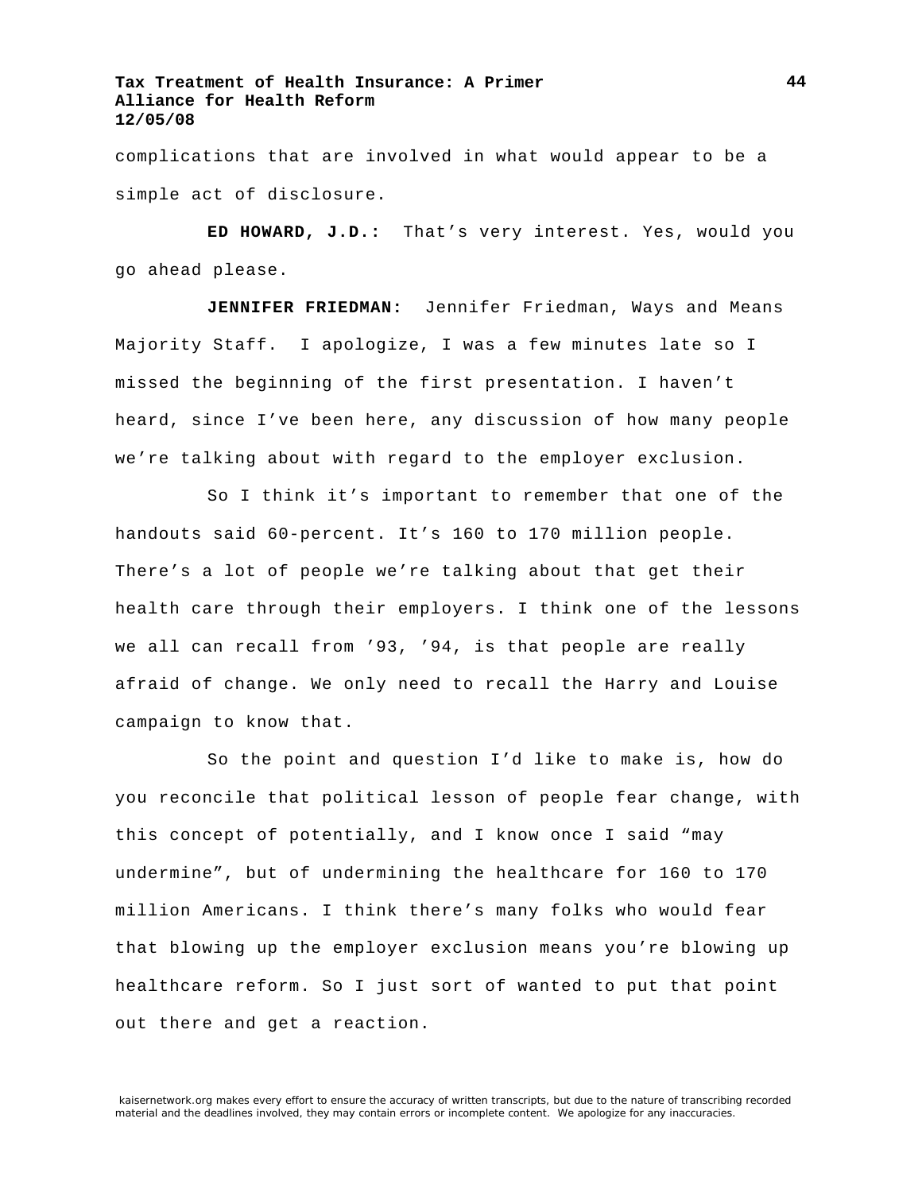complications that are involved in what would appear to be a simple act of disclosure.

**ED HOWARD, J.D.:** That's very interest. Yes, would you go ahead please.

**JENNIFER FRIEDMAN:** Jennifer Friedman, Ways and Means Majority Staff. I apologize, I was a few minutes late so I missed the beginning of the first presentation. I haven't heard, since I've been here, any discussion of how many people we're talking about with regard to the employer exclusion.

So I think it's important to remember that one of the handouts said 60-percent. It's 160 to 170 million people. There's a lot of people we're talking about that get their health care through their employers. I think one of the lessons we all can recall from '93, '94, is that people are really afraid of change. We only need to recall the Harry and Louise campaign to know that.

So the point and question I'd like to make is, how do you reconcile that political lesson of people fear change, with this concept of potentially, and I know once I said "may undermine", but of undermining the healthcare for 160 to 170 million Americans. I think there's many folks who would fear that blowing up the employer exclusion means you're blowing up healthcare reform. So I just sort of wanted to put that point out there and get a reaction.

kaisernetwork.org makes every effort to ensure the accuracy of written transcripts, but due to the nature of transcribing recorded material and the deadlines involved, they may contain errors or incomplete content. We apologize for any inaccuracies.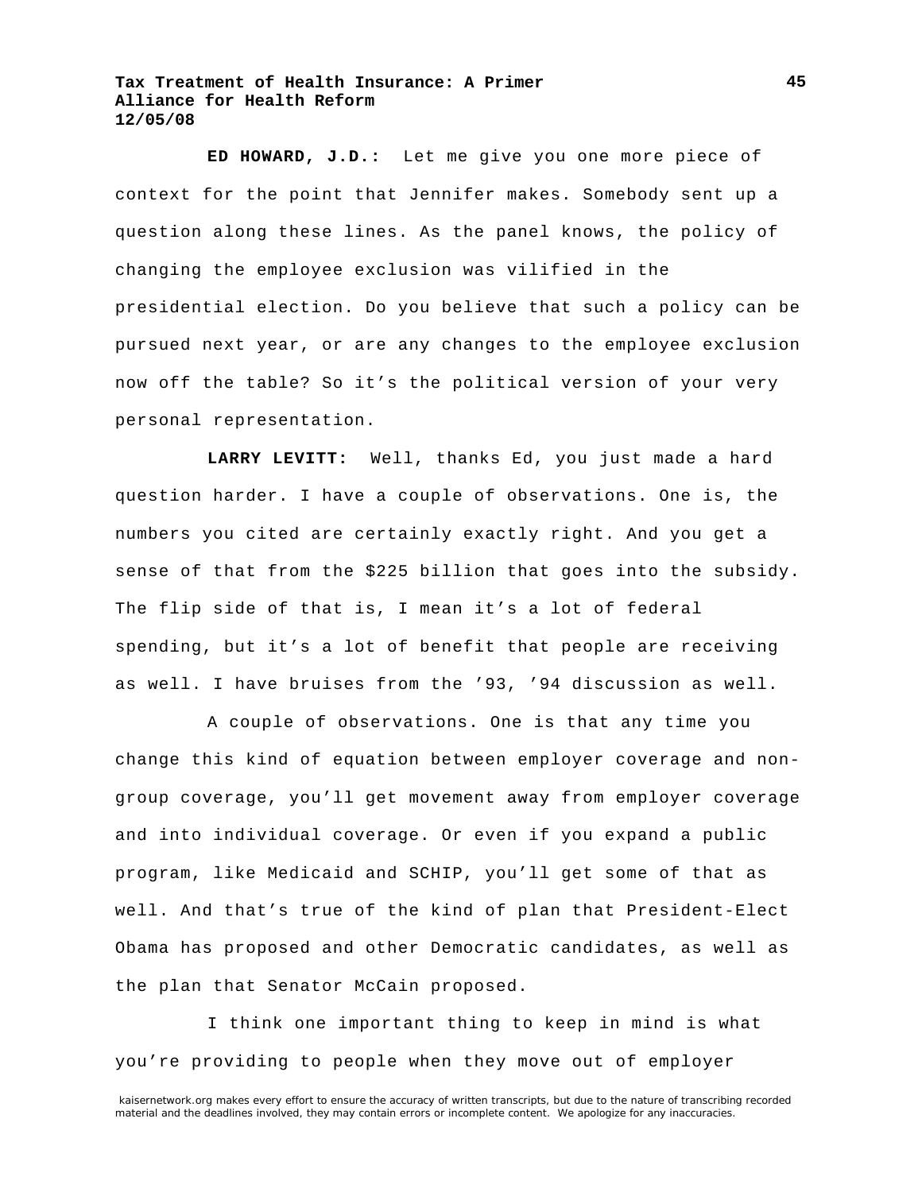**ED HOWARD, J.D.:** Let me give you one more piece of context for the point that Jennifer makes. Somebody sent up a question along these lines. As the panel knows, the policy of changing the employee exclusion was vilified in the presidential election. Do you believe that such a policy can be pursued next year, or are any changes to the employee exclusion now off the table? So it's the political version of your very personal representation.

**LARRY LEVITT:** Well, thanks Ed, you just made a hard question harder. I have a couple of observations. One is, the numbers you cited are certainly exactly right. And you get a sense of that from the \$225 billion that goes into the subsidy. The flip side of that is, I mean it's a lot of federal spending, but it's a lot of benefit that people are receiving as well. I have bruises from the '93, '94 discussion as well.

A couple of observations. One is that any time you change this kind of equation between employer coverage and nongroup coverage, you'll get movement away from employer coverage and into individual coverage. Or even if you expand a public program, like Medicaid and SCHIP, you'll get some of that as well. And that's true of the kind of plan that President-Elect Obama has proposed and other Democratic candidates, as well as the plan that Senator McCain proposed.

I think one important thing to keep in mind is what you're providing to people when they move out of employer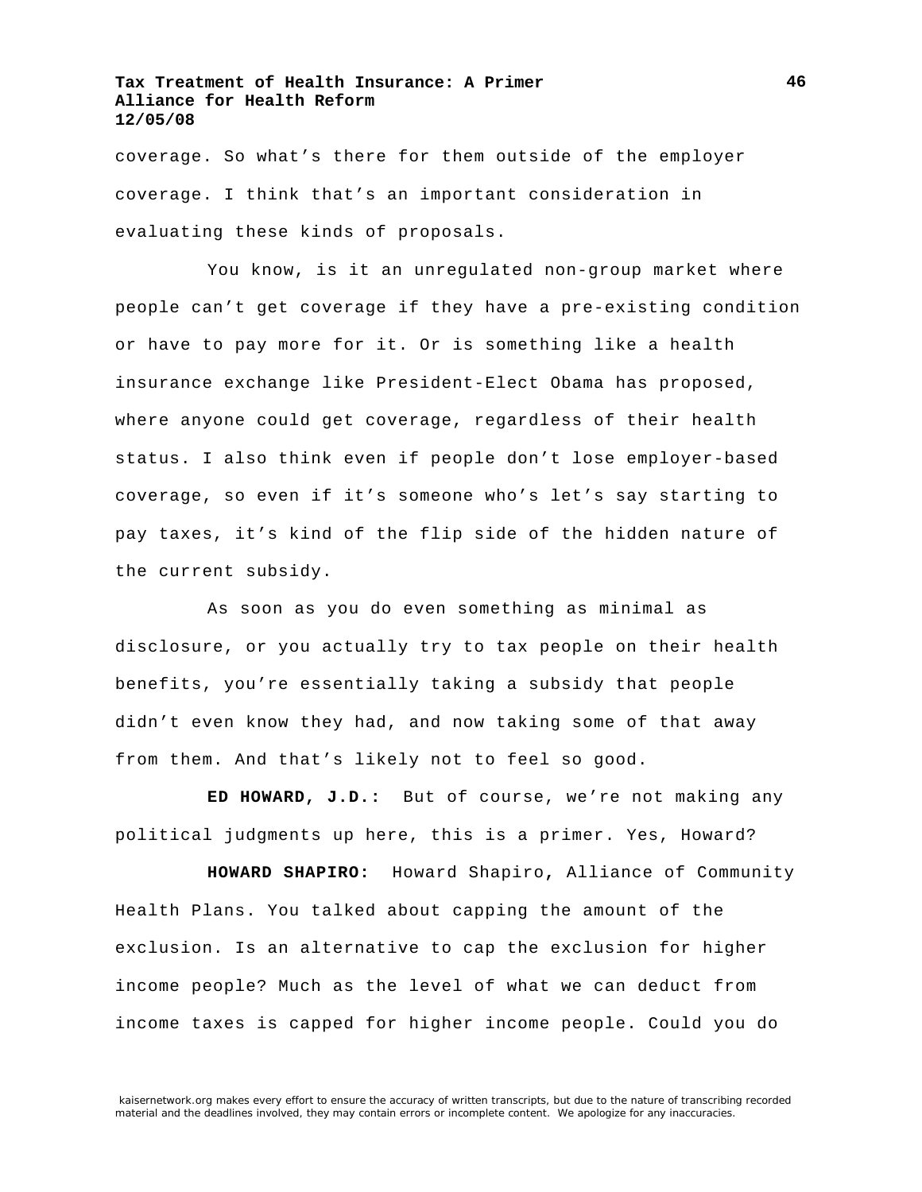coverage. So what's there for them outside of the employer coverage. I think that's an important consideration in evaluating these kinds of proposals.

You know, is it an unregulated non-group market where people can't get coverage if they have a pre-existing condition or have to pay more for it. Or is something like a health insurance exchange like President-Elect Obama has proposed, where anyone could get coverage, regardless of their health status. I also think even if people don't lose employer-based coverage, so even if it's someone who's let's say starting to pay taxes, it's kind of the flip side of the hidden nature of the current subsidy.

As soon as you do even something as minimal as disclosure, or you actually try to tax people on their health benefits, you're essentially taking a subsidy that people didn't even know they had, and now taking some of that away from them. And that's likely not to feel so good.

**ED HOWARD, J.D.:** But of course, we're not making any political judgments up here, this is a primer. Yes, Howard?

**HOWARD SHAPIRO:** Howard Shapiro**,** Alliance of Community Health Plans. You talked about capping the amount of the exclusion. Is an alternative to cap the exclusion for higher income people? Much as the level of what we can deduct from income taxes is capped for higher income people. Could you do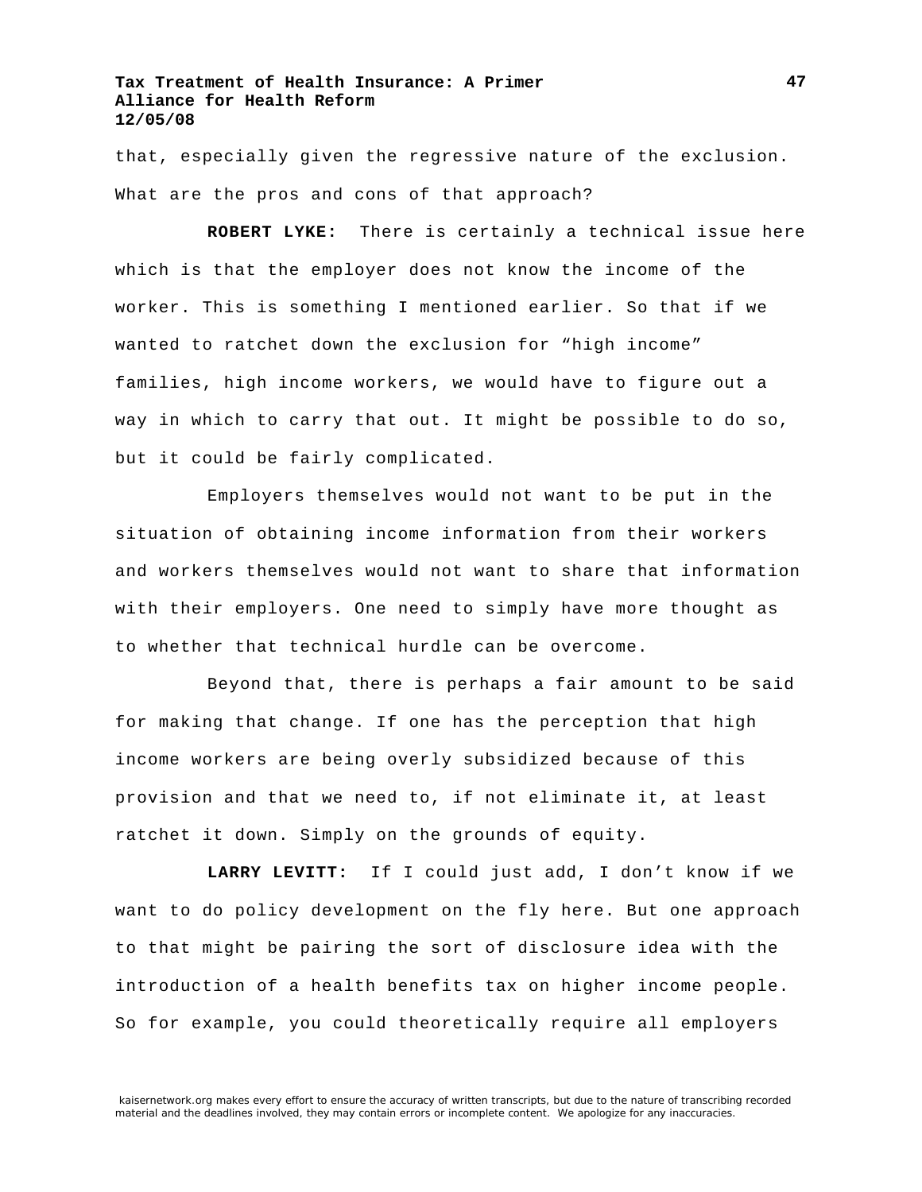that, especially given the regressive nature of the exclusion. What are the pros and cons of that approach?

**ROBERT LYKE:** There is certainly a technical issue here which is that the employer does not know the income of the worker. This is something I mentioned earlier. So that if we wanted to ratchet down the exclusion for "high income" families, high income workers, we would have to figure out a way in which to carry that out. It might be possible to do so, but it could be fairly complicated.

Employers themselves would not want to be put in the situation of obtaining income information from their workers and workers themselves would not want to share that information with their employers. One need to simply have more thought as to whether that technical hurdle can be overcome.

Beyond that, there is perhaps a fair amount to be said for making that change. If one has the perception that high income workers are being overly subsidized because of this provision and that we need to, if not eliminate it, at least ratchet it down. Simply on the grounds of equity.

**LARRY LEVITT:** If I could just add, I don't know if we want to do policy development on the fly here. But one approach to that might be pairing the sort of disclosure idea with the introduction of a health benefits tax on higher income people. So for example, you could theoretically require all employers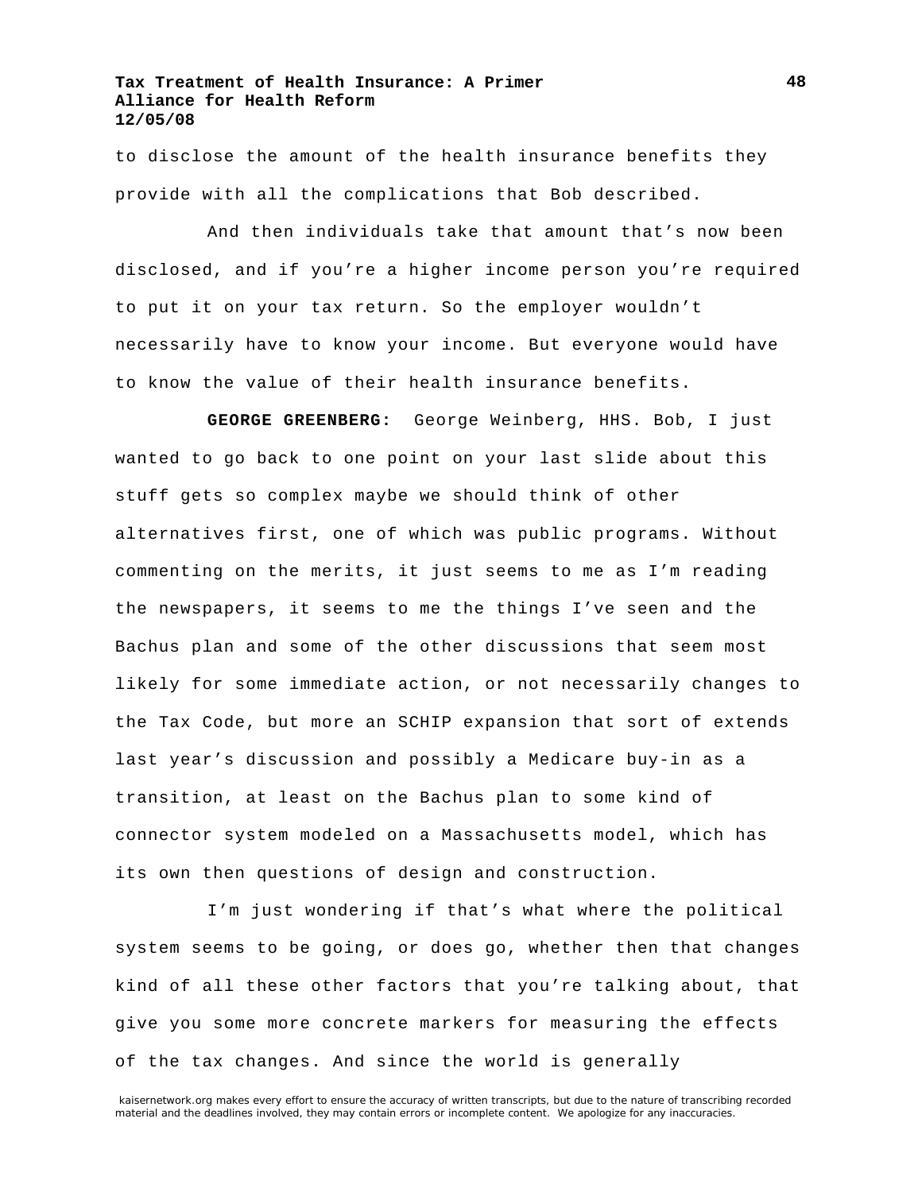to disclose the amount of the health insurance benefits they provide with all the complications that Bob described.

And then individuals take that amount that's now been disclosed, and if you're a higher income person you're required to put it on your tax return. So the employer wouldn't necessarily have to know your income. But everyone would have to know the value of their health insurance benefits.

**GEORGE GREENBERG:** George Weinberg, HHS. Bob, I just wanted to go back to one point on your last slide about this stuff gets so complex maybe we should think of other alternatives first, one of which was public programs. Without commenting on the merits, it just seems to me as I'm reading the newspapers, it seems to me the things I've seen and the Bachus plan and some of the other discussions that seem most likely for some immediate action, or not necessarily changes to the Tax Code, but more an SCHIP expansion that sort of extends last year's discussion and possibly a Medicare buy-in as a transition, at least on the Bachus plan to some kind of connector system modeled on a Massachusetts model, which has its own then questions of design and construction.

I'm just wondering if that's what where the political system seems to be going, or does go, whether then that changes kind of all these other factors that you're talking about, that give you some more concrete markers for measuring the effects of the tax changes. And since the world is generally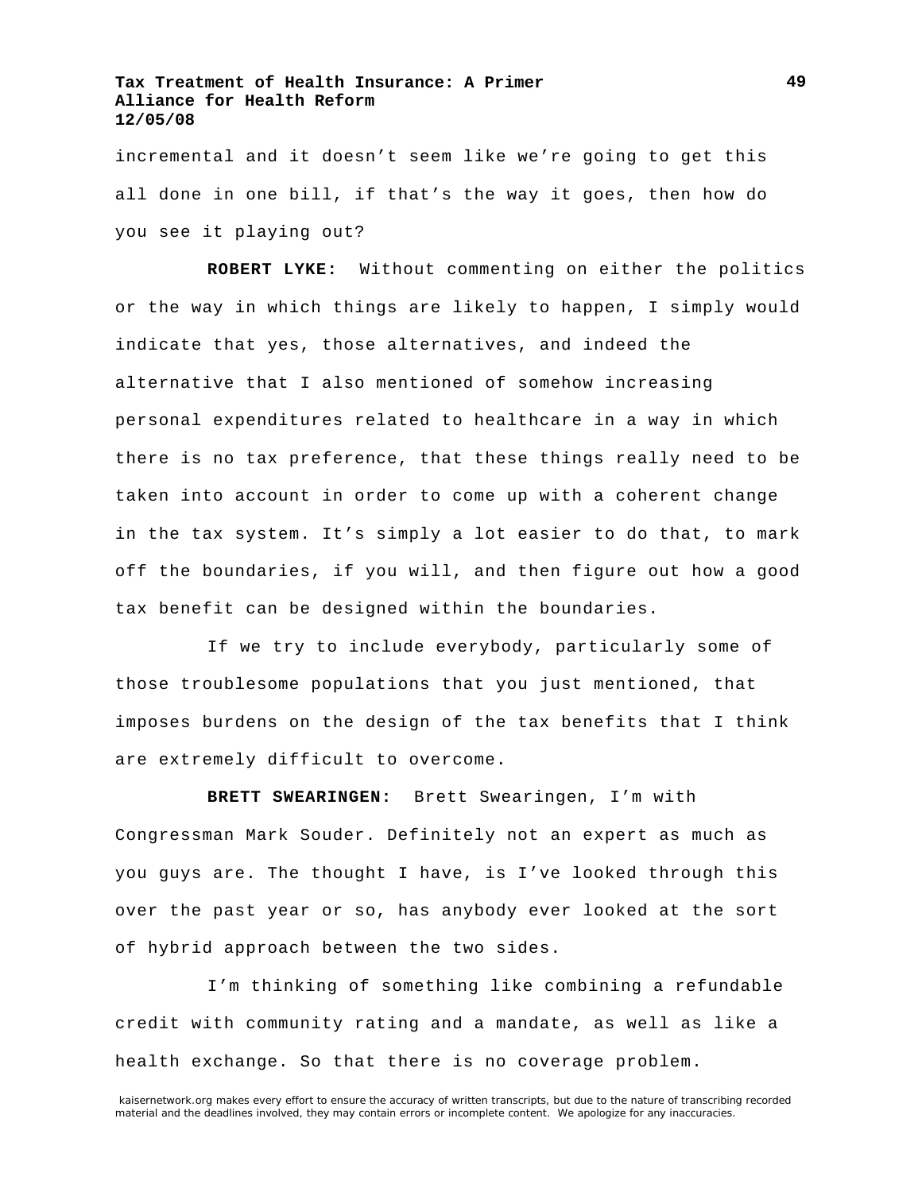incremental and it doesn't seem like we're going to get this all done in one bill, if that's the way it goes, then how do you see it playing out?

**ROBERT LYKE:** Without commenting on either the politics or the way in which things are likely to happen, I simply would indicate that yes, those alternatives, and indeed the alternative that I also mentioned of somehow increasing personal expenditures related to healthcare in a way in which there is no tax preference, that these things really need to be taken into account in order to come up with a coherent change in the tax system. It's simply a lot easier to do that, to mark off the boundaries, if you will, and then figure out how a good tax benefit can be designed within the boundaries.

If we try to include everybody, particularly some of those troublesome populations that you just mentioned, that imposes burdens on the design of the tax benefits that I think are extremely difficult to overcome.

**BRETT SWEARINGEN:** Brett Swearingen, I'm with Congressman Mark Souder. Definitely not an expert as much as you guys are. The thought I have, is I've looked through this over the past year or so, has anybody ever looked at the sort of hybrid approach between the two sides.

I'm thinking of something like combining a refundable credit with community rating and a mandate, as well as like a health exchange. So that there is no coverage problem.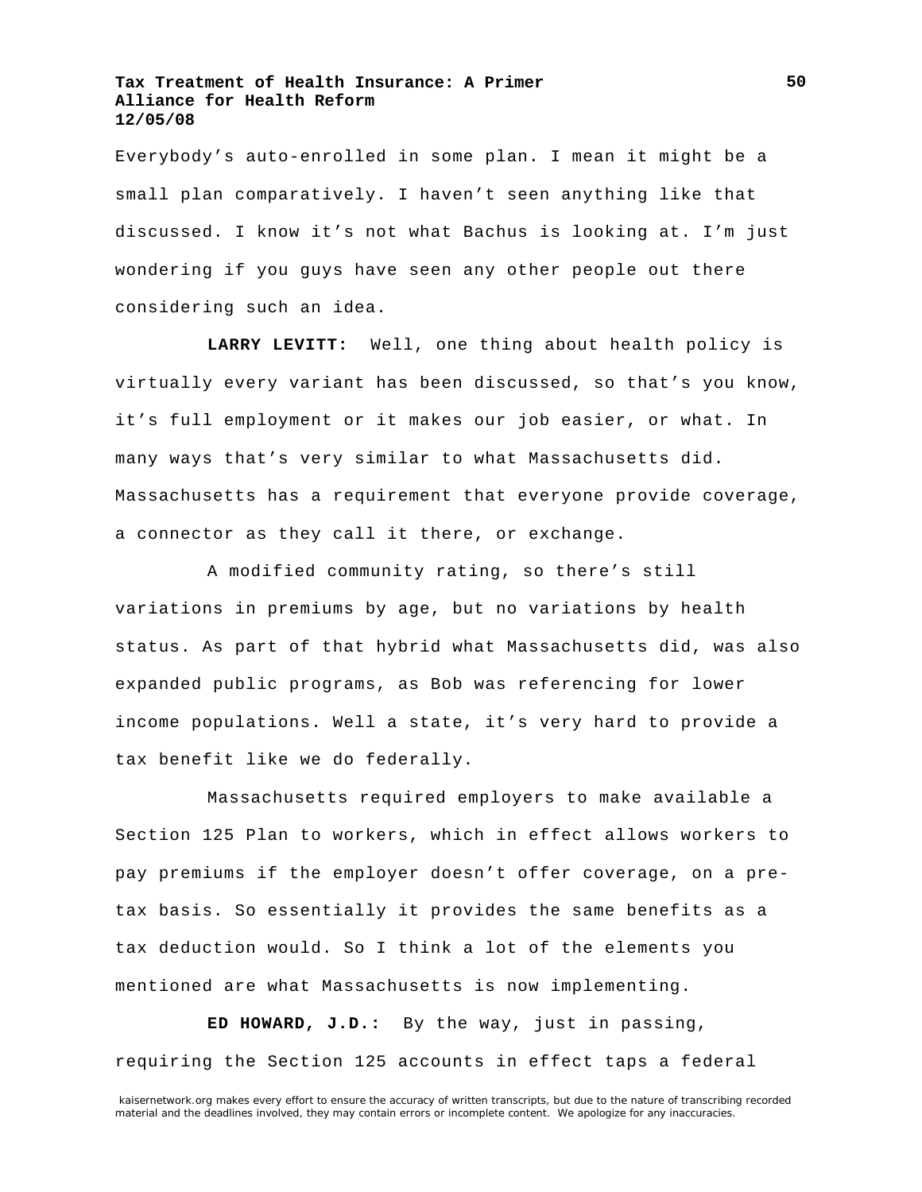Everybody's auto-enrolled in some plan. I mean it might be a small plan comparatively. I haven't seen anything like that discussed. I know it's not what Bachus is looking at. I'm just wondering if you guys have seen any other people out there considering such an idea.

**LARRY LEVITT:** Well, one thing about health policy is virtually every variant has been discussed, so that's you know, it's full employment or it makes our job easier, or what. In many ways that's very similar to what Massachusetts did. Massachusetts has a requirement that everyone provide coverage, a connector as they call it there, or exchange.

A modified community rating, so there's still variations in premiums by age, but no variations by health status. As part of that hybrid what Massachusetts did, was also expanded public programs, as Bob was referencing for lower income populations. Well a state, it's very hard to provide a tax benefit like we do federally.

Massachusetts required employers to make available a Section 125 Plan to workers, which in effect allows workers to pay premiums if the employer doesn't offer coverage, on a pretax basis. So essentially it provides the same benefits as a tax deduction would. So I think a lot of the elements you mentioned are what Massachusetts is now implementing.

**ED HOWARD, J.D.:** By the way, just in passing, requiring the Section 125 accounts in effect taps a federal

kaisernetwork.org makes every effort to ensure the accuracy of written transcripts, but due to the nature of transcribing recorded material and the deadlines involved, they may contain errors or incomplete content. We apologize for any inaccuracies.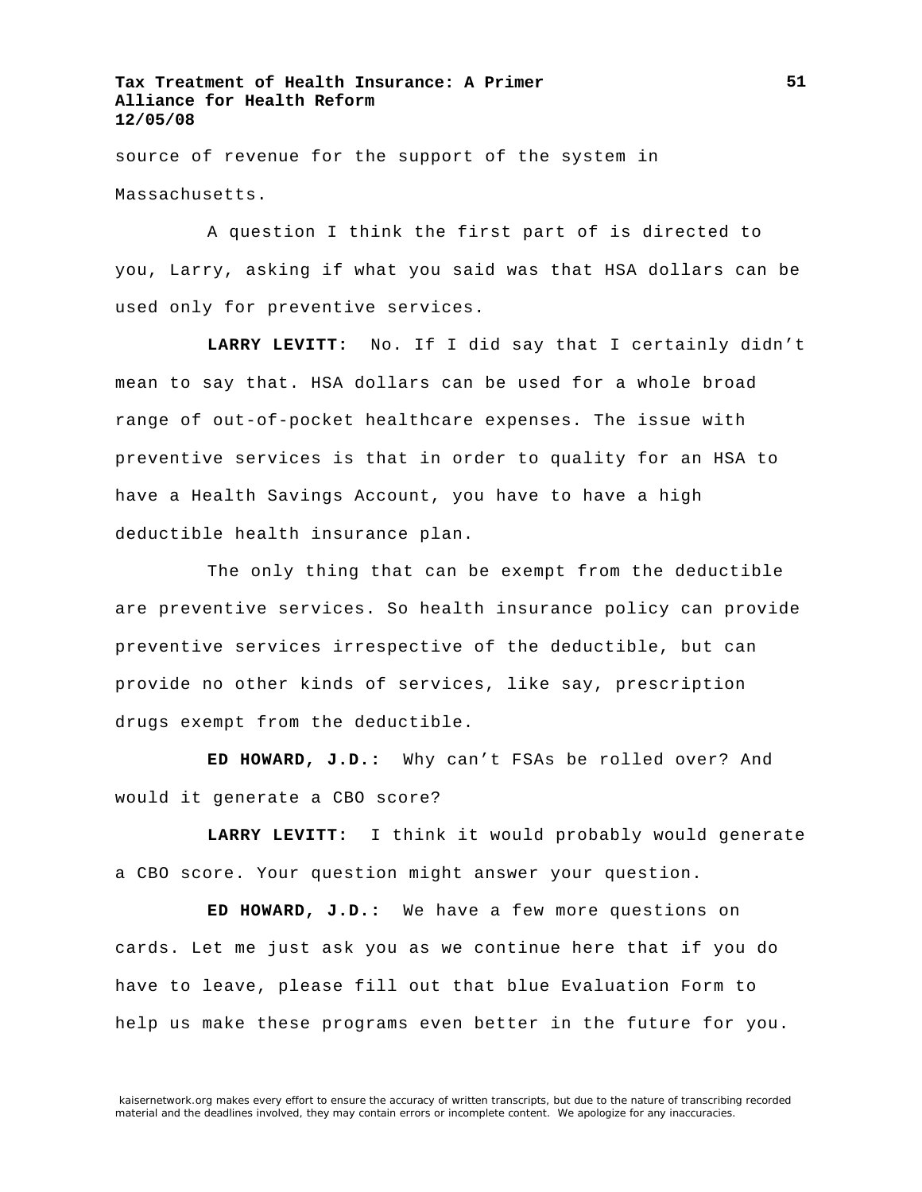source of revenue for the support of the system in Massachusetts.

A question I think the first part of is directed to you, Larry, asking if what you said was that HSA dollars can be used only for preventive services.

**LARRY LEVITT:** No. If I did say that I certainly didn't mean to say that. HSA dollars can be used for a whole broad range of out-of-pocket healthcare expenses. The issue with preventive services is that in order to quality for an HSA to have a Health Savings Account, you have to have a high deductible health insurance plan.

The only thing that can be exempt from the deductible are preventive services. So health insurance policy can provide preventive services irrespective of the deductible, but can provide no other kinds of services, like say, prescription drugs exempt from the deductible.

**ED HOWARD, J.D.:** Why can't FSAs be rolled over? And would it generate a CBO score?

**LARRY LEVITT:** I think it would probably would generate a CBO score. Your question might answer your question.

**ED HOWARD, J.D.:** We have a few more questions on cards. Let me just ask you as we continue here that if you do have to leave, please fill out that blue Evaluation Form to help us make these programs even better in the future for you.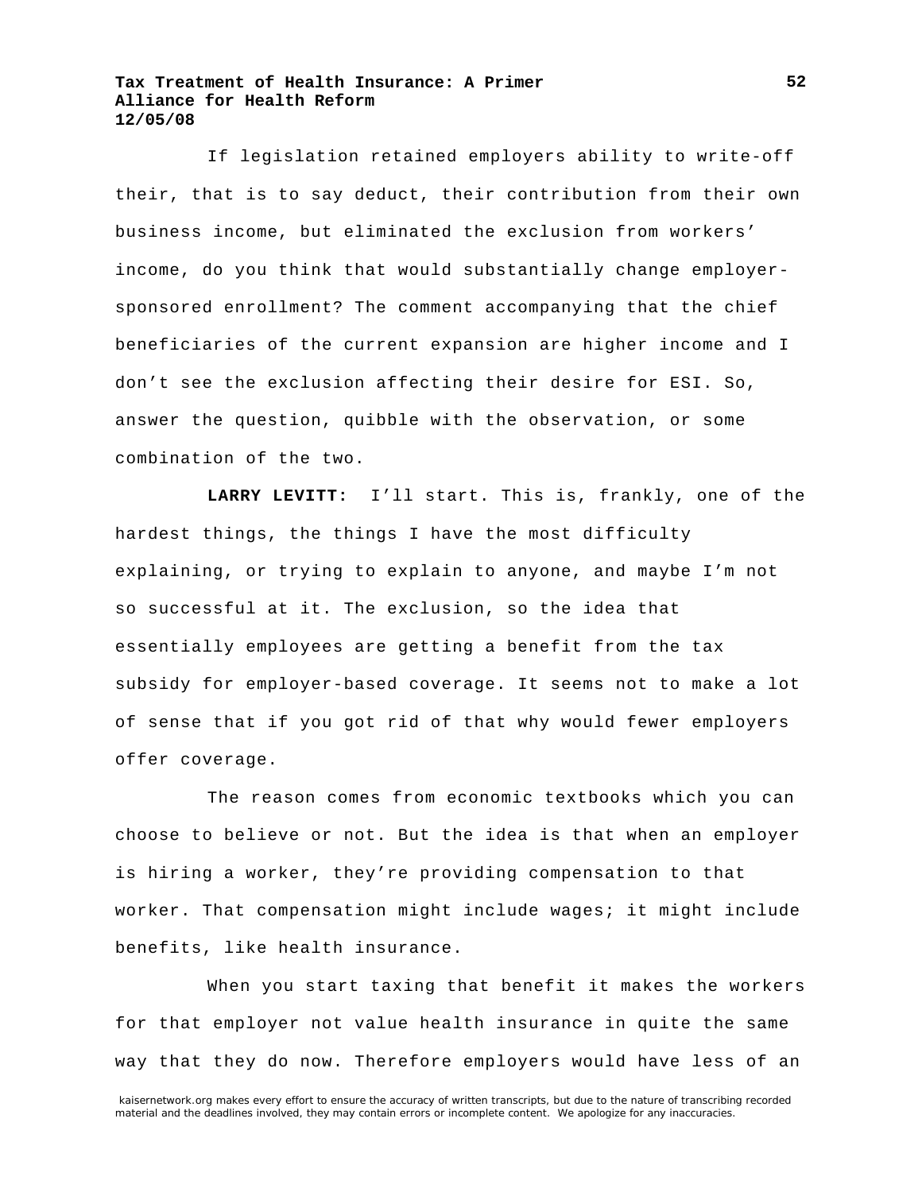If legislation retained employers ability to write-off their, that is to say deduct, their contribution from their own business income, but eliminated the exclusion from workers' income, do you think that would substantially change employersponsored enrollment? The comment accompanying that the chief beneficiaries of the current expansion are higher income and I don't see the exclusion affecting their desire for ESI. So, answer the question, quibble with the observation, or some combination of the two.

**LARRY LEVITT:** I'll start. This is, frankly, one of the hardest things, the things I have the most difficulty explaining, or trying to explain to anyone, and maybe I'm not so successful at it. The exclusion, so the idea that essentially employees are getting a benefit from the tax subsidy for employer-based coverage. It seems not to make a lot of sense that if you got rid of that why would fewer employers offer coverage.

The reason comes from economic textbooks which you can choose to believe or not. But the idea is that when an employer is hiring a worker, they're providing compensation to that worker. That compensation might include wages; it might include benefits, like health insurance.

When you start taxing that benefit it makes the workers for that employer not value health insurance in quite the same way that they do now. Therefore employers would have less of an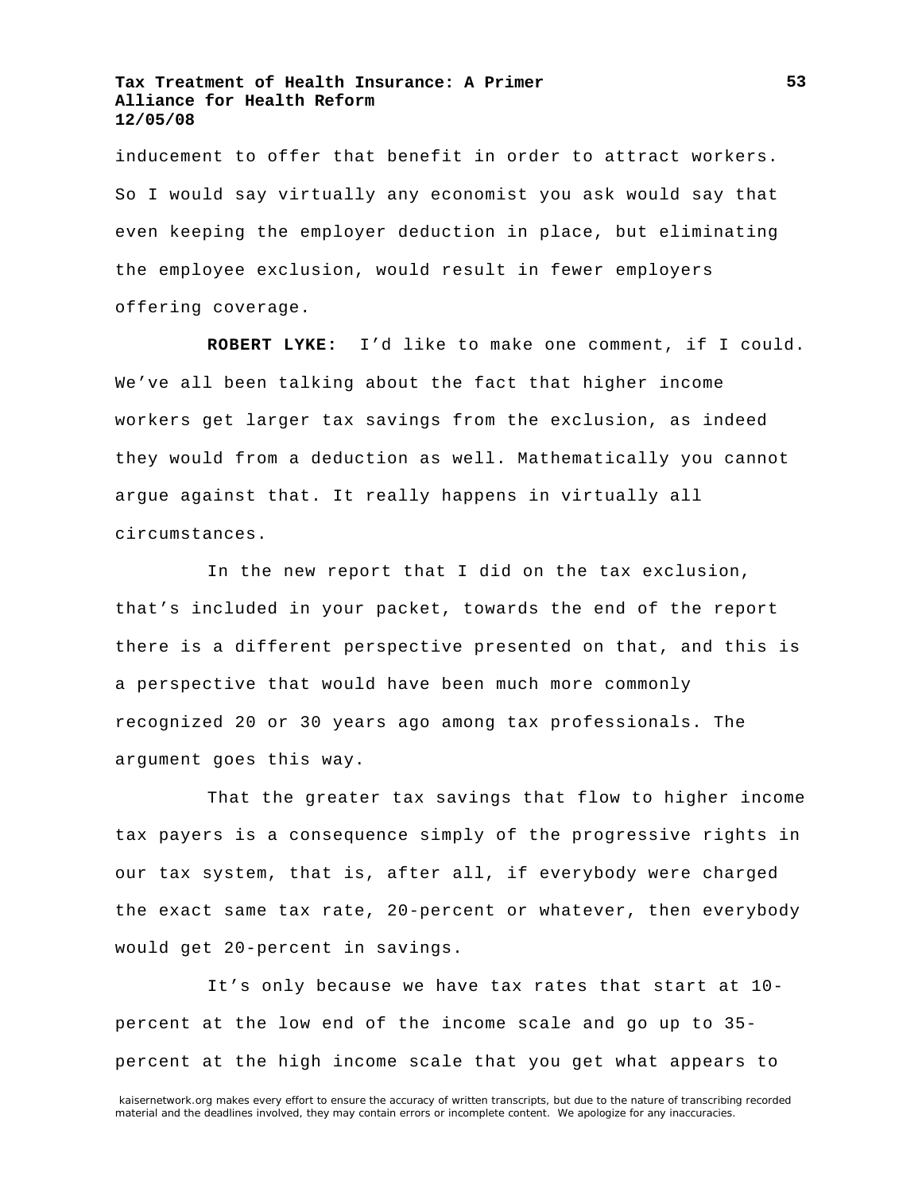inducement to offer that benefit in order to attract workers. So I would say virtually any economist you ask would say that even keeping the employer deduction in place, but eliminating the employee exclusion, would result in fewer employers offering coverage.

**ROBERT LYKE:** I'd like to make one comment, if I could. We've all been talking about the fact that higher income workers get larger tax savings from the exclusion, as indeed they would from a deduction as well. Mathematically you cannot argue against that. It really happens in virtually all circumstances.

In the new report that I did on the tax exclusion, that's included in your packet, towards the end of the report there is a different perspective presented on that, and this is a perspective that would have been much more commonly recognized 20 or 30 years ago among tax professionals. The argument goes this way.

That the greater tax savings that flow to higher income tax payers is a consequence simply of the progressive rights in our tax system, that is, after all, if everybody were charged the exact same tax rate, 20-percent or whatever, then everybody would get 20-percent in savings.

It's only because we have tax rates that start at 10 percent at the low end of the income scale and go up to 35 percent at the high income scale that you get what appears to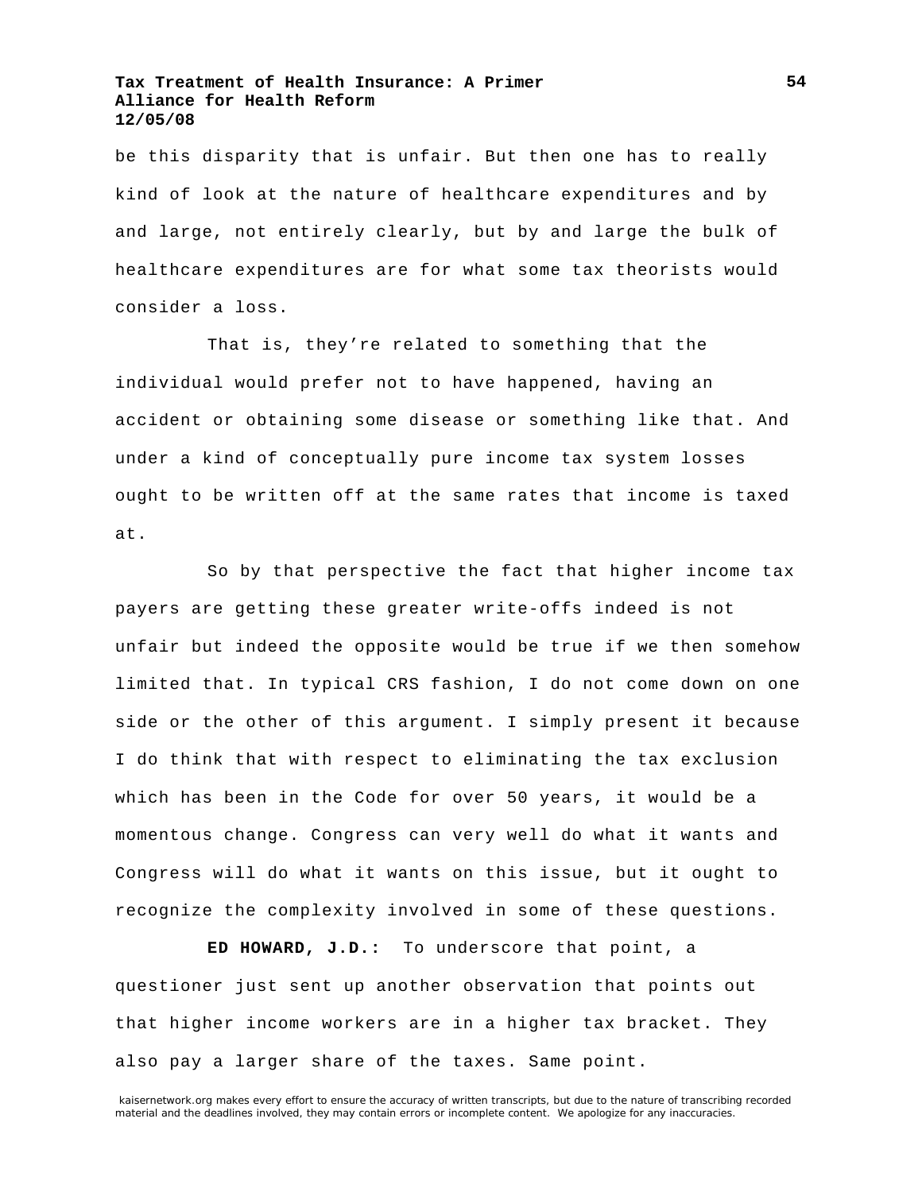be this disparity that is unfair. But then one has to really kind of look at the nature of healthcare expenditures and by and large, not entirely clearly, but by and large the bulk of healthcare expenditures are for what some tax theorists would consider a loss.

That is, they're related to something that the individual would prefer not to have happened, having an accident or obtaining some disease or something like that. And under a kind of conceptually pure income tax system losses ought to be written off at the same rates that income is taxed at.

So by that perspective the fact that higher income tax payers are getting these greater write-offs indeed is not unfair but indeed the opposite would be true if we then somehow limited that. In typical CRS fashion, I do not come down on one side or the other of this argument. I simply present it because I do think that with respect to eliminating the tax exclusion which has been in the Code for over 50 years, it would be a momentous change. Congress can very well do what it wants and Congress will do what it wants on this issue, but it ought to recognize the complexity involved in some of these questions.

**ED HOWARD, J.D.:** To underscore that point, a questioner just sent up another observation that points out that higher income workers are in a higher tax bracket. They also pay a larger share of the taxes. Same point.

**54**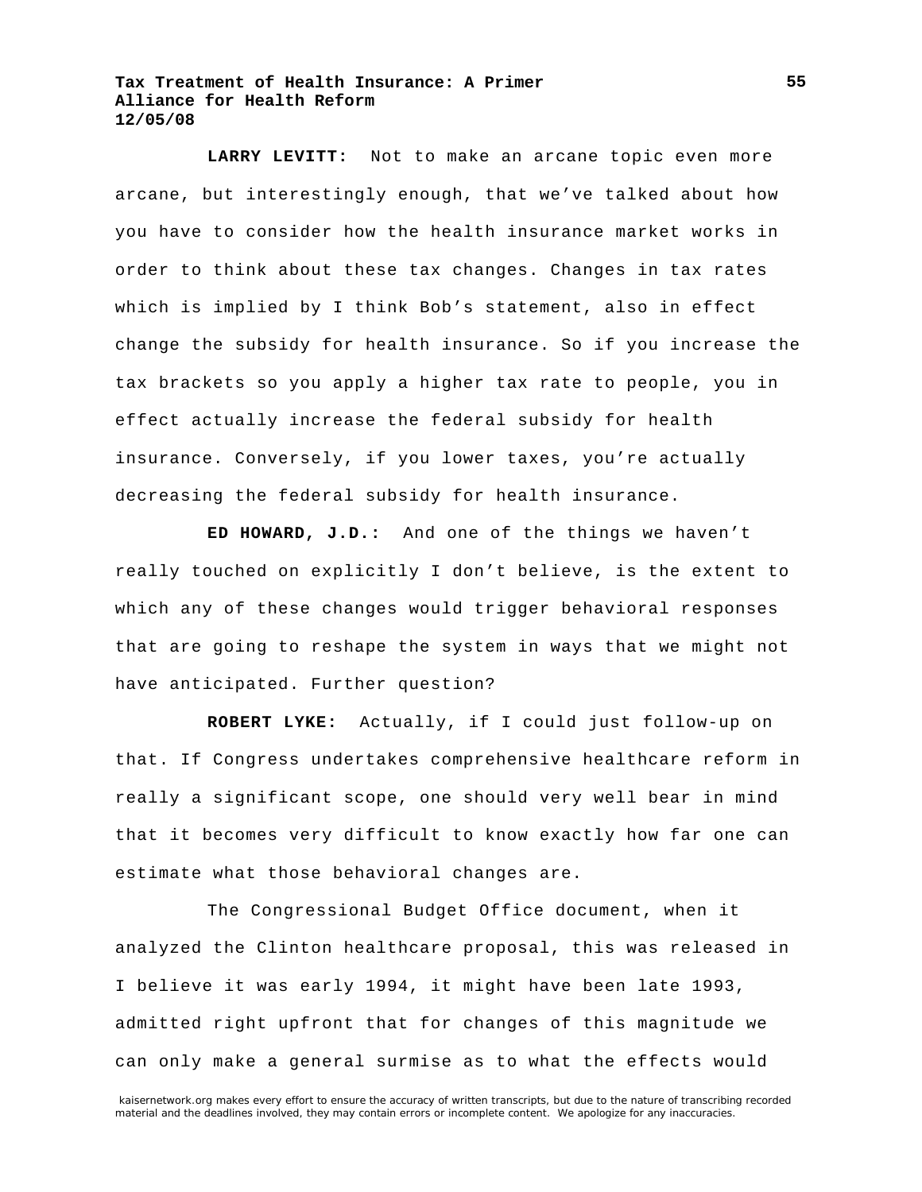**LARRY LEVITT:** Not to make an arcane topic even more arcane, but interestingly enough, that we've talked about how you have to consider how the health insurance market works in order to think about these tax changes. Changes in tax rates which is implied by I think Bob's statement, also in effect change the subsidy for health insurance. So if you increase the tax brackets so you apply a higher tax rate to people, you in effect actually increase the federal subsidy for health insurance. Conversely, if you lower taxes, you're actually decreasing the federal subsidy for health insurance.

**ED HOWARD, J.D.:** And one of the things we haven't really touched on explicitly I don't believe, is the extent to which any of these changes would trigger behavioral responses that are going to reshape the system in ways that we might not have anticipated. Further question?

**ROBERT LYKE:** Actually, if I could just follow-up on that. If Congress undertakes comprehensive healthcare reform in really a significant scope, one should very well bear in mind that it becomes very difficult to know exactly how far one can estimate what those behavioral changes are.

The Congressional Budget Office document, when it analyzed the Clinton healthcare proposal, this was released in I believe it was early 1994, it might have been late 1993, admitted right upfront that for changes of this magnitude we can only make a general surmise as to what the effects would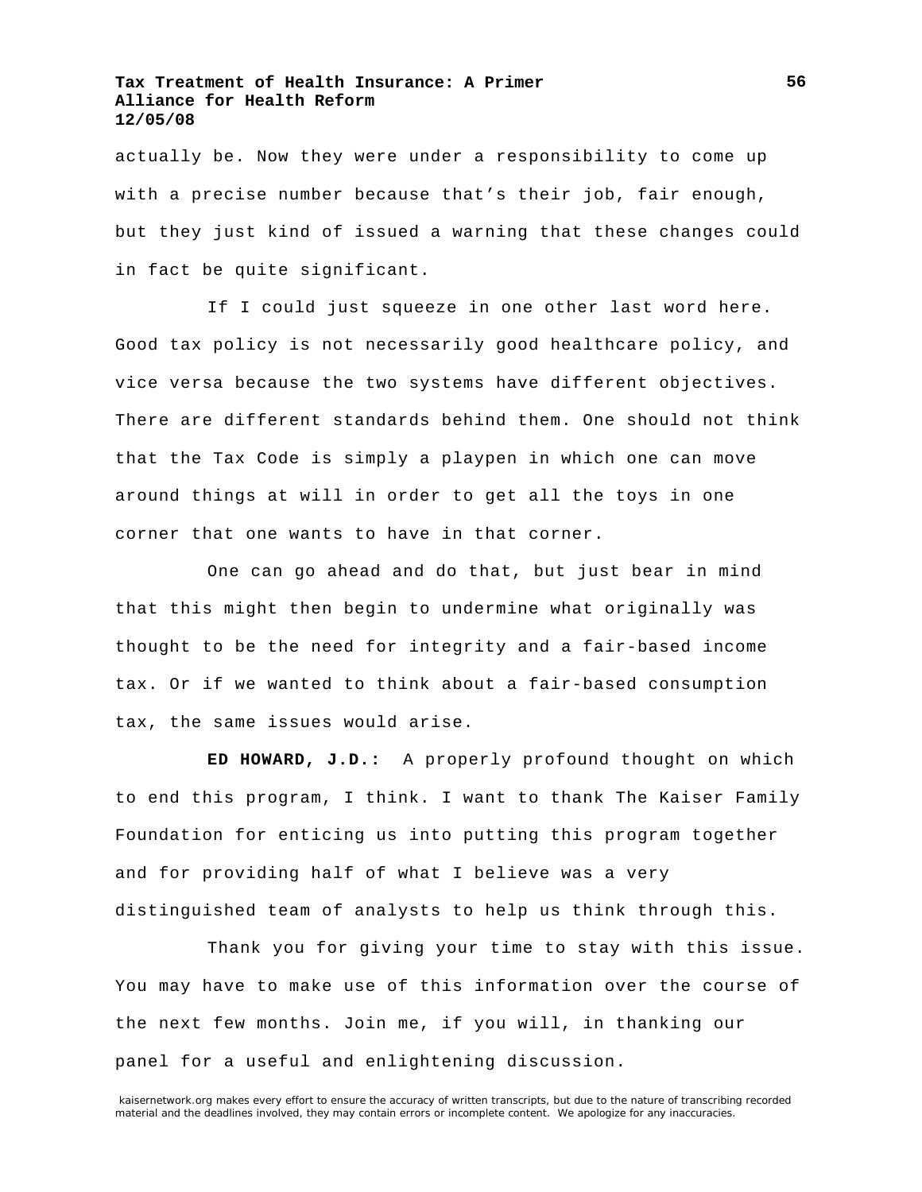actually be. Now they were under a responsibility to come up with a precise number because that's their job, fair enough, but they just kind of issued a warning that these changes could in fact be quite significant.

If I could just squeeze in one other last word here. Good tax policy is not necessarily good healthcare policy, and vice versa because the two systems have different objectives. There are different standards behind them. One should not think that the Tax Code is simply a playpen in which one can move around things at will in order to get all the toys in one corner that one wants to have in that corner.

One can go ahead and do that, but just bear in mind that this might then begin to undermine what originally was thought to be the need for integrity and a fair-based income tax. Or if we wanted to think about a fair-based consumption tax, the same issues would arise.

**ED HOWARD, J.D.:** A properly profound thought on which to end this program, I think. I want to thank The Kaiser Family Foundation for enticing us into putting this program together and for providing half of what I believe was a very distinguished team of analysts to help us think through this.

Thank you for giving your time to stay with this issue. You may have to make use of this information over the course of the next few months. Join me, if you will, in thanking our panel for a useful and enlightening discussion.